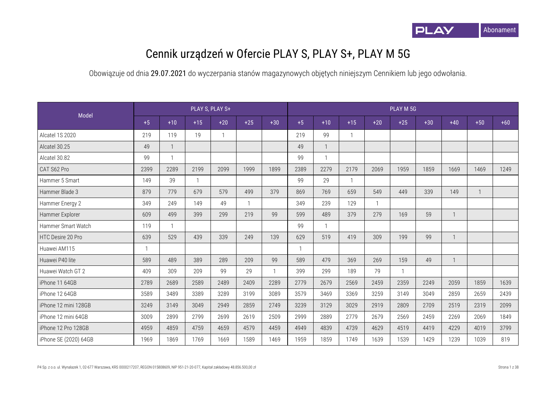

## Cennik urządzeń w Ofercie PLAY S, PLAY S+, PLAY M 5G

| Model                 |              |                |              | PLAY S, PLAY S+ |       |              |      |              |       |       | PLAY M 5G    |       |              |       |       |
|-----------------------|--------------|----------------|--------------|-----------------|-------|--------------|------|--------------|-------|-------|--------------|-------|--------------|-------|-------|
|                       | $+5$         | $+10$          | $+15$        | $+20$           | $+25$ | $+30$        | $+5$ | $+10$        | $+15$ | $+20$ | $+25$        | $+30$ | $+40$        | $+50$ | $+60$ |
| Alcatel 1S 2020       | 219          | 119            | 19           |                 |       |              | 219  | 99           |       |       |              |       |              |       |       |
| Alcatel 30.25         | 49           | $\mathbf{1}$   |              |                 |       |              | 49   | $\mathbf{1}$ |       |       |              |       |              |       |       |
| Alcatel 30.82         | 99           | $\overline{1}$ |              |                 |       |              | 99   | $\mathbf{1}$ |       |       |              |       |              |       |       |
| CAT S62 Pro           | 2399         | 2289           | 2199         | 2099            | 1999  | 1899         | 2389 | 2279         | 2179  | 2069  | 1959         | 1859  | 1669         | 1469  | 1249  |
| Hammer 5 Smart        | 149          | 39             | $\mathbf{1}$ |                 |       |              | 99   | 29           |       |       |              |       |              |       |       |
| Hammer Blade 3        | 879          | 779            | 679          | 579             | 499   | 379          | 869  | 769          | 659   | 549   | 449          | 339   | 149          |       |       |
| Hammer Energy 2       | 349          | 249            | 149          | 49              |       |              | 349  | 239          | 129   |       |              |       |              |       |       |
| Hammer Explorer       | 609          | 499            | 399          | 299             | 219   | 99           | 599  | 489          | 379   | 279   | 169          | 59    | $\mathbf{1}$ |       |       |
| Hammer Smart Watch    | 119          | $\mathbf{1}$   |              |                 |       |              | 99   | $\mathbf{1}$ |       |       |              |       |              |       |       |
| HTC Desire 20 Pro     | 639          | 529            | 439          | 339             | 249   | 139          | 629  | 519          | 419   | 309   | 199          | 99    | $\mathbf{1}$ |       |       |
| Huawei AM115          | $\mathbf{1}$ |                |              |                 |       |              |      |              |       |       |              |       |              |       |       |
| Huawei P40 lite       | 589          | 489            | 389          | 289             | 209   | 99           | 589  | 479          | 369   | 269   | 159          | 49    | $\mathbf{1}$ |       |       |
| Huawei Watch GT 2     | 409          | 309            | 209          | 99              | 29    | $\mathbf{1}$ | 399  | 299          | 189   | 79    | $\mathbf{1}$ |       |              |       |       |
| iPhone 11 64GB        | 2789         | 2689           | 2589         | 2489            | 2409  | 2289         | 2779 | 2679         | 2569  | 2459  | 2359         | 2249  | 2059         | 1859  | 1639  |
| iPhone 12 64GB        | 3589         | 3489           | 3389         | 3289            | 3199  | 3089         | 3579 | 3469         | 3369  | 3259  | 3149         | 3049  | 2859         | 2659  | 2439  |
| iPhone 12 mini 128GB  | 3249         | 3149           | 3049         | 2949            | 2859  | 2749         | 3239 | 3129         | 3029  | 2919  | 2809         | 2709  | 2519         | 2319  | 2099  |
| iPhone 12 mini 64GB   | 3009         | 2899           | 2799         | 2699            | 2619  | 2509         | 2999 | 2889         | 2779  | 2679  | 2569         | 2459  | 2269         | 2069  | 1849  |
| iPhone 12 Pro 128GB   | 4959         | 4859           | 4759         | 4659            | 4579  | 4459         | 4949 | 4839         | 4739  | 4629  | 4519         | 4419  | 4229         | 4019  | 3799  |
| iPhone SE (2020) 64GB | 1969         | 1869           | 1769         | 1669            | 1589  | 1469         | 1959 | 1859         | 1749  | 1639  | 1539         | 1429  | 1239         | 1039  | 819   |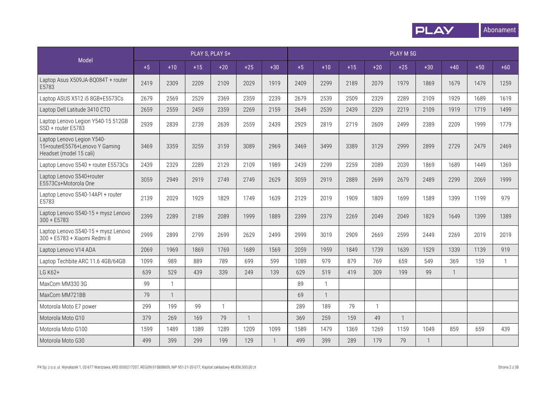

|                                                                                         |      |              |       | PLAY S, PLAY S+ |              |              |      |              |       |                | PLAY M 5G    |              |              |       |              |
|-----------------------------------------------------------------------------------------|------|--------------|-------|-----------------|--------------|--------------|------|--------------|-------|----------------|--------------|--------------|--------------|-------|--------------|
| Model                                                                                   | $+5$ | $+10$        | $+15$ | $+20$           | $+25$        | $+30$        | $+5$ | $+10$        | $+15$ | $+20$          | $+25$        | $+30$        | $+40$        | $+50$ | $+60$        |
| Laptop Asus X509JA-BQ084T + router<br>E5783                                             | 2419 | 2309         | 2209  | 2109            | 2029         | 1919         | 2409 | 2299         | 2189  | 2079           | 1979         | 1869         | 1679         | 1479  | 1259         |
| Laptop ASUS X512 i5 8GB+E5573Cs                                                         | 2679 | 2569         | 2529  | 2369            | 2359         | 2239         | 2679 | 2539         | 2509  | 2329           | 2289         | 2109         | 1929         | 1689  | 1619         |
| Laptop Dell Latitude 3410 CTO                                                           | 2659 | 2559         | 2459  | 2359            | 2269         | 2159         | 2649 | 2539         | 2439  | 2329           | 2219         | 2109         | 1919         | 1719  | 1499         |
| Laptop Lenovo Legion Y540-15 512GB<br>SSD + router E5783                                | 2939 | 2839         | 2739  | 2639            | 2559         | 2439         | 2929 | 2819         | 2719  | 2609           | 2499         | 2389         | 2209         | 1999  | 1779         |
| Laptop Lenovo Legion Y540-<br>15+routerE5576+Lenovo Y Gaming<br>Headset (model 15 cali) | 3469 | 3359         | 3259  | 3159            | 3089         | 2969         | 3469 | 3499         | 3389  | 3129           | 2999         | 2899         | 2729         | 2479  | 2469         |
| Laptop Lenovo S540 + router E5573Cs                                                     | 2439 | 2329         | 2289  | 2129            | 2109         | 1989         | 2439 | 2299         | 2259  | 2089           | 2039         | 1869         | 1689         | 1449  | 1369         |
| Laptop Lenovo S540+router<br>E5573Cs+Motorola One                                       | 3059 | 2949         | 2919  | 2749            | 2749         | 2629         | 3059 | 2919         | 2889  | 2699           | 2679         | 2489         | 2299         | 2069  | 1999         |
| Laptop Lenovo S540-14API + router<br>E5783                                              | 2139 | 2029         | 1929  | 1829            | 1749         | 1639         | 2129 | 2019         | 1909  | 1809           | 1699         | 1589         | 1399         | 1199  | 979          |
| Laptop Lenovo S540-15 + mysz Lenovo<br>$300 + E5783$                                    | 2399 | 2289         | 2189  | 2089            | 1999         | 1889         | 2399 | 2379         | 2269  | 2049           | 2049         | 1829         | 1649         | 1399  | 1389         |
| Laptop Lenovo S540-15 + mysz Lenovo<br>300 + E5783 + Xiaomi Redmi 8                     | 2999 | 2899         | 2799  | 2699            | 2629         | 2499         | 2999 | 3019         | 2909  | 2669           | 2599         | 2449         | 2269         | 2019  | 2019         |
| Laptop Lenovo V14 ADA                                                                   | 2069 | 1969         | 1869  | 1769            | 1689         | 1569         | 2059 | 1959         | 1849  | 1739           | 1639         | 1529         | 1339         | 1139  | 919          |
| Laptop Techbite ARC 11.6 4GB/64GB                                                       | 1099 | 989          | 889   | 789             | 699          | 599          | 1089 | 979          | 879   | 769            | 659          | 549          | 369          | 159   | $\mathbf{1}$ |
| LG K62+                                                                                 | 639  | 529          | 439   | 339             | 249          | 139          | 629  | 519          | 419   | 309            | 199          | 99           | $\mathbf{1}$ |       |              |
| MaxCom MM330 3G                                                                         | 99   | $\mathbf{1}$ |       |                 |              |              | 89   |              |       |                |              |              |              |       |              |
| MaxCom MM721BB                                                                          | 79   | $\mathbf{1}$ |       |                 |              |              | 69   | $\mathbf{1}$ |       |                |              |              |              |       |              |
| Motorola Moto E7 power                                                                  | 299  | 199          | 99    | $\overline{1}$  |              |              | 289  | 189          | 79    | $\overline{1}$ |              |              |              |       |              |
| Motorola Moto G10                                                                       | 379  | 269          | 169   | 79              | $\mathbf{1}$ |              | 369  | 259          | 159   | 49             | $\mathbf{1}$ |              |              |       |              |
| Motorola Moto G100                                                                      | 1599 | 1489         | 1389  | 1289            | 1209         | 1099         | 1589 | 1479         | 1369  | 1269           | 1159         | 1049         | 859          | 659   | 439          |
| Motorola Moto G30                                                                       | 499  | 399          | 299   | 199             | 129          | $\mathbf{1}$ | 499  | 399          | 289   | 179            | 79           | $\mathbf{1}$ |              |       |              |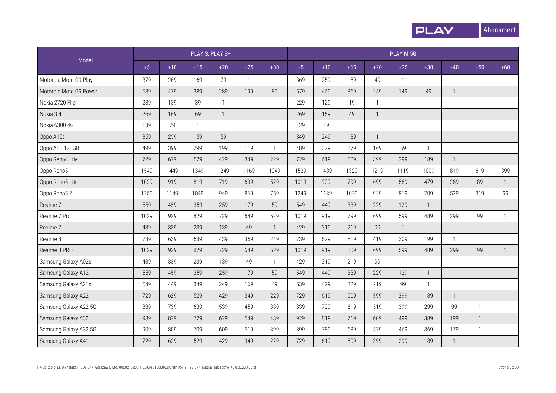

|                        |      |       |              | PLAY S, PLAY S+ |                |                |      |       |              |                | PLAY M 5G      |              |              |              |              |
|------------------------|------|-------|--------------|-----------------|----------------|----------------|------|-------|--------------|----------------|----------------|--------------|--------------|--------------|--------------|
| Model                  | $+5$ | $+10$ | $+15$        | $+20$           | $+25$          | $+30$          | $+5$ | $+10$ | $+15$        | $+20$          | $+25$          | $+30$        | $+40$        | $+50$        | $+60$        |
| Motorola Moto G9 Play  | 379  | 269   | 169          | 79              | $\mathbf{1}$   |                | 369  | 259   | 159          | 49             | $\overline{1}$ |              |              |              |              |
| Motorola Moto G9 Power | 589  | 479   | 389          | 289             | 199            | 89             | 579  | 469   | 369          | 259            | 149            | 49           | $\mathbf{1}$ |              |              |
| Nokia 2720 Flip        | 239  | 139   | 39           | $\mathbf{1}$    |                |                | 229  | 129   | 19           | $\mathbf{1}$   |                |              |              |              |              |
| Nokia 3.4              | 269  | 169   | 69           | $\mathbf{1}$    |                |                | 269  | 159   | 49           | $\overline{1}$ |                |              |              |              |              |
| Nokia 6300 4G          | 139  | 29    | $\mathbf{1}$ |                 |                |                | 129  | 19    | $\mathbf{1}$ |                |                |              |              |              |              |
| Oppo A15s              | 359  | 259   | 159          | 59              | $\overline{1}$ |                | 349  | 249   | 139          | $\mathbf{1}$   |                |              |              |              |              |
| Oppo A53 128GB         | 499  | 399   | 299          | 199             | 119            | $\overline{1}$ | 489  | 379   | 279          | 169            | 59             | $\mathbf{1}$ |              |              |              |
| Oppo Reno4 Lite        | 729  | 629   | 529          | 429             | 349            | 229            | 729  | 619   | 509          | 399            | 299            | 189          | $\mathbf{1}$ |              |              |
| Oppo Reno5             | 1549 | 1449  | 1349         | 1249            | 1169           | 1049           | 1539 | 1439  | 1329         | 1219           | 1119           | 1009         | 819          | 619          | 399          |
| Oppo Reno5 Lite        | 1029 | 919   | 819          | 719             | 639            | 529            | 1019 | 909   | 799          | 699            | 589            | 479          | 289          | 89           | $\mathbf{1}$ |
| Oppo Reno5 Z           | 1259 | 1149  | 1049         | 949             | 869            | 759            | 1249 | 1139  | 1029         | 929            | 819            | 709          | 529          | 319          | 99           |
| Realme 7               | 559  | 459   | 359          | 259             | 179            | 59             | 549  | 449   | 339          | 229            | 129            | $\mathbf{1}$ |              |              |              |
| Realme 7 Pro           | 1029 | 929   | 829          | 729             | 649            | 529            | 1019 | 919   | 799          | 699            | 599            | 489          | 299          | 99           | $\mathbf{1}$ |
| Realme 7i              | 439  | 339   | 239          | 139             | 49             | $\overline{1}$ | 429  | 319   | 219          | 99             | $\mathbf{1}$   |              |              |              |              |
| Realme 8               | 739  | 639   | 539          | 439             | 359            | 249            | 739  | 629   | 519          | 419            | 309            | 199          | $\mathbf{1}$ |              |              |
| Realme 8 PRO           | 1029 | 929   | 829          | 729             | 649            | 529            | 1019 | 919   | 809          | 699            | 599            | 489          | 299          | 99           | $\mathbf{1}$ |
| Samsung Galaxy A02s    | 439  | 339   | 239          | 139             | 49             | $\overline{1}$ | 429  | 319   | 219          | 99             | $\mathbf{1}$   |              |              |              |              |
| Samsung Galaxy A12     | 559  | 459   | 359          | 259             | 179            | 59             | 549  | 449   | 339          | 229            | 129            | $\mathbf{1}$ |              |              |              |
| Samsung Galaxy A21s    | 549  | 449   | 349          | 249             | 169            | 49             | 539  | 429   | 329          | 219            | 99             | $\mathbf{1}$ |              |              |              |
| Samsung Galaxy A22     | 729  | 629   | 529          | 429             | 349            | 229            | 729  | 619   | 509          | 399            | 299            | 189          | $\mathbf{1}$ |              |              |
| Samsung Galaxy A22 5G  | 839  | 739   | 639          | 539             | 459            | 339            | 839  | 729   | 619          | 519            | 399            | 299          | 99           | $\mathbf{1}$ |              |
| Samsung Galaxy A32     | 939  | 829   | 729          | 629             | 549            | 439            | 929  | 819   | 719          | 609            | 499            | 389          | 199          | $\mathbf{1}$ |              |
| Samsung Galaxy A32 5G  | 909  | 809   | 709          | 609             | 519            | 399            | 899  | 789   | 689          | 579            | 469            | 369          | 179          | $\mathbf{1}$ |              |
| Samsung Galaxy A41     | 729  | 629   | 529          | 429             | 349            | 229            | 729  | 619   | 509          | 399            | 299            | 189          | $\mathbf{1}$ |              |              |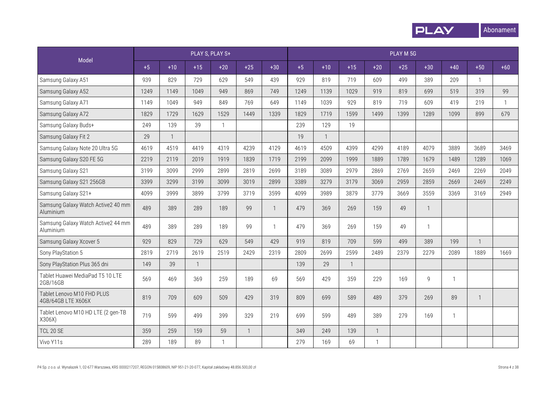

|                                                  |      |              |              | PLAY S, PLAY S+ |              |                |      |              |       |              | PLAY M 5G |                |              |              |              |
|--------------------------------------------------|------|--------------|--------------|-----------------|--------------|----------------|------|--------------|-------|--------------|-----------|----------------|--------------|--------------|--------------|
| Model                                            | $+5$ | $+10$        | $+15$        | $+20$           | $+25$        | $+30$          | $+5$ | $+10$        | $+15$ | $+20$        | $+25$     | $+30$          | $+40$        | $+50$        | $+60$        |
| Samsung Galaxy A51                               | 939  | 829          | 729          | 629             | 549          | 439            | 929  | 819          | 719   | 609          | 499       | 389            | 209          | $\mathbf{1}$ |              |
| Samsung Galaxy A52                               | 1249 | 1149         | 1049         | 949             | 869          | 749            | 1249 | 1139         | 1029  | 919          | 819       | 699            | 519          | 319          | 99           |
| Samsung Galaxy A71                               | 1149 | 1049         | 949          | 849             | 769          | 649            | 1149 | 1039         | 929   | 819          | 719       | 609            | 419          | 219          | $\mathbf{1}$ |
| Samsung Galaxy A72                               | 1829 | 1729         | 1629         | 1529            | 1449         | 1339           | 1829 | 1719         | 1599  | 1499         | 1399      | 1289           | 1099         | 899          | 679          |
| Samsung Galaxy Buds+                             | 249  | 139          | 39           | $\mathbf{1}$    |              |                | 239  | 129          | 19    |              |           |                |              |              |              |
| Samsung Galaxy Fit 2                             | 29   | $\mathbf{1}$ |              |                 |              |                | 19   | $\mathbf{1}$ |       |              |           |                |              |              |              |
| Samsung Galaxy Note 20 Ultra 5G                  | 4619 | 4519         | 4419         | 4319            | 4239         | 4129           | 4619 | 4509         | 4399  | 4299         | 4189      | 4079           | 3889         | 3689         | 3469         |
| Samsung Galaxy S20 FE 5G                         | 2219 | 2119         | 2019         | 1919            | 1839         | 1719           | 2199 | 2099         | 1999  | 1889         | 1789      | 1679           | 1489         | 1289         | 1069         |
| Samsung Galaxy S21                               | 3199 | 3099         | 2999         | 2899            | 2819         | 2699           | 3189 | 3089         | 2979  | 2869         | 2769      | 2659           | 2469         | 2269         | 2049         |
| Samsung Galaxy S21 256GB                         | 3399 | 3299         | 3199         | 3099            | 3019         | 2899           | 3389 | 3279         | 3179  | 3069         | 2959      | 2859           | 2669         | 2469         | 2249         |
| Samsung Galaxy S21+                              | 4099 | 3999         | 3899         | 3799            | 3719         | 3599           | 4099 | 3989         | 3879  | 3779         | 3669      | 3559           | 3369         | 3169         | 2949         |
| Samsung Galaxy Watch Active2 40 mm<br>Aluminium  | 489  | 389          | 289          | 189             | 99           | $\mathbf{1}$   | 479  | 369          | 269   | 159          | 49        | $\mathbf{1}$   |              |              |              |
| Samsung Galaxy Watch Active2 44 mm<br>Aluminium  | 489  | 389          | 289          | 189             | 99           | $\overline{1}$ | 479  | 369          | 269   | 159          | 49        | $\mathbf{1}$   |              |              |              |
| Samsung Galaxy Xcover 5                          | 929  | 829          | 729          | 629             | 549          | 429            | 919  | 819          | 709   | 599          | 499       | 389            | 199          | $\mathbf{1}$ |              |
| Sony PlayStation 5                               | 2819 | 2719         | 2619         | 2519            | 2429         | 2319           | 2809 | 2699         | 2599  | 2489         | 2379      | 2279           | 2089         | 1889         | 1669         |
| Sony PlayStation Plus 365 dni                    | 149  | 39           | $\mathbf{1}$ |                 |              |                | 139  | 29           |       |              |           |                |              |              |              |
| Tablet Huawei MediaPad T5 10 LTE<br>2GB/16GB     | 569  | 469          | 369          | 259             | 189          | 69             | 569  | 429          | 359   | 229          | 169       | $\overline{9}$ | $\mathbf{1}$ |              |              |
| Tablet Lenovo M10 FHD PLUS<br>4GB/64GB LTE X606X | 819  | 709          | 609          | 509             | 429          | 319            | 809  | 699          | 589   | 489          | 379       | 269            | 89           | $\mathbf{1}$ |              |
| Tablet Lenovo M10 HD LTE (2 gen-TB<br>X306X)     | 719  | 599          | 499          | 399             | 329          | 219            | 699  | 599          | 489   | 389          | 279       | 169            | $\mathbf{1}$ |              |              |
| <b>TCL 20 SE</b>                                 | 359  | 259          | 159          | 59              | $\mathbf{1}$ |                | 349  | 249          | 139   | $\mathbf{1}$ |           |                |              |              |              |
| Vivo Y11s                                        | 289  | 189          | 89           | 1               |              |                | 279  | 169          | 69    | $\mathbf{1}$ |           |                |              |              |              |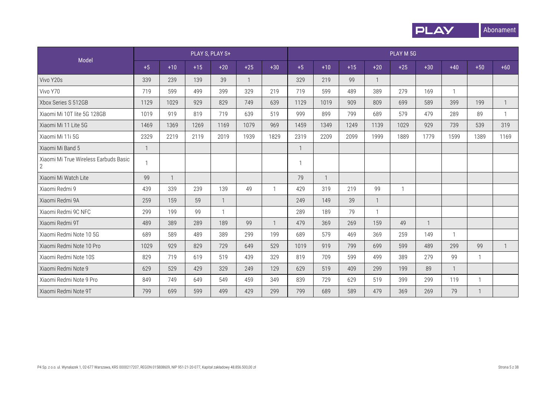

|                                                       |              |              | PLAY S, PLAY S+ |              |              |              |      |              |       |              | PLAY M 5G |              |              |              |              |
|-------------------------------------------------------|--------------|--------------|-----------------|--------------|--------------|--------------|------|--------------|-------|--------------|-----------|--------------|--------------|--------------|--------------|
| Model                                                 | $+5$         | $+10$        | $+15$           | $+20$        | $+25$        | $+30$        | $+5$ | $+10$        | $+15$ | $+20$        | $+25$     | $+30$        | $+40$        | $+50$        | $+60$        |
| Vivo Y20s                                             | 339          | 239          | 139             | 39           | $\mathbf{1}$ |              | 329  | 219          | 99    | $\mathbf{1}$ |           |              |              |              |              |
| Vivo Y70                                              | 719          | 599          | 499             | 399          | 329          | 219          | 719  | 599          | 489   | 389          | 279       | 169          | $\mathbf{1}$ |              |              |
| Xbox Series S 512GB                                   | 1129         | 1029         | 929             | 829          | 749          | 639          | 1129 | 1019         | 909   | 809          | 699       | 589          | 399          | 199          | $\mathbf{1}$ |
| Xiaomi Mi 10T lite 5G 128GB                           | 1019         | 919          | 819             | 719          | 639          | 519          | 999  | 899          | 799   | 689          | 579       | 479          | 289          | 89           | $\mathbf{1}$ |
| Xiaomi Mi 11 Lite 5G                                  | 1469         | 1369         | 1269            | 1169         | 1079         | 969          | 1459 | 1349         | 1249  | 1139         | 1029      | 929          | 739          | 539          | 319          |
| Xiaomi Mi 11i 5G                                      | 2329         | 2219         | 2119            | 2019         | 1939         | 1829         | 2319 | 2209         | 2099  | 1999         | 1889      | 1779         | 1599         | 1389         | 1169         |
| Xiaomi Mi Band 5                                      | $\mathbf{1}$ |              |                 |              |              |              |      |              |       |              |           |              |              |              |              |
| Xiaomi Mi True Wireless Earbuds Basic<br>$\mathbf{2}$ |              |              |                 |              |              |              |      |              |       |              |           |              |              |              |              |
| Xiaomi Mi Watch Lite                                  | 99           | $\mathbf{1}$ |                 |              |              |              | 79   | $\mathbf{1}$ |       |              |           |              |              |              |              |
| Xiaomi Redmi 9                                        | 439          | 339          | 239             | 139          | 49           |              | 429  | 319          | 219   | 99           | -1        |              |              |              |              |
| Xiaomi Redmi 9A                                       | 259          | 159          | 59              | $\mathbf{1}$ |              |              | 249  | 149          | 39    | $\mathbf{1}$ |           |              |              |              |              |
| Xiaomi Redmi 9C NFC                                   | 299          | 199          | 99              | $\mathbf 1$  |              |              | 289  | 189          | 79    | $\mathbf{1}$ |           |              |              |              |              |
| Xiaomi Redmi 9T                                       | 489          | 389          | 289             | 189          | 99           | $\mathbf{1}$ | 479  | 369          | 269   | 159          | 49        | $\mathbf{1}$ |              |              |              |
| Xiaomi Redmi Note 10 5G                               | 689          | 589          | 489             | 389          | 299          | 199          | 689  | 579          | 469   | 369          | 259       | 149          | $\mathbf{1}$ |              |              |
| Xiaomi Redmi Note 10 Pro                              | 1029         | 929          | 829             | 729          | 649          | 529          | 1019 | 919          | 799   | 699          | 599       | 489          | 299          | 99           | $\mathbf{1}$ |
| Xiaomi Redmi Note 10S                                 | 829          | 719          | 619             | 519          | 439          | 329          | 819  | 709          | 599   | 499          | 389       | 279          | 99           | $\mathbf{1}$ |              |
| Xiaomi Redmi Note 9                                   | 629          | 529          | 429             | 329          | 249          | 129          | 629  | 519          | 409   | 299          | 199       | 89           | $\mathbf{1}$ |              |              |
| Xiaomi Redmi Note 9 Pro                               | 849          | 749          | 649             | 549          | 459          | 349          | 839  | 729          | 629   | 519          | 399       | 299          | 119          |              |              |
| Xiaomi Redmi Note 9T                                  | 799          | 699          | 599             | 499          | 429          | 299          | 799  | 689          | 589   | 479          | 369       | 269          | 79           |              |              |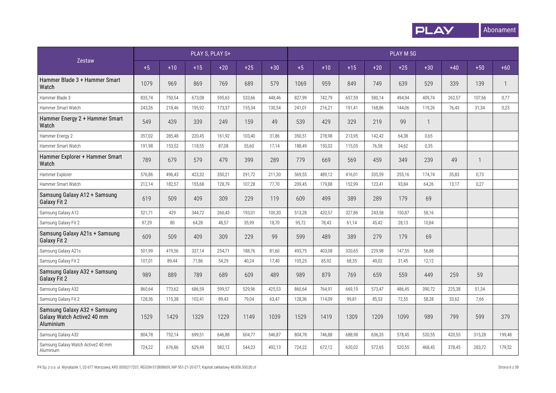

|                                                                         |        |        | PLAY S, PLAY S+ |        |        |        |        |        |        |        | PLAY M 5G |        |        |        |              |
|-------------------------------------------------------------------------|--------|--------|-----------------|--------|--------|--------|--------|--------|--------|--------|-----------|--------|--------|--------|--------------|
| Zestaw                                                                  | $+5$   | $+10$  | $+15$           | $+20$  | $+25$  | $+30$  | $+5$   | $+10$  | $+15$  | $+20$  | $+25$     | $+30$  | $+40$  | $+50$  | $+60$        |
| Hammer Blade 3 + Hammer Smart<br>Watch                                  | 1079   | 969    | 869             | 769    | 689    | 579    | 1069   | 959    | 849    | 749    | 639       | 529    | 339    | 139    | $\mathbf{1}$ |
| Hammer Blade 3                                                          | 835,74 | 750,54 | 673,08          | 595,63 | 533,66 | 448,46 | 827,99 | 742,79 | 657,59 | 580,14 | 494,94    | 409,74 | 262,57 | 107,66 | 0,77         |
| Hammer Smart Watch                                                      | 243,26 | 218,46 | 195,92          | 173,37 | 155,34 | 130,54 | 241,01 | 216,21 | 191,41 | 168,86 | 144,06    | 119,26 | 76,43  | 31,34  | 0,23         |
| Hammer Energy 2 + Hammer Smart<br>Watch                                 | 549    | 439    | 339             | 249    | 159    | 49     | 539    | 429    | 329    | 219    | 99        | 1      |        |        |              |
| Hammer Energy 2                                                         | 357,02 | 285,48 | 220,45          | 161,92 | 103,40 | 31,86  | 350,51 | 278,98 | 213,95 | 142,42 | 64,38     | 0,65   |        |        |              |
| Hammer Smart Watch                                                      | 191,98 | 153,52 | 118,55          | 87,08  | 55,60  | 17,14  | 188,49 | 150,02 | 115,05 | 76,58  | 34,62     | 0,35   |        |        |              |
| Hammer Explorer + Hammer Smart<br>Watch                                 | 789    | 679    | 579             | 479    | 399    | 289    | 779    | 669    | 569    | 459    | 349       | 239    | 49     |        |              |
| Hammer Explorer                                                         | 576,86 | 496,43 | 423,32          | 350,21 | 291,72 | 211,30 | 569,55 | 489,12 | 416,01 | 335,59 | 255,16    | 174,74 | 35,83  | 0,73   |              |
| Hammer Smart Watch                                                      | 212,14 | 182,57 | 155,68          | 128.79 | 107,28 | 77,70  | 209,45 | 179,88 | 152,99 | 123,41 | 93.84     | 64,26  | 13,17  | 0,27   |              |
| Samsung Galaxy A12 + Samsung<br><b>Galaxy Fit 2</b>                     | 619    | 509    | 409             | 309    | 229    | 119    | 609    | 499    | 389    | 289    | 179       | 69     |        |        |              |
| Samsung Galaxy A12                                                      | 521,71 | 429    | 344,72          | 260,43 | 193,01 | 100,30 | 513,28 | 420,57 | 327,86 | 243,58 | 150,87    | 58,16  |        |        |              |
| Samsung Galaxy Fit 2                                                    | 97,29  | 80     | 64,28           | 48,57  | 35,99  | 18,70  | 95,72  | 78,43  | 61,14  | 45,42  | 28,13     | 10,84  |        |        |              |
| Samsung Galaxy A21s + Samsung<br><b>Galaxy Fit 2</b>                    | 609    | 509    | 409             | 309    | 229    | 99     | 599    | 489    | 389    | 279    | 179       | 69     |        |        |              |
| Samsung Galaxy A21s                                                     | 501,99 | 419,56 | 337,14          | 254,71 | 188,76 | 81,60  | 493,75 | 403,08 | 320,65 | 229,98 | 147,55    | 56,88  |        |        |              |
| Samsung Galaxy Fit 2                                                    | 107,01 | 89,44  | 71,86           | 54,29  | 40,24  | 17,40  | 105,25 | 85,92  | 68,35  | 49,02  | 31,45     | 12,12  |        |        |              |
| Samsung Galaxy A32 + Samsung<br><b>Galaxy Fit 2</b>                     | 989    | 889    | 789             | 689    | 609    | 489    | 989    | 879    | 769    | 659    | 559       | 449    | 259    | 59     |              |
| Samsung Galaxy A32                                                      | 860,64 | 773,62 | 686,59          | 599,57 | 529,96 | 425,53 | 860,64 | 764,91 | 669,19 | 573,47 | 486,45    | 390,72 | 225,38 | 51,34  |              |
| Samsung Galaxy Fit 2                                                    | 128,36 | 115,38 | 102,41          | 89,43  | 79,04  | 63,47  | 128,36 | 114,09 | 99,81  | 85,53  | 72,55     | 58,28  | 33,62  | 7,66   |              |
| Samsung Galaxy A32 + Samsung<br>Galaxy Watch Active2 40 mm<br>Aluminium | 1529   | 1429   | 1329            | 1229   | 1149   | 1039   | 1529   | 1419   | 1309   | 1209   | 1099      | 989    | 799    | 599    | 379          |
| Samsung Galaxy A32                                                      | 804,78 | 752,14 | 699,51          | 646,88 | 604,77 | 546,87 | 804,78 | 746,88 | 688,98 | 636,35 | 578,45    | 520,55 | 420,55 | 315,28 | 199,48       |
| Samsung Galaxy Watch Active2 40 mm<br>Aluminium                         | 724,22 | 676,86 | 629,49          | 582,12 | 544,23 | 492,13 | 724,22 | 672,12 | 620,02 | 572,65 | 520,55    | 468,45 | 378,45 | 283,72 | 179,52       |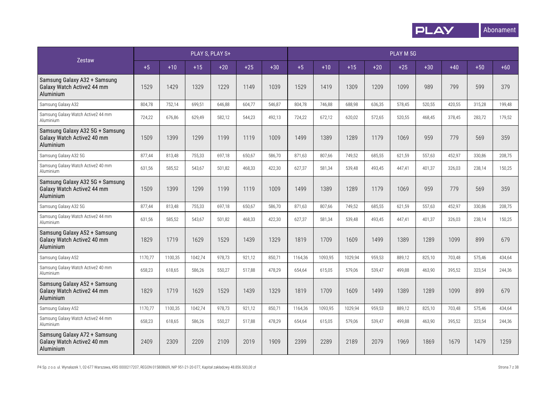

|                                                                            |         |         |         | PLAY S, PLAY S+ |        |        |         |         |         |        | PLAY M 5G |        |        |        |        |
|----------------------------------------------------------------------------|---------|---------|---------|-----------------|--------|--------|---------|---------|---------|--------|-----------|--------|--------|--------|--------|
| Zestaw                                                                     | $+5$    | $+10$   | $+15$   | $+20$           | $+25$  | $+30$  | $+5$    | $+10$   | $+15$   | $+20$  | $+25$     | $+30$  | $+40$  | $+50$  | $+60$  |
| Samsung Galaxy A32 + Samsung<br>Galaxy Watch Active2 44 mm<br>Aluminium    | 1529    | 1429    | 1329    | 1229            | 1149   | 1039   | 1529    | 1419    | 1309    | 1209   | 1099      | 989    | 799    | 599    | 379    |
| Samsung Galaxy A32                                                         | 804,78  | 752,14  | 699,51  | 646.88          | 604.77 | 546,87 | 804,78  | 746,88  | 688.98  | 636,35 | 578,45    | 520,55 | 420,55 | 315,28 | 199.48 |
| Samsung Galaxy Watch Active2 44 mm<br>Aluminium                            | 724,22  | 676,86  | 629,49  | 582,12          | 544,23 | 492,13 | 724,22  | 672,12  | 620,02  | 572,65 | 520,55    | 468,45 | 378,45 | 283,72 | 179,52 |
| Samsung Galaxy A32 5G + Samsung<br>Galaxy Watch Active2 40 mm<br>Aluminium | 1509    | 1399    | 1299    | 1199            | 1119   | 1009   | 1499    | 1389    | 1289    | 1179   | 1069      | 959    | 779    | 569    | 359    |
| Samsung Galaxy A32 5G                                                      | 877,44  | 813,48  | 755,33  | 697,18          | 650,67 | 586,70 | 871,63  | 807,66  | 749,52  | 685,55 | 621,59    | 557,63 | 452,97 | 330,86 | 208,75 |
| Samsung Galaxy Watch Active2 40 mm<br>Aluminium                            | 631,56  | 585,52  | 543,67  | 501,82          | 468,33 | 422,30 | 627,37  | 581,34  | 539,48  | 493,45 | 447,41    | 401,37 | 326,03 | 238,14 | 150,25 |
| Samsung Galaxy A32 5G + Samsung<br>Galaxy Watch Active2 44 mm<br>Aluminium | 1509    | 1399    | 1299    | 1199            | 1119   | 1009   | 1499    | 1389    | 1289    | 1179   | 1069      | 959    | 779    | 569    | 359    |
| Samsung Galaxy A32 5G                                                      | 877,44  | 813,48  | 755,33  | 697,18          | 650,67 | 586,70 | 871,63  | 807,66  | 749,52  | 685,55 | 621,59    | 557,63 | 452,97 | 330,86 | 208,75 |
| Samsung Galaxy Watch Active2 44 mm<br>Aluminium                            | 631,56  | 585,52  | 543,67  | 501,82          | 468,33 | 422,30 | 627,37  | 581,34  | 539,48  | 493,45 | 447,41    | 401,37 | 326,03 | 238,14 | 150,25 |
| Samsung Galaxy A52 + Samsung<br>Galaxy Watch Active2 40 mm<br>Aluminium    | 1829    | 1719    | 1629    | 1529            | 1439   | 1329   | 1819    | 1709    | 1609    | 1499   | 1389      | 1289   | 1099   | 899    | 679    |
| Samsung Galaxy A52                                                         | 1170,77 | 1100,35 | 1042,74 | 978,73          | 921,12 | 850,71 | 1164,36 | 1093,95 | 1029,94 | 959,53 | 889,12    | 825,10 | 703,48 | 575,46 | 434,64 |
| Samsung Galaxy Watch Active2 40 mm<br>Aluminium                            | 658,23  | 618,65  | 586,26  | 550,27          | 517,88 | 478,29 | 654,64  | 615,05  | 579,06  | 539,47 | 499,88    | 463,90 | 395,52 | 323,54 | 244,36 |
| Samsung Galaxy A52 + Samsung<br>Galaxy Watch Active2 44 mm<br>Aluminium    | 1829    | 1719    | 1629    | 1529            | 1439   | 1329   | 1819    | 1709    | 1609    | 1499   | 1389      | 1289   | 1099   | 899    | 679    |
| Samsung Galaxy A52                                                         | 1170,77 | 1100,35 | 1042,74 | 978,73          | 921,12 | 850,71 | 1164,36 | 1093,95 | 1029,94 | 959,53 | 889,12    | 825,10 | 703,48 | 575,46 | 434,64 |
| Samsung Galaxy Watch Active2 44 mm<br>Aluminium                            | 658,23  | 618,65  | 586,26  | 550,27          | 517,88 | 478,29 | 654,64  | 615,05  | 579.06  | 539.47 | 499.88    | 463,90 | 395,52 | 323,54 | 244,36 |
| Samsung Galaxy A72 + Samsung<br>Galaxy Watch Active2 40 mm<br>Aluminium    | 2409    | 2309    | 2209    | 2109            | 2019   | 1909   | 2399    | 2289    | 2189    | 2079   | 1969      | 1869   | 1679   | 1479   | 1259   |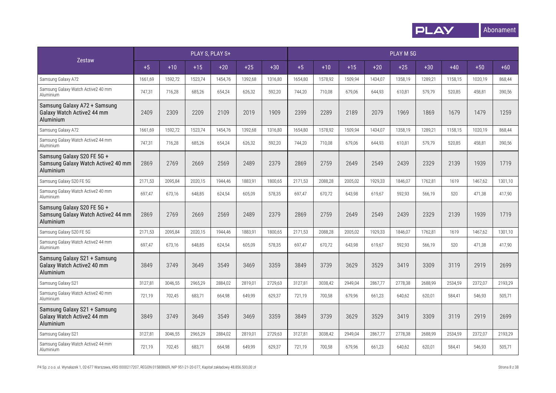

|                                                                               |         |         |         | PLAY S, PLAY S+ |         |         |         |         |         |         | PLAY M 5G |         |         |         |         |
|-------------------------------------------------------------------------------|---------|---------|---------|-----------------|---------|---------|---------|---------|---------|---------|-----------|---------|---------|---------|---------|
| <b>Zestaw</b>                                                                 | $+5$    | $+10$   | $+15$   | $+20$           | $+25$   | $+30$   | $+5$    | $+10$   | $+15$   | $+20$   | $+25$     | $+30$   | $+40$   | $+50$   | $+60$   |
| Samsung Galaxy A72                                                            | 1661,69 | 1592,72 | 1523,74 | 1454,76         | 1392.68 | 1316,80 | 1654,80 | 1578,92 | 1509.94 | 1434.07 | 1358.19   | 1289,21 | 1158,15 | 1020,19 | 868.44  |
| Samsung Galaxy Watch Active2 40 mm<br>Aluminium                               | 747,31  | 716,28  | 685,26  | 654,24          | 626,32  | 592,20  | 744,20  | 710,08  | 679,06  | 644,93  | 610,81    | 579,79  | 520,85  | 458,81  | 390,56  |
| Samsung Galaxy A72 + Samsung<br>Galaxy Watch Active2 44 mm<br>Aluminium       | 2409    | 2309    | 2209    | 2109            | 2019    | 1909    | 2399    | 2289    | 2189    | 2079    | 1969      | 1869    | 1679    | 1479    | 1259    |
| Samsung Galaxy A72                                                            | 1661,69 | 1592,72 | 1523,74 | 1454,76         | 1392,68 | 1316,80 | 1654,80 | 1578,92 | 1509,94 | 1434,07 | 1358,19   | 1289,21 | 1158,15 | 1020,19 | 868,44  |
| Samsung Galaxy Watch Active2 44 mm<br>Aluminium                               | 747,31  | 716,28  | 685,26  | 654,24          | 626,32  | 592,20  | 744,20  | 710,08  | 679,06  | 644,93  | 610,81    | 579,79  | 520,85  | 458,81  | 390,56  |
| Samsung Galaxy S20 FE 5G +<br>Samsung Galaxy Watch Active2 40 mm<br>Aluminium | 2869    | 2769    | 2669    | 2569            | 2489    | 2379    | 2869    | 2759    | 2649    | 2549    | 2439      | 2329    | 2139    | 1939    | 1719    |
| Samsung Galaxy S20 FE 5G                                                      | 2171,53 | 2095,84 | 2020,15 | 1944,46         | 1883,91 | 1800,65 | 2171,53 | 2088,28 | 2005,02 | 1929,33 | 1846,07   | 1762,81 | 1619    | 1467,62 | 1301,10 |
| Samsung Galaxy Watch Active2 40 mm<br>Aluminium                               | 697,47  | 673,16  | 648,85  | 624,54          | 605,09  | 578,35  | 697,47  | 670,72  | 643,98  | 619.67  | 592,93    | 566,19  | 520     | 471,38  | 417,90  |
| Samsung Galaxy S20 FE 5G +<br>Samsung Galaxy Watch Active2 44 mm<br>Aluminium | 2869    | 2769    | 2669    | 2569            | 2489    | 2379    | 2869    | 2759    | 2649    | 2549    | 2439      | 2329    | 2139    | 1939    | 1719    |
| Samsung Galaxy S20 FE 5G                                                      | 2171,53 | 2095,84 | 2020,15 | 1944,46         | 1883,91 | 1800,65 | 2171,53 | 2088,28 | 2005,02 | 1929,33 | 1846.07   | 1762,81 | 1619    | 1467,62 | 1301,10 |
| Samsung Galaxy Watch Active2 44 mm<br>Aluminium                               | 697,47  | 673,16  | 648,85  | 624,54          | 605,09  | 578,35  | 697,47  | 670,72  | 643,98  | 619,67  | 592,93    | 566,19  | 520     | 471,38  | 417,90  |
| Samsung Galaxy S21 + Samsung<br>Galaxy Watch Active2 40 mm<br>Aluminium       | 3849    | 3749    | 3649    | 3549            | 3469    | 3359    | 3849    | 3739    | 3629    | 3529    | 3419      | 3309    | 3119    | 2919    | 2699    |
| Samsung Galaxy S21                                                            | 3127,81 | 3046,55 | 2965,29 | 2884,02         | 2819,01 | 2729,63 | 3127,81 | 3038,42 | 2949,04 | 2867,77 | 2778,38   | 2688,99 | 2534,59 | 2372,07 | 2193,29 |
| Samsung Galaxy Watch Active2 40 mm<br>Aluminium                               | 721,19  | 702,45  | 683,71  | 664,98          | 649,99  | 629,37  | 721,19  | 700,58  | 679,96  | 661,23  | 640,62    | 620,01  | 584,41  | 546,93  | 505,71  |
| Samsung Galaxy S21 + Samsung<br>Galaxy Watch Active2 44 mm<br>Aluminium       | 3849    | 3749    | 3649    | 3549            | 3469    | 3359    | 3849    | 3739    | 3629    | 3529    | 3419      | 3309    | 3119    | 2919    | 2699    |
| Samsung Galaxy S21                                                            | 3127,81 | 3046,55 | 2965,29 | 2884.02         | 2819,01 | 2729,63 | 3127,81 | 3038,42 | 2949.04 | 2867,77 | 2778,38   | 2688,99 | 2534,59 | 2372,07 | 2193,29 |
| Samsung Galaxy Watch Active2 44 mm<br>Aluminium                               | 721,19  | 702,45  | 683,71  | 664,98          | 649,99  | 629,37  | 721,19  | 700,58  | 679,96  | 661,23  | 640,62    | 620,01  | 584,41  | 546,93  | 505,71  |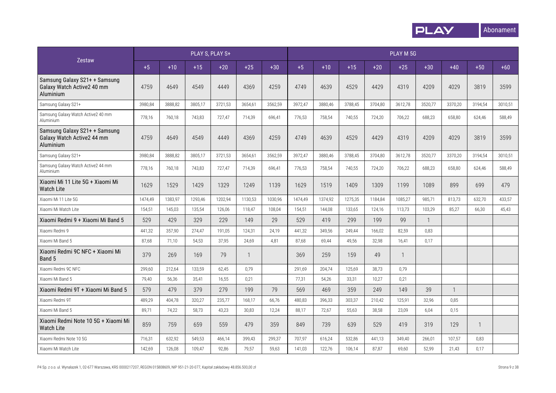

|                                                                          |         |         |         | PLAY S, PLAY S+ |              |         |         |         |         |         | PLAY M 5G    |                |              |         |         |
|--------------------------------------------------------------------------|---------|---------|---------|-----------------|--------------|---------|---------|---------|---------|---------|--------------|----------------|--------------|---------|---------|
| Zestaw                                                                   | $+5$    | $+10$   | $+15$   | $+20$           | $+25$        | $+30$   | $+5$    | $+10$   | $+15$   | $+20$   | $+25$        | $+30$          | $+40$        | $+50$   | $+60$   |
| Samsung Galaxy S21+ + Samsung<br>Galaxy Watch Active2 40 mm<br>Aluminium | 4759    | 4649    | 4549    | 4449            | 4369         | 4259    | 4749    | 4639    | 4529    | 4429    | 4319         | 4209           | 4029         | 3819    | 3599    |
| Samsung Galaxy S21+                                                      | 3980,84 | 3888,82 | 3805,17 | 3721,53         | 3654,61      | 3562,59 | 3972,47 | 3880,46 | 3788,45 | 3704,80 | 3612,78      | 3520,77        | 3370,20      | 3194,54 | 3010,51 |
| Samsung Galaxy Watch Active2 40 mm<br>Aluminium                          | 778,16  | 760,18  | 743,83  | 727,47          | 714,39       | 696,41  | 776,53  | 758,54  | 740,55  | 724,20  | 706,22       | 688,23         | 658,80       | 624,46  | 588,49  |
| Samsung Galaxy S21+ + Samsung<br>Galaxy Watch Active2 44 mm<br>Aluminium | 4759    | 4649    | 4549    | 4449            | 4369         | 4259    | 4749    | 4639    | 4529    | 4429    | 4319         | 4209           | 4029         | 3819    | 3599    |
| Samsung Galaxy S21+                                                      | 3980,84 | 3888,82 | 3805,17 | 3721,53         | 3654,61      | 3562,59 | 3972,47 | 3880,46 | 3788,45 | 3704,80 | 3612,78      | 3520,77        | 3370,20      | 3194,54 | 3010,51 |
| Samsung Galaxy Watch Active2 44 mm<br>Aluminium                          | 778,16  | 760,18  | 743,83  | 727,47          | 714,39       | 696,41  | 776,53  | 758,54  | 740,55  | 724,20  | 706,22       | 688,23         | 658,80       | 624,46  | 588,49  |
| Xiaomi Mi 11 Lite 5G + Xiaomi Mi<br><b>Watch Lite</b>                    | 1629    | 1529    | 1429    | 1329            | 1249         | 1139    | 1629    | 1519    | 1409    | 1309    | 1199         | 1089           | 899          | 699     | 479     |
| Xiaomi Mi 11 Lite 5G                                                     | 1474,49 | 1383,97 | 1293,46 | 1202,94         | 1130,53      | 1030,96 | 1474,49 | 1374,92 | 1275,35 | 1184,84 | 1085,27      | 985,71         | 813,73       | 632,70  | 433,57  |
| Xiaomi Mi Watch Lite                                                     | 154,51  | 145,03  | 135,54  | 126,06          | 118,47       | 108,04  | 154,51  | 144,08  | 133,65  | 124,16  | 113,73       | 103,29         | 85,27        | 66,30   | 45,43   |
| Xiaomi Redmi 9 + Xiaomi Mi Band 5                                        | 529     | 429     | 329     | 229             | 149          | 29      | 529     | 419     | 299     | 199     | 99           | $\overline{1}$ |              |         |         |
| Xiaomi Redmi 9                                                           | 441,32  | 357,90  | 274,47  | 191,05          | 124,31       | 24,19   | 441,32  | 349,56  | 249,44  | 166,02  | 82,59        | 0,83           |              |         |         |
| Xiaomi Mi Band 5                                                         | 87,68   | 71,10   | 54,53   | 37,95           | 24,69        | 4,81    | 87,68   | 69,44   | 49,56   | 32,98   | 16,41        | 0,17           |              |         |         |
| Xiaomi Redmi 9C NFC + Xiaomi Mi<br>Band 5                                | 379     | 269     | 169     | 79              | $\mathbf{1}$ |         | 369     | 259     | 159     | 49      | $\mathbf{1}$ |                |              |         |         |
| Xiaomi Redmi 9C NFC                                                      | 299,60  | 212,64  | 133,59  | 62,45           | 0,79         |         | 291,69  | 204,74  | 125,69  | 38,73   | 0,79         |                |              |         |         |
| Xiaomi Mi Band 5                                                         | 79,40   | 56,36   | 35,41   | 16,55           | 0,21         |         | 77,31   | 54,26   | 33,31   | 10,27   | 0,21         |                |              |         |         |
| Xiaomi Redmi 9T + Xiaomi Mi Band 5                                       | 579     | 479     | 379     | 279             | 199          | 79      | 569     | 469     | 359     | 249     | 149          | 39             | $\mathbf{1}$ |         |         |
| Xiaomi Redmi 9T                                                          | 489,29  | 404,78  | 320,27  | 235,77          | 168,17       | 66,76   | 480,83  | 396,33  | 303,37  | 210,42  | 125,91       | 32,96          | 0,85         |         |         |
| Xiaomi Mi Band 5                                                         | 89,71   | 74,22   | 58,73   | 43,23           | 30,83        | 12,24   | 88,17   | 72,67   | 55,63   | 38,58   | 23,09        | 6,04           | 0,15         |         |         |
| Xiaomi Redmi Note 10 5G + Xiaomi Mi<br><b>Watch Lite</b>                 | 859     | 759     | 659     | 559             | 479          | 359     | 849     | 739     | 639     | 529     | 419          | 319            | 129          |         |         |
| Xiaomi Redmi Note 10 5G                                                  | 716,31  | 632,92  | 549,53  | 466,14          | 399,43       | 299,37  | 707,97  | 616,24  | 532,86  | 441,13  | 349,40       | 266,01         | 107,57       | 0,83    |         |
| Xiaomi Mi Watch Lite                                                     | 142,69  | 126,08  | 109,47  | 92,86           | 79,57        | 59,63   | 141,03  | 122,76  | 106,14  | 87,87   | 69,60        | 52,99          | 21,43        | 0,17    |         |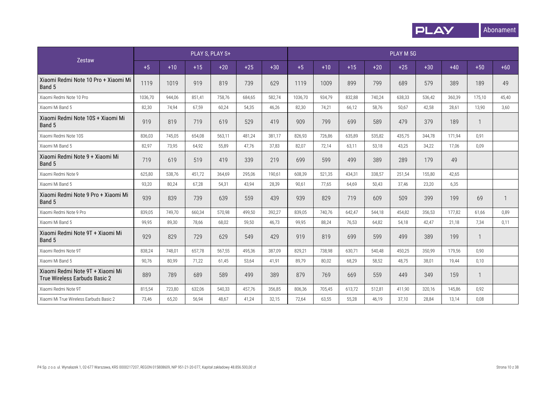

|                                                                   |         |        | PLAY S, PLAY S+ |        |        |        |         |        |        |        | PLAY M 5G |        |        |        |              |
|-------------------------------------------------------------------|---------|--------|-----------------|--------|--------|--------|---------|--------|--------|--------|-----------|--------|--------|--------|--------------|
| Zestaw                                                            | $+5$    | $+10$  | $+15$           | $+20$  | $+25$  | $+30$  | $+5$    | $+10$  | $+15$  | $+20$  | $+25$     | $+30$  | $+40$  | $+50$  | $+60$        |
| Xiaomi Redmi Note 10 Pro + Xiaomi Mi<br>Band 5                    | 1119    | 1019   | 919             | 819    | 739    | 629    | 1119    | 1009   | 899    | 799    | 689       | 579    | 389    | 189    | 49           |
| Xiaomi Redmi Note 10 Pro                                          | 1036,70 | 944,06 | 851,41          | 758,76 | 684,65 | 582,74 | 1036,70 | 934.79 | 832,88 | 740.24 | 638,33    | 536,42 | 360,39 | 175,10 | 45,40        |
| Xiaomi Mi Band 5                                                  | 82,30   | 74,94  | 67,59           | 60,24  | 54,35  | 46,26  | 82,30   | 74,21  | 66,12  | 58,76  | 50,67     | 42,58  | 28,61  | 13,90  | 3,60         |
| Xiaomi Redmi Note 10S + Xiaomi Mi<br>Band 5                       | 919     | 819    | 719             | 619    | 529    | 419    | 909     | 799    | 699    | 589    | 479       | 379    | 189    |        |              |
| Xiaomi Redmi Note 10S                                             | 836,03  | 745,05 | 654,08          | 563,11 | 481,24 | 381,17 | 826,93  | 726,86 | 635,89 | 535,82 | 435,75    | 344,78 | 171,94 | 0,91   |              |
| Xiaomi Mi Band 5                                                  | 82,97   | 73,95  | 64,92           | 55,89  | 47,76  | 37,83  | 82,07   | 72,14  | 63,11  | 53,18  | 43,25     | 34,22  | 17,06  | 0,09   |              |
| Xiaomi Redmi Note 9 + Xiaomi Mi<br>Band 5                         | 719     | 619    | 519             | 419    | 339    | 219    | 699     | 599    | 499    | 389    | 289       | 179    | 49     |        |              |
| Xiaomi Redmi Note 9                                               | 625,80  | 538,76 | 451,72          | 364.69 | 295.06 | 190.61 | 608.39  | 521,35 | 434.31 | 338.57 | 251,54    | 155.80 | 42.65  |        |              |
| Xiaomi Mi Band 5                                                  | 93,20   | 80,24  | 67,28           | 54,31  | 43,94  | 28,39  | 90,61   | 77,65  | 64,69  | 50,43  | 37,46     | 23,20  | 6,35   |        |              |
| Xiaomi Redmi Note 9 Pro + Xiaomi Mi<br>Band 5                     | 939     | 839    | 739             | 639    | 559    | 439    | 939     | 829    | 719    | 609    | 509       | 399    | 199    | 69     | $\mathbf{1}$ |
| Xiaomi Redmi Note 9 Pro                                           | 839,05  | 749,70 | 660,34          | 570.98 | 499.50 | 392,27 | 839.05  | 740.76 | 642.47 | 544.18 | 454.82    | 356.53 | 177.82 | 61,66  | 0,89         |
| Xiaomi Mi Band 5                                                  | 99,95   | 89,30  | 78,66           | 68.02  | 59,50  | 46.73  | 99.95   | 88.24  | 76.53  | 64.82  | 54.18     | 42.47  | 21,18  | 7,34   | 0,11         |
| Xiaomi Redmi Note 9T + Xiaomi Mi<br>Band 5                        | 929     | 829    | 729             | 629    | 549    | 429    | 919     | 819    | 699    | 599    | 499       | 389    | 199    |        |              |
| Xiaomi Redmi Note 9T                                              | 838,24  | 748,01 | 657,78          | 567,55 | 495,36 | 387,09 | 829,21  | 738,98 | 630,71 | 540,48 | 450,25    | 350,99 | 179,56 | 0,90   |              |
| Xiaomi Mi Band 5                                                  | 90.76   | 80,99  | 71,22           | 61,45  | 53,64  | 41.91  | 89.79   | 80,02  | 68.29  | 58,52  | 48.75     | 38,01  | 19,44  | 0,10   |              |
| Xiaomi Redmi Note 9T + Xiaomi Mi<br>True Wireless Earbuds Basic 2 | 889     | 789    | 689             | 589    | 499    | 389    | 879     | 769    | 669    | 559    | 449       | 349    | 159    |        |              |
| Xiaomi Redmi Note 9T                                              | 815,54  | 723,80 | 632,06          | 540,33 | 457,76 | 356,85 | 806,36  | 705,45 | 613,72 | 512,81 | 411,90    | 320,16 | 145,86 | 0,92   |              |
| Xiaomi Mi True Wireless Earbuds Basic 2                           | 73,46   | 65,20  | 56,94           | 48,67  | 41,24  | 32,15  | 72,64   | 63,55  | 55,28  | 46,19  | 37,10     | 28,84  | 13,14  | 0,08   |              |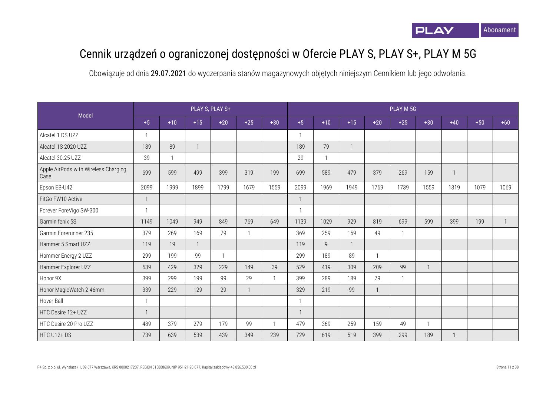## Cennik urządzeń o ograniczonej dostępności w Ofercie PLAY S, PLAY S+, PLAY M 5G

|                                              |      |              |       | PLAY S, PLAY S+ |       |              |      |              |              |       | PLAY M 5G    |                |                |       |              |
|----------------------------------------------|------|--------------|-------|-----------------|-------|--------------|------|--------------|--------------|-------|--------------|----------------|----------------|-------|--------------|
| Model                                        | $+5$ | $+10$        | $+15$ | $+20$           | $+25$ | $+30$        | $+5$ | $+10$        | $+15$        | $+20$ | $+25$        | $+30$          | $+40$          | $+50$ | $+60$        |
| Alcatel 1 DS UZZ                             |      |              |       |                 |       |              |      |              |              |       |              |                |                |       |              |
| Alcatel 1S 2020 UZZ                          | 189  | 89           |       |                 |       |              | 189  | 79           | $\mathbf{1}$ |       |              |                |                |       |              |
| Alcatel 30.25 UZZ                            | 39   | $\mathbf{1}$ |       |                 |       |              | 29   |              |              |       |              |                |                |       |              |
| Apple AirPods with Wireless Charging<br>Case | 699  | 599          | 499   | 399             | 319   | 199          | 699  | 589          | 479          | 379   | 269          | 159            | $\overline{1}$ |       |              |
| Epson EB-U42                                 | 2099 | 1999         | 1899  | 1799            | 1679  | 1559         | 2099 | 1969         | 1949         | 1769  | 1739         | 1559           | 1319           | 1079  | 1069         |
| FitGo FW10 Active                            |      |              |       |                 |       |              |      |              |              |       |              |                |                |       |              |
| Forever ForeVigo SW-300                      |      |              |       |                 |       |              |      |              |              |       |              |                |                |       |              |
| Garmin fenix 5S                              | 1149 | 1049         | 949   | 849             | 769   | 649          | 1139 | 1029         | 929          | 819   | 699          | 599            | 399            | 199   | $\mathbf{1}$ |
| Garmin Forerunner 235                        | 379  | 269          | 169   | 79              |       |              | 369  | 259          | 159          | 49    | $\mathbf 1$  |                |                |       |              |
| Hammer 5 Smart UZZ                           | 119  | 19           |       |                 |       |              | 119  | $\mathsf{Q}$ | $\mathbf{1}$ |       |              |                |                |       |              |
| Hammer Energy 2 UZZ                          | 299  | 199          | 99    |                 |       |              | 299  | 189          | 89           |       |              |                |                |       |              |
| Hammer Explorer UZZ                          | 539  | 429          | 329   | 229             | 149   | 39           | 529  | 419          | 309          | 209   | 99           | $\overline{1}$ |                |       |              |
| Honor 9X                                     | 399  | 299          | 199   | 99              | 29    | $\mathbf{1}$ | 399  | 289          | 189          | 79    | $\mathbf{1}$ |                |                |       |              |
| Honor MagicWatch 2 46mm                      | 339  | 229          | 129   | 29              |       |              | 329  | 219          | 99           |       |              |                |                |       |              |
| Hover Ball                                   |      |              |       |                 |       |              |      |              |              |       |              |                |                |       |              |
| HTC Desire 12+ UZZ                           |      |              |       |                 |       |              |      |              |              |       |              |                |                |       |              |
| HTC Desire 20 Pro UZZ                        | 489  | 379          | 279   | 179             | 99    |              | 479  | 369          | 259          | 159   | 49           |                |                |       |              |
| HTC U12+DS                                   | 739  | 639          | 539   | 439             | 349   | 239          | 729  | 619          | 519          | 399   | 299          | 189            | $\mathbf{1}$   |       |              |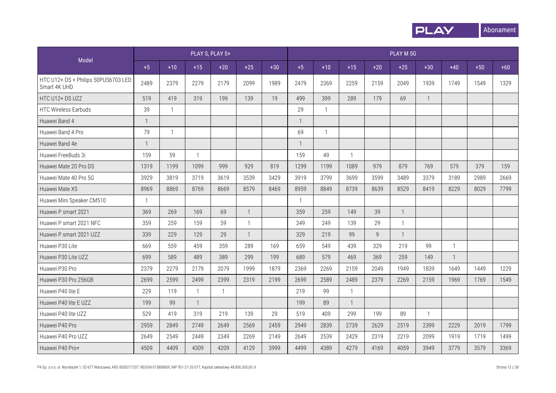

|                                                     |              |              |              | PLAY S, PLAY S+ |              |       |              |              |              |       | PLAY M 5G    |                |                |       |       |
|-----------------------------------------------------|--------------|--------------|--------------|-----------------|--------------|-------|--------------|--------------|--------------|-------|--------------|----------------|----------------|-------|-------|
| Model                                               | $+5$         | $+10$        | $+15$        | $+20$           | $+25$        | $+30$ | $+5$         | $+10$        | $+15$        | $+20$ | $+25$        | $+30$          | $+40$          | $+50$ | $+60$ |
| HTC U12+ DS + Philips 50PUS6703 LED<br>Smart 4K UHD | 2489         | 2379         | 2279         | 2179            | 2099         | 1989  | 2479         | 2369         | 2259         | 2159  | 2049         | 1939           | 1749           | 1549  | 1329  |
| HTC U12+ DS UZZ                                     | 519          | 419          | 319          | 199             | 139          | 19    | 499          | 399          | 289          | 179   | 69           | $\overline{1}$ |                |       |       |
| <b>HTC Wireless Earbuds</b>                         | 39           | $\mathbf{1}$ |              |                 |              |       | 29           | $\mathbf{1}$ |              |       |              |                |                |       |       |
| Huawei Band 4                                       | $\mathbf{1}$ |              |              |                 |              |       |              |              |              |       |              |                |                |       |       |
| Huawei Band 4 Pro                                   | 79           | $\mathbf{1}$ |              |                 |              |       | 69           | $\mathbf{1}$ |              |       |              |                |                |       |       |
| Huawei Band 4e                                      | $\mathbf{1}$ |              |              |                 |              |       | $\mathbf{1}$ |              |              |       |              |                |                |       |       |
| Huawei FreeBuds 3i                                  | 159          | 59           | $\mathbf{1}$ |                 |              |       | 159          | 49           | $\mathbf{1}$ |       |              |                |                |       |       |
| Huawei Mate 20 Pro DS                               | 1319         | 1199         | 1099         | 999             | 929          | 819   | 1299         | 1199         | 1089         | 979   | 879          | 769            | 579            | 379   | 159   |
| Huawei Mate 40 Pro 5G                               | 3929         | 3819         | 3719         | 3619            | 3539         | 3429  | 3919         | 3799         | 3699         | 3599  | 3489         | 3379           | 3189           | 2989  | 2669  |
| Huawei Mate XS                                      | 8969         | 8869         | 8769         | 8669            | 8579         | 8469  | 8959         | 8849         | 8739         | 8639  | 8529         | 8419           | 8229           | 8029  | 7799  |
| Huawei Mini Speaker CM510                           | $\mathbf{1}$ |              |              |                 |              |       | $\mathbf{1}$ |              |              |       |              |                |                |       |       |
| Huawei P smart 2021                                 | 369          | 269          | 169          | 69              | $\mathbf{1}$ |       | 359          | 259          | 149          | 39    | $\mathbf{1}$ |                |                |       |       |
| Huawei P smart 2021 NFC                             | 359          | 259          | 159          | 59              | $\mathbf{1}$ |       | 349          | 249          | 139          | 29    | $\mathbf{1}$ |                |                |       |       |
| Huawei P smart 2021 UZZ                             | 339          | 229          | 129          | 29              | $\mathbf{1}$ |       | 329          | 219          | 99           | Q     | $\mathbf{1}$ |                |                |       |       |
| Huawei P30 Lite                                     | 669          | 559          | 459          | 359             | 289          | 169   | 659          | 549          | 439          | 329   | 219          | 99             | $\mathbf{1}$   |       |       |
| Huawei P30 Lite UZZ                                 | 699          | 589          | 489          | 389             | 299          | 199   | 689          | 579          | 469          | 369   | 259          | 149            | $\overline{1}$ |       |       |
| Huawei P30 Pro                                      | 2379         | 2279         | 2179         | 2079            | 1999         | 1879  | 2369         | 2269         | 2159         | 2049  | 1949         | 1839           | 1649           | 1449  | 1229  |
| Huawei P30 Pro 256GB                                | 2699         | 2599         | 2499         | 2399            | 2319         | 2199  | 2699         | 2589         | 2489         | 2379  | 2269         | 2159           | 1969           | 1769  | 1549  |
| Huawei P40 lite E                                   | 229          | 119          | $\mathbf{1}$ | $\mathbf{1}$    |              |       | 219          | 99           | $\mathbf{1}$ |       |              |                |                |       |       |
| Huawei P40 lite E UZZ                               | 199          | 99           | $\mathbf{1}$ |                 |              |       | 199          | 89           | $\mathbf{1}$ |       |              |                |                |       |       |
| Huawei P40 lite UZZ                                 | 529          | 419          | 319          | 219             | 139          | 29    | 519          | 409          | 299          | 199   | 89           | $\overline{1}$ |                |       |       |
| Huawei P40 Pro                                      | 2959         | 2849         | 2749         | 2649            | 2569         | 2459  | 2949         | 2839         | 2739         | 2629  | 2519         | 2399           | 2229           | 2019  | 1799  |
| Huawei P40 Pro UZZ                                  | 2649         | 2549         | 2449         | 2349            | 2269         | 2149  | 2649         | 2539         | 2429         | 2319  | 2219         | 2099           | 1919           | 1719  | 1499  |
| Huawei P40 Pro+                                     | 4509         | 4409         | 4309         | 4209            | 4129         | 3999  | 4499         | 4389         | 4279         | 4169  | 4059         | 3949           | 3779           | 3579  | 3369  |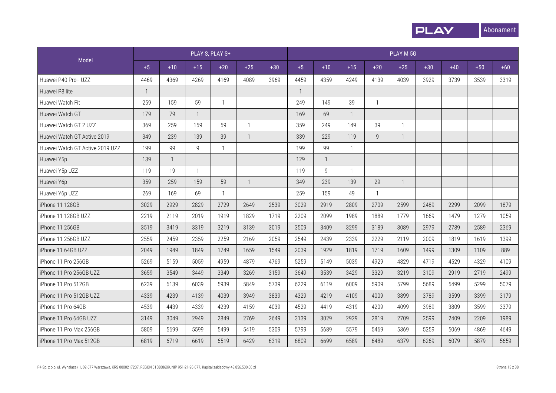

|                                 |             |              |              | PLAY S, PLAY S+ |                |       |              |              |              |              | PLAY M 5G      |       |       |       |       |
|---------------------------------|-------------|--------------|--------------|-----------------|----------------|-------|--------------|--------------|--------------|--------------|----------------|-------|-------|-------|-------|
| Model                           | $+5$        | $+10$        | $+15$        | $+20$           | $+25$          | $+30$ | $+5$         | $+10$        | $+15$        | $+20$        | $+25$          | $+30$ | $+40$ | $+50$ | $+60$ |
| Huawei P40 Pro+ UZZ             | 4469        | 4369         | 4269         | 4169            | 4089           | 3969  | 4459         | 4359         | 4249         | 4139         | 4039           | 3929  | 3739  | 3539  | 3319  |
| Huawei P8 lite                  | $\mathbf 1$ |              |              |                 |                |       | $\mathbf{1}$ |              |              |              |                |       |       |       |       |
| Huawei Watch Fit                | 259         | 159          | 59           | $\mathbf{1}$    |                |       | 249          | 149          | 39           | $\mathbf{1}$ |                |       |       |       |       |
| Huawei Watch GT                 | 179         | 79           | $\mathbf{1}$ |                 |                |       | 169          | 69           | $\mathbf{1}$ |              |                |       |       |       |       |
| Huawei Watch GT 2 UZZ           | 369         | 259          | 159          | 59              | $\mathbf{1}$   |       | 359          | 249          | 149          | 39           | 1              |       |       |       |       |
| Huawei Watch GT Active 2019     | 349         | 239          | 139          | 39              | $\mathbf{1}$   |       | 339          | 229          | 119          | 9            | $\mathbf{1}$   |       |       |       |       |
| Huawei Watch GT Active 2019 UZZ | 199         | 99           | 9            | $\mathbf{1}$    |                |       | 199          | 99           |              |              |                |       |       |       |       |
| Huawei Y5p                      | 139         | $\mathbf{1}$ |              |                 |                |       | 129          | $\mathbf{1}$ |              |              |                |       |       |       |       |
| Huawei Y5p UZZ                  | 119         | 19           |              |                 |                |       | 119          | 9            |              |              |                |       |       |       |       |
| Huawei Y6p                      | 359         | 259          | 159          | 59              | $\overline{1}$ |       | 349          | 239          | 139          | 29           | $\overline{1}$ |       |       |       |       |
| Huawei Y6p UZZ                  | 269         | 169          | 69           | $\mathbf{1}$    |                |       | 259          | 159          | 49           | $\mathbf{1}$ |                |       |       |       |       |
| iPhone 11 128GB                 | 3029        | 2929         | 2829         | 2729            | 2649           | 2539  | 3029         | 2919         | 2809         | 2709         | 2599           | 2489  | 2299  | 2099  | 1879  |
| iPhone 11 128GB UZZ             | 2219        | 2119         | 2019         | 1919            | 1829           | 1719  | 2209         | 2099         | 1989         | 1889         | 1779           | 1669  | 1479  | 1279  | 1059  |
| iPhone 11 256GB                 | 3519        | 3419         | 3319         | 3219            | 3139           | 3019  | 3509         | 3409         | 3299         | 3189         | 3089           | 2979  | 2789  | 2589  | 2369  |
| iPhone 11 256GB UZZ             | 2559        | 2459         | 2359         | 2259            | 2169           | 2059  | 2549         | 2439         | 2339         | 2229         | 2119           | 2009  | 1819  | 1619  | 1399  |
| iPhone 11 64GB UZZ              | 2049        | 1949         | 1849         | 1749            | 1659           | 1549  | 2039         | 1929         | 1819         | 1719         | 1609           | 1499  | 1309  | 1109  | 889   |
| iPhone 11 Pro 256GB             | 5269        | 5159         | 5059         | 4959            | 4879           | 4769  | 5259         | 5149         | 5039         | 4929         | 4829           | 4719  | 4529  | 4329  | 4109  |
| iPhone 11 Pro 256GB UZZ         | 3659        | 3549         | 3449         | 3349            | 3269           | 3159  | 3649         | 3539         | 3429         | 3329         | 3219           | 3109  | 2919  | 2719  | 2499  |
| iPhone 11 Pro 512GB             | 6239        | 6139         | 6039         | 5939            | 5849           | 5739  | 6229         | 6119         | 6009         | 5909         | 5799           | 5689  | 5499  | 5299  | 5079  |
| iPhone 11 Pro 512GB UZZ         | 4339        | 4239         | 4139         | 4039            | 3949           | 3839  | 4329         | 4219         | 4109         | 4009         | 3899           | 3789  | 3599  | 3399  | 3179  |
| iPhone 11 Pro 64GB              | 4539        | 4439         | 4339         | 4239            | 4159           | 4039  | 4529         | 4419         | 4319         | 4209         | 4099           | 3989  | 3809  | 3599  | 3379  |
| iPhone 11 Pro 64GB UZZ          | 3149        | 3049         | 2949         | 2849            | 2769           | 2649  | 3139         | 3029         | 2929         | 2819         | 2709           | 2599  | 2409  | 2209  | 1989  |
| iPhone 11 Pro Max 256GB         | 5809        | 5699         | 5599         | 5499            | 5419           | 5309  | 5799         | 5689         | 5579         | 5469         | 5369           | 5259  | 5069  | 4869  | 4649  |
| iPhone 11 Pro Max 512GB         | 6819        | 6719         | 6619         | 6519            | 6429           | 6319  | 6809         | 6699         | 6589         | 6489         | 6379           | 6269  | 6079  | 5879  | 5659  |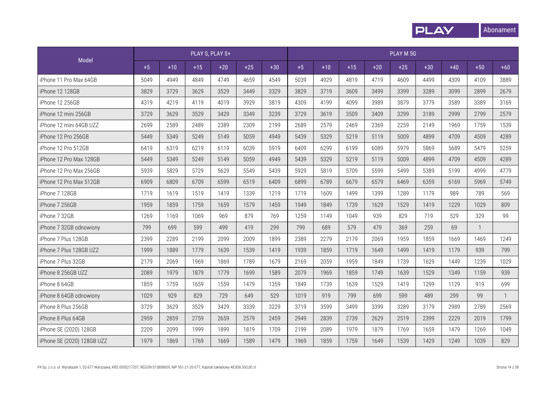

|                            |      |       |       | PLAY S, PLAY S+ |       |       |      |       |       |       | PLAY M 5G |       |       |              |              |
|----------------------------|------|-------|-------|-----------------|-------|-------|------|-------|-------|-------|-----------|-------|-------|--------------|--------------|
| Model                      | $+5$ | $+10$ | $+15$ | $+20$           | $+25$ | $+30$ | $+5$ | $+10$ | $+15$ | $+20$ | $+25$     | $+30$ | $+40$ | $+50$        | $+60$        |
| iPhone 11 Pro Max 64GB     | 5049 | 4949  | 4849  | 4749            | 4659  | 4549  | 5039 | 4929  | 4819  | 4719  | 4609      | 4499  | 4309  | 4109         | 3889         |
| iPhone 12 128GB            | 3829 | 3729  | 3629  | 3529            | 3449  | 3329  | 3829 | 3719  | 3609  | 3499  | 3399      | 3289  | 3099  | 2899         | 2679         |
| iPhone 12 256GB            | 4319 | 4219  | 4119  | 4019            | 3929  | 3819  | 4309 | 4199  | 4099  | 3989  | 3879      | 3779  | 3589  | 3389         | 3169         |
| iPhone 12 mini 256GB       | 3729 | 3629  | 3529  | 3429            | 3349  | 3239  | 3729 | 3619  | 3509  | 3409  | 3299      | 3189  | 2999  | 2799         | 2579         |
| iPhone 12 mini 64GB UZZ    | 2699 | 2589  | 2489  | 2389            | 2309  | 2199  | 2689 | 2579  | 2469  | 2369  | 2259      | 2149  | 1969  | 1759         | 1539         |
| iPhone 12 Pro 256GB        | 5449 | 5349  | 5249  | 5149            | 5059  | 4949  | 5439 | 5329  | 5219  | 5119  | 5009      | 4899  | 4709  | 4509         | 4289         |
| iPhone 12 Pro 512GB        | 6419 | 6319  | 6219  | 6119            | 6039  | 5919  | 6409 | 6299  | 6199  | 6089  | 5979      | 5869  | 5689  | 5479         | 5259         |
| iPhone 12 Pro Max 128GB    | 5449 | 5349  | 5249  | 5149            | 5059  | 4949  | 5439 | 5329  | 5219  | 5119  | 5009      | 4899  | 4709  | 4509         | 4289         |
| iPhone 12 Pro Max 256GB    | 5939 | 5829  | 5729  | 5629            | 5549  | 5439  | 5929 | 5819  | 5709  | 5599  | 5499      | 5389  | 5199  | 4999         | 4779         |
| iPhone 12 Pro Max 512GB    | 6909 | 6809  | 6709  | 6599            | 6519  | 6409  | 6899 | 6789  | 6679  | 6579  | 6469      | 6359  | 6169  | 5969         | 5749         |
| iPhone 7 128GB             | 1719 | 1619  | 1519  | 1419            | 1339  | 1219  | 1719 | 1609  | 1499  | 1399  | 1289      | 1179  | 989   | 789          | 569          |
| iPhone 7 256GB             | 1959 | 1859  | 1759  | 1659            | 1579  | 1459  | 1949 | 1849  | 1739  | 1629  | 1529      | 1419  | 1229  | 1029         | 809          |
| iPhone 7 32GB              | 1269 | 1169  | 1069  | 969             | 879   | 769   | 1259 | 1149  | 1049  | 939   | 829       | 719   | 529   | 329          | 99           |
| iPhone 7 32GB odnowiony    | 799  | 699   | 599   | 499             | 419   | 299   | 799  | 689   | 579   | 479   | 369       | 259   | 69    | $\mathbf{1}$ |              |
| iPhone 7 Plus 128GB        | 2399 | 2289  | 2199  | 2099            | 2009  | 1899  | 2389 | 2279  | 2179  | 2069  | 1959      | 1859  | 1669  | 1469         | 1249         |
| iPhone 7 Plus 128GB UZZ    | 1999 | 1889  | 1779  | 1639            | 1539  | 1419  | 1939 | 1859  | 1719  | 1649  | 1499      | 1419  | 1179  | 939          | 799          |
| iPhone 7 Plus 32GB         | 2179 | 2069  | 1969  | 1869            | 1789  | 1679  | 2169 | 2059  | 1959  | 1849  | 1739      | 1629  | 1449  | 1239         | 1029         |
| iPhone 8 256GB UZZ         | 2089 | 1979  | 1879  | 1779            | 1699  | 1589  | 2079 | 1969  | 1859  | 1749  | 1639      | 1529  | 1349  | 1159         | 939          |
| iPhone 8 64GB              | 1859 | 1759  | 1659  | 1559            | 1479  | 1359  | 1849 | 1739  | 1639  | 1529  | 1419      | 1299  | 1129  | 919          | 699          |
| iPhone 8 64GB odnowiony    | 1029 | 929   | 829   | 729             | 649   | 529   | 1019 | 919   | 799   | 699   | 599       | 489   | 299   | 99           | $\mathbf{1}$ |
| iPhone 8 Plus 256GB        | 3729 | 3629  | 3529  | 3429            | 3339  | 3229  | 3719 | 3599  | 3499  | 3399  | 3289      | 3179  | 2989  | 2789         | 2569         |
| iPhone 8 Plus 64GB         | 2959 | 2859  | 2759  | 2659            | 2579  | 2459  | 2949 | 2839  | 2739  | 2629  | 2519      | 2399  | 2229  | 2019         | 1799         |
| iPhone SE (2020) 128GB     | 2209 | 2099  | 1999  | 1899            | 1819  | 1709  | 2199 | 2089  | 1979  | 1879  | 1769      | 1659  | 1479  | 1269         | 1049         |
| iPhone SE (2020) 128GB UZZ | 1979 | 1869  | 1769  | 1669            | 1589  | 1479  | 1969 | 1859  | 1759  | 1649  | 1539      | 1429  | 1249  | 1039         | 829          |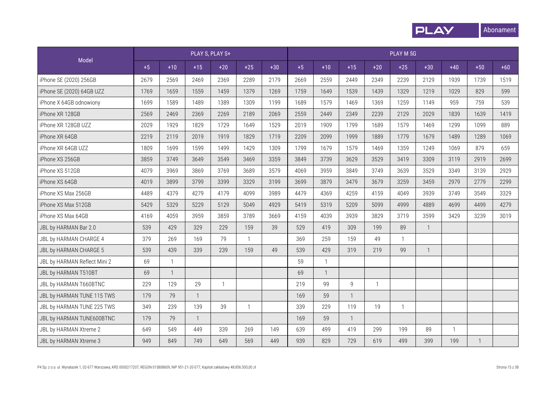

|                              |      |                |              | PLAY S, PLAY S+ |              |       |      |              |       |              | PLAY M 5G    |                |              |       |       |
|------------------------------|------|----------------|--------------|-----------------|--------------|-------|------|--------------|-------|--------------|--------------|----------------|--------------|-------|-------|
| Model                        | $+5$ | $+10$          | $+15$        | $+20$           | $+25$        | $+30$ | $+5$ | $+10$        | $+15$ | $+20$        | $+25$        | $+30$          | $+40$        | $+50$ | $+60$ |
| iPhone SE (2020) 256GB       | 2679 | 2569           | 2469         | 2369            | 2289         | 2179  | 2669 | 2559         | 2449  | 2349         | 2239         | 2129           | 1939         | 1739  | 1519  |
| iPhone SE (2020) 64GB UZZ    | 1769 | 1659           | 1559         | 1459            | 1379         | 1269  | 1759 | 1649         | 1539  | 1439         | 1329         | 1219           | 1029         | 829   | 599   |
| iPhone X 64GB odnowiony      | 1699 | 1589           | 1489         | 1389            | 1309         | 1199  | 1689 | 1579         | 1469  | 1369         | 1259         | 1149           | 959          | 759   | 539   |
| iPhone XR 128GB              | 2569 | 2469           | 2369         | 2269            | 2189         | 2069  | 2559 | 2449         | 2349  | 2239         | 2129         | 2029           | 1839         | 1639  | 1419  |
| iPhone XR 128GB UZZ          | 2029 | 1929           | 1829         | 1729            | 1649         | 1529  | 2019 | 1909         | 1799  | 1689         | 1579         | 1469           | 1299         | 1099  | 889   |
| iPhone XR 64GB               | 2219 | 2119           | 2019         | 1919            | 1829         | 1719  | 2209 | 2099         | 1999  | 1889         | 1779         | 1679           | 1489         | 1289  | 1069  |
| iPhone XR 64GB UZZ           | 1809 | 1699           | 1599         | 1499            | 1429         | 1309  | 1799 | 1679         | 1579  | 1469         | 1359         | 1249           | 1069         | 879   | 659   |
| iPhone XS 256GB              | 3859 | 3749           | 3649         | 3549            | 3469         | 3359  | 3849 | 3739         | 3629  | 3529         | 3419         | 3309           | 3119         | 2919  | 2699  |
| iPhone XS 512GB              | 4079 | 3969           | 3869         | 3769            | 3689         | 3579  | 4069 | 3959         | 3849  | 3749         | 3639         | 3529           | 3349         | 3139  | 2929  |
| iPhone XS 64GB               | 4019 | 3899           | 3799         | 3399            | 3329         | 3199  | 3699 | 3879         | 3479  | 3679         | 3259         | 3459           | 2979         | 2779  | 2299  |
| iPhone XS Max 256GB          | 4489 | 4379           | 4279         | 4179            | 4099         | 3989  | 4479 | 4369         | 4259  | 4159         | 4049         | 3939           | 3749         | 3549  | 3329  |
| iPhone XS Max 512GB          | 5429 | 5329           | 5229         | 5129            | 5049         | 4929  | 5419 | 5319         | 5209  | 5099         | 4999         | 4889           | 4699         | 4499  | 4279  |
| iPhone XS Max 64GB           | 4169 | 4059           | 3959         | 3859            | 3789         | 3669  | 4159 | 4039         | 3939  | 3829         | 3719         | 3599           | 3429         | 3239  | 3019  |
| JBL by HARMAN Bar 2.0        | 539  | 429            | 329          | 229             | 159          | 39    | 529  | 419          | 309   | 199          | 89           | $\mathbf{1}$   |              |       |       |
| JBL by HARMAN CHARGE 4       | 379  | 269            | 169          | 79              | $\mathbf{1}$ |       | 369  | 259          | 159   | 49           | $\mathbf{1}$ |                |              |       |       |
| JBL by HARMAN CHARGE 5       | 539  | 439            | 339          | 239             | 159          | 49    | 539  | 429          | 319   | 219          | 99           | $\overline{1}$ |              |       |       |
| JBL by HARMAN Reflect Mini 2 | 69   | $\mathbf{1}$   |              |                 |              |       | 59   | $\mathbf{1}$ |       |              |              |                |              |       |       |
| JBL by HARMAN T510BT         | 69   | $\overline{1}$ |              |                 |              |       | 69   | $\mathbf{1}$ |       |              |              |                |              |       |       |
| JBL by HARMAN T660BTNC       | 229  | 129            | 29           | $\mathbf{1}$    |              |       | 219  | 99           | 9     | $\mathbf{1}$ |              |                |              |       |       |
| JBL by HARMAN TUNE 115 TWS   | 179  | 79             | $\mathbf{1}$ |                 |              |       | 169  | 59           |       |              |              |                |              |       |       |
| JBL by HARMAN TUNE 225 TWS   | 349  | 239            | 139          | 39              | $\mathbf{1}$ |       | 339  | 229          | 119   | 19           | $\mathbf{1}$ |                |              |       |       |
| JBL by HARMAN TUNE600BTNC    | 179  | 79             |              |                 |              |       | 169  | 59           |       |              |              |                |              |       |       |
| JBL by HARMAN Xtreme 2       | 649  | 549            | 449          | 339             | 269          | 149   | 639  | 499          | 419   | 299          | 199          | 89             | $\mathbf{1}$ |       |       |
| JBL by HARMAN Xtreme 3       | 949  | 849            | 749          | 649             | 569          | 449   | 939  | 829          | 729   | 619          | 499          | 399            | 199          |       |       |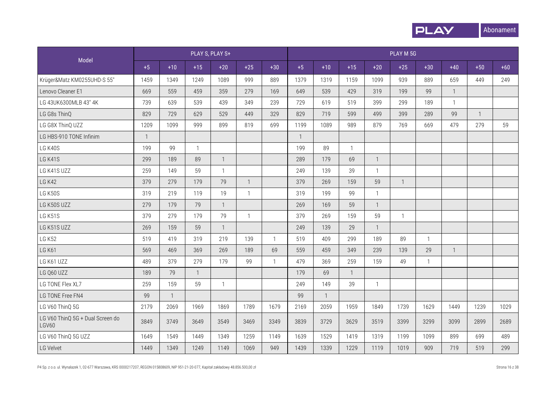

|                                           |                |                |              | PLAY S, PLAY S+ |                |              |              |                |              |              | PLAY M 5G    |                |                |              |       |
|-------------------------------------------|----------------|----------------|--------------|-----------------|----------------|--------------|--------------|----------------|--------------|--------------|--------------|----------------|----------------|--------------|-------|
| Model                                     | $+5$           | $+10$          | $+15$        | $+20$           | $+25$          | $+30$        | $+5$         | $+10$          | $+15$        | $+20$        | $+25$        | $+30$          | $+40$          | $+50$        | $+60$ |
| Krüger&Matz KM0255UHD-S 55"               | 1459           | 1349           | 1249         | 1089            | 999            | 889          | 1379         | 1319           | 1159         | 1099         | 939          | 889            | 659            | 449          | 249   |
| Lenovo Cleaner E1                         | 669            | 559            | 459          | 359             | 279            | 169          | 649          | 539            | 429          | 319          | 199          | 99             | $\mathbf{1}$   |              |       |
| LG 43UK6300MLB 43" 4K                     | 739            | 639            | 539          | 439             | 349            | 239          | 729          | 619            | 519          | 399          | 299          | 189            | $\mathbf{1}$   |              |       |
| LG G8s ThinQ                              | 829            | 729            | 629          | 529             | 449            | 329          | 829          | 719            | 599          | 499          | 399          | 289            | 99             | $\mathbf{1}$ |       |
| LG G8X ThinQ UZZ                          | 1209           | 1099           | 999          | 899             | 819            | 699          | 1199         | 1089           | 989          | 879          | 769          | 669            | 479            | 279          | 59    |
| LG HBS-910 TONE Infinim                   | $\overline{1}$ |                |              |                 |                |              | $\mathbf{1}$ |                |              |              |              |                |                |              |       |
| LG K40S                                   | 199            | 99             | $\mathbf{1}$ |                 |                |              | 199          | 89             | $\mathbf{1}$ |              |              |                |                |              |       |
| LG K41S                                   | 299            | 189            | 89           | $\mathbf{1}$    |                |              | 289          | 179            | 69           | $\mathbf{1}$ |              |                |                |              |       |
| LG K41S UZZ                               | 259            | 149            | 59           | $\mathbf{1}$    |                |              | 249          | 139            | 39           | $\mathbf{1}$ |              |                |                |              |       |
| <b>LG K42</b>                             | 379            | 279            | 179          | 79              | $\overline{1}$ |              | 379          | 269            | 159          | 59           | $\mathbf{1}$ |                |                |              |       |
| LG K50S                                   | 319            | 219            | 119          | 19              | $\mathbf{1}$   |              | 319          | 199            | 99           | $\mathbf{1}$ |              |                |                |              |       |
| LG K50S UZZ                               | 279            | 179            | 79           | $\mathbf{1}$    |                |              | 269          | 169            | 59           | $\mathbf{1}$ |              |                |                |              |       |
| LG K51S                                   | 379            | 279            | 179          | 79              | $\mathbf{1}$   |              | 379          | 269            | 159          | 59           | $\mathbf{1}$ |                |                |              |       |
| LG K51S UZZ                               | 269            | 159            | 59           | $\overline{1}$  |                |              | 249          | 139            | 29           | $\mathbf{1}$ |              |                |                |              |       |
| <b>LG K52</b>                             | 519            | 419            | 319          | 219             | 139            | $\mathbf{1}$ | 519          | 409            | 299          | 189          | 89           | $\overline{1}$ |                |              |       |
| <b>LG K61</b>                             | 569            | 469            | 369          | 269             | 189            | 69           | 559          | 459            | 349          | 239          | 139          | 29             | $\overline{1}$ |              |       |
| LG K61 UZZ                                | 489            | 379            | 279          | 179             | 99             | $\mathbf{1}$ | 479          | 369            | 259          | 159          | 49           | $\overline{1}$ |                |              |       |
| LG Q60 UZZ                                | 189            | 79             | $\mathbf{1}$ |                 |                |              | 179          | 69             | $\mathbf{1}$ |              |              |                |                |              |       |
| LG TONE Flex XL7                          | 259            | 159            | 59           | $\mathbf{1}$    |                |              | 249          | 149            | 39           | $\mathbf{1}$ |              |                |                |              |       |
| LG TONE Free FN4                          | 99             | $\overline{1}$ |              |                 |                |              | 99           | $\overline{1}$ |              |              |              |                |                |              |       |
| LG V60 ThinQ 5G                           | 2179           | 2069           | 1969         | 1869            | 1789           | 1679         | 2169         | 2059           | 1959         | 1849         | 1739         | 1629           | 1449           | 1239         | 1029  |
| LG V60 ThinQ 5G + Dual Screen do<br>LGV60 | 3849           | 3749           | 3649         | 3549            | 3469           | 3349         | 3839         | 3729           | 3629         | 3519         | 3399         | 3299           | 3099           | 2899         | 2689  |
| LG V60 ThinQ 5G UZZ                       | 1649           | 1549           | 1449         | 1349            | 1259           | 1149         | 1639         | 1529           | 1419         | 1319         | 1199         | 1099           | 899            | 699          | 489   |
| LG Velvet                                 | 1449           | 1349           | 1249         | 1149            | 1069           | 949          | 1439         | 1339           | 1229         | 1119         | 1019         | 909            | 719            | 519          | 299   |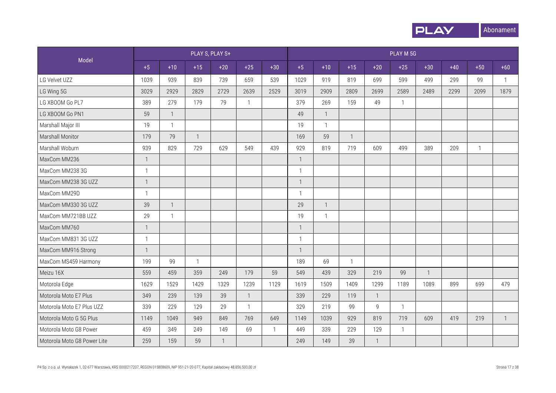

|                             |                |                         |              | PLAY S, PLAY S+ |                |              |              |                |              |              | PLAY M 5G    |                |       |              |              |
|-----------------------------|----------------|-------------------------|--------------|-----------------|----------------|--------------|--------------|----------------|--------------|--------------|--------------|----------------|-------|--------------|--------------|
| Model                       | $+5$           | $+10$                   | $+15$        | $+20$           | $+25$          | $+30$        | $+5$         | $+10$          | $+15$        | $+20$        | $+25$        | $+30$          | $+40$ | $+50$        | $+60$        |
| LG Velvet UZZ               | 1039           | 939                     | 839          | 739             | 659            | 539          | 1029         | 919            | 819          | 699          | 599          | 499            | 299   | 99           | $\mathbf{1}$ |
| LG Wing 5G                  | 3029           | 2929                    | 2829         | 2729            | 2639           | 2529         | 3019         | 2909           | 2809         | 2699         | 2589         | 2489           | 2299  | 2099         | 1879         |
| LG XBOOM Go PL7             | 389            | 279                     | 179          | 79              | $\mathbf{1}$   |              | 379          | 269            | 159          | 49           | $\mathbf{1}$ |                |       |              |              |
| LG XBOOM Go PN1             | 59             | $\overline{\mathbf{1}}$ |              |                 |                |              | 49           | $\overline{1}$ |              |              |              |                |       |              |              |
| Marshall Major III          | 19             | $\mathbf{1}$            |              |                 |                |              | 19           | $\mathbf{1}$   |              |              |              |                |       |              |              |
| Marshall Monitor            | 179            | 79                      | $\mathbf{1}$ |                 |                |              | 169          | 59             | 1            |              |              |                |       |              |              |
| Marshall Woburn             | 939            | 829                     | 729          | 629             | 549            | 439          | 929          | 819            | 719          | 609          | 499          | 389            | 209   | $\mathbf{1}$ |              |
| MaxCom MM236                | $\mathbf{1}$   |                         |              |                 |                |              | $\mathbf{1}$ |                |              |              |              |                |       |              |              |
| MaxCom MM238 3G             | $\mathbf{1}$   |                         |              |                 |                |              | $\mathbf{1}$ |                |              |              |              |                |       |              |              |
| MaxCom MM238 3G UZZ         | $\overline{1}$ |                         |              |                 |                |              | $\mathbf{1}$ |                |              |              |              |                |       |              |              |
| MaxCom MM29D                | $\mathbf{1}$   |                         |              |                 |                |              | $\mathbf{1}$ |                |              |              |              |                |       |              |              |
| MaxCom MM330 3G UZZ         | 39             | $\overline{1}$          |              |                 |                |              | 29           | $\mathbf{1}$   |              |              |              |                |       |              |              |
| MaxCom MM721BB UZZ          | 29             | $\overline{1}$          |              |                 |                |              | 19           | $\mathbf{1}$   |              |              |              |                |       |              |              |
| MaxCom MM760                | $\mathbf{1}$   |                         |              |                 |                |              |              |                |              |              |              |                |       |              |              |
| MaxCom MM831 3G UZZ         | $\mathbf{1}$   |                         |              |                 |                |              | $\mathbf{1}$ |                |              |              |              |                |       |              |              |
| MaxCom MM916 Strong         | $\overline{1}$ |                         |              |                 |                |              | $\mathbf{1}$ |                |              |              |              |                |       |              |              |
| MaxCom MS459 Harmony        | 199            | 99                      | $\mathbf{1}$ |                 |                |              | 189          | 69             | $\mathbf{1}$ |              |              |                |       |              |              |
| Meizu 16X                   | 559            | 459                     | 359          | 249             | 179            | 59           | 549          | 439            | 329          | 219          | 99           | $\overline{1}$ |       |              |              |
| Motorola Edge               | 1629           | 1529                    | 1429         | 1329            | 1239           | 1129         | 1619         | 1509           | 1409         | 1299         | 1189         | 1089           | 899   | 699          | 479          |
| Motorola Moto E7 Plus       | 349            | 239                     | 139          | 39              | $\overline{1}$ |              | 339          | 229            | 119          | $\mathbf{1}$ |              |                |       |              |              |
| Motorola Moto E7 Plus UZZ   | 339            | 229                     | 129          | 29              | $\mathbf{1}$   |              | 329          | 219            | 99           | 9            | $\mathbf{1}$ |                |       |              |              |
| Motorola Moto G 5G Plus     | 1149           | 1049                    | 949          | 849             | 769            | 649          | 1149         | 1039           | 929          | 819          | 719          | 609            | 419   | 219          | $\mathbf{1}$ |
| Motorola Moto G8 Power      | 459            | 349                     | 249          | 149             | 69             | $\mathbf{1}$ | 449          | 339            | 229          | 129          | $\mathbf{1}$ |                |       |              |              |
| Motorola Moto G8 Power Lite | 259            | 159                     | 59           | $\mathbf{1}$    |                |              | 249          | 149            | 39           | $\mathbf{1}$ |              |                |       |              |              |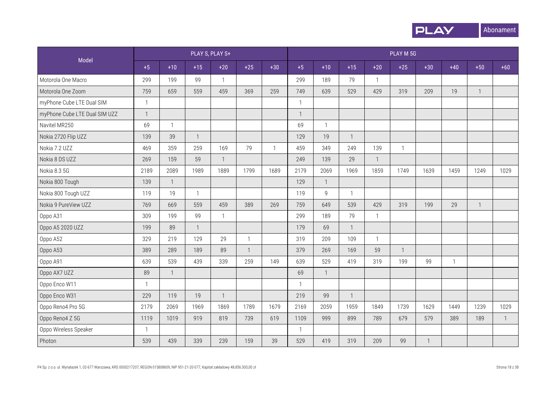

|                               |                |                | PLAY S, PLAY S+ |                |                |                |              |                |              |              | PLAY M 5G    |              |              |              |              |
|-------------------------------|----------------|----------------|-----------------|----------------|----------------|----------------|--------------|----------------|--------------|--------------|--------------|--------------|--------------|--------------|--------------|
| Model                         | $+5$           | $+10$          | $+15$           | $+20$          | $+25$          | $+30$          | $+5$         | $+10$          | $+15$        | $+20$        | $+25$        | $+30$        | $+40$        | $+50$        | $+60$        |
| Motorola One Macro            | 299            | 199            | 99              | $\mathbf{1}$   |                |                | 299          | 189            | 79           | $\mathbf{1}$ |              |              |              |              |              |
| Motorola One Zoom             | 759            | 659            | 559             | 459            | 369            | 259            | 749          | 639            | 529          | 429          | 319          | 209          | 19           | $\mathbf{1}$ |              |
| myPhone Cube LTE Dual SIM     | $\mathbf{1}$   |                |                 |                |                |                | $\mathbf{1}$ |                |              |              |              |              |              |              |              |
| myPhone Cube LTE Dual SIM UZZ | $\overline{1}$ |                |                 |                |                |                | $\mathbf{1}$ |                |              |              |              |              |              |              |              |
| Navitel MR250                 | 69             | $\mathbf{1}$   |                 |                |                |                | 69           | $\mathbf{1}$   |              |              |              |              |              |              |              |
| Nokia 2720 Flip UZZ           | 139            | 39             | $\mathbf{1}$    |                |                |                | 129          | 19             | 1            |              |              |              |              |              |              |
| Nokia 7.2 UZZ                 | 469            | 359            | 259             | 169            | 79             | $\overline{1}$ | 459          | 349            | 249          | 139          | $\mathbf{1}$ |              |              |              |              |
| Nokia 8 DS UZZ                | 269            | 159            | 59              | $\mathbf{1}$   |                |                | 249          | 139            | 29           | $\mathbf{1}$ |              |              |              |              |              |
| Nokia 8.3 5G                  | 2189           | 2089           | 1989            | 1889           | 1799           | 1689           | 2179         | 2069           | 1969         | 1859         | 1749         | 1639         | 1459         | 1249         | 1029         |
| Nokia 800 Tough               | 139            | $\overline{1}$ |                 |                |                |                | 129          | $\overline{1}$ |              |              |              |              |              |              |              |
| Nokia 800 Tough UZZ           | 119            | 19             | $\mathbf{1}$    |                |                |                | 119          | 9              | $\mathbf{1}$ |              |              |              |              |              |              |
| Nokia 9 PureView UZZ          | 769            | 669            | 559             | 459            | 389            | 269            | 759          | 649            | 539          | 429          | 319          | 199          | 29           | $\mathbf{1}$ |              |
| Oppo A31                      | 309            | 199            | 99              | $\mathbf{1}$   |                |                | 299          | 189            | 79           | $\mathbf{1}$ |              |              |              |              |              |
| Oppo A5 2020 UZZ              | 199            | 89             | $\mathbf{1}$    |                |                |                | 179          | 69             | $\mathbf{1}$ |              |              |              |              |              |              |
| Oppo A52                      | 329            | 219            | 129             | 29             | $\mathbf{1}$   |                | 319          | 209            | 109          | $\mathbf{1}$ |              |              |              |              |              |
| Oppo A53                      | 389            | 289            | 189             | 89             | $\overline{1}$ |                | 379          | 269            | 169          | 59           | $\mathbf{1}$ |              |              |              |              |
| Oppo A91                      | 639            | 539            | 439             | 339            | 259            | 149            | 639          | 529            | 419          | 319          | 199          | 99           | $\mathbf{1}$ |              |              |
| Oppo AX7 UZZ                  | 89             | $\mathbf{1}$   |                 |                |                |                | 69           | $\mathbf{1}$   |              |              |              |              |              |              |              |
| Oppo Enco W11                 | $\mathbf{1}$   |                |                 |                |                |                | $\mathbf{1}$ |                |              |              |              |              |              |              |              |
| Oppo Enco W31                 | 229            | 119            | 19              | $\overline{1}$ |                |                | 219          | 99             | $\mathbf{1}$ |              |              |              |              |              |              |
| Oppo Reno4 Pro 5G             | 2179           | 2069           | 1969            | 1869           | 1789           | 1679           | 2169         | 2059           | 1959         | 1849         | 1739         | 1629         | 1449         | 1239         | 1029         |
| Oppo Reno4 Z 5G               | 1119           | 1019           | 919             | 819            | 739            | 619            | 1109         | 999            | 899          | 789          | 679          | 579          | 389          | 189          | $\mathbf{1}$ |
| Oppo Wireless Speaker         | $\mathbf{1}$   |                |                 |                |                |                | $\mathbf{1}$ |                |              |              |              |              |              |              |              |
| Photon                        | 539            | 439            | 339             | 239            | 159            | 39             | 529          | 419            | 319          | 209          | 99           | $\mathbf{1}$ |              |              |              |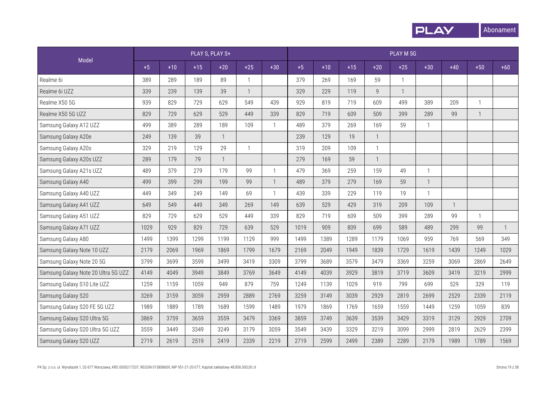

|                                     |      |       |       | PLAY S, PLAY S+ |              |                |      |       |       |              | PLAY M 5G    |              |              |              |              |
|-------------------------------------|------|-------|-------|-----------------|--------------|----------------|------|-------|-------|--------------|--------------|--------------|--------------|--------------|--------------|
| Model                               | $+5$ | $+10$ | $+15$ | $+20$           | $+25$        | $+30$          | $+5$ | $+10$ | $+15$ | $+20$        | $+25$        | $+30$        | $+40$        | $+50$        | $+60$        |
| Realme 6i                           | 389  | 289   | 189   | 89              | $\mathbf{1}$ |                | 379  | 269   | 169   | 59           | $\mathbf{1}$ |              |              |              |              |
| Realme 6i UZZ                       | 339  | 239   | 139   | 39              | $\mathbf{1}$ |                | 329  | 229   | 119   | 9            | $\mathbf{1}$ |              |              |              |              |
| Realme X50 5G                       | 939  | 829   | 729   | 629             | 549          | 439            | 929  | 819   | 719   | 609          | 499          | 389          | 209          | $\mathbf{1}$ |              |
| Realme X50 5G UZZ                   | 829  | 729   | 629   | 529             | 449          | 339            | 829  | 719   | 609   | 509          | 399          | 289          | 99           | $\mathbf{1}$ |              |
| Samsung Galaxy A12 UZZ              | 499  | 389   | 289   | 189             | 109          | $\mathbf{1}$   | 489  | 379   | 269   | 169          | 59           | $\mathbf{1}$ |              |              |              |
| Samsung Galaxy A20e                 | 249  | 139   | 39    | $\mathbf{1}$    |              |                | 239  | 129   | 19    | $\mathbf{1}$ |              |              |              |              |              |
| Samsung Galaxy A20s                 | 329  | 219   | 129   | 29              | $\mathbf{1}$ |                | 319  | 209   | 109   | $\mathbf{1}$ |              |              |              |              |              |
| Samsung Galaxy A20s UZZ             | 289  | 179   | 79    | $\mathbf{1}$    |              |                | 279  | 169   | 59    | $\mathbf{1}$ |              |              |              |              |              |
| Samsung Galaxy A21s UZZ             | 489  | 379   | 279   | 179             | 99           | $\mathbf{1}$   | 479  | 369   | 259   | 159          | 49           | $\mathbf{1}$ |              |              |              |
| Samsung Galaxy A40                  | 499  | 399   | 299   | 199             | 99           | $\overline{1}$ | 489  | 379   | 279   | 169          | 59           | $\mathbf{1}$ |              |              |              |
| Samsung Galaxy A40 UZZ              | 449  | 349   | 249   | 149             | 69           | $\mathbf{1}$   | 439  | 339   | 229   | 119          | 19           | $\mathbf{1}$ |              |              |              |
| Samsung Galaxy A41 UZZ              | 649  | 549   | 449   | 349             | 269          | 149            | 639  | 529   | 429   | 319          | 209          | 109          | $\mathbf{1}$ |              |              |
| Samsung Galaxy A51 UZZ              | 829  | 729   | 629   | 529             | 449          | 339            | 829  | 719   | 609   | 509          | 399          | 289          | 99           | $\mathbf{1}$ |              |
| Samsung Galaxy A71 UZZ              | 1029 | 929   | 829   | 729             | 639          | 529            | 1019 | 909   | 809   | 699          | 589          | 489          | 299          | 99           | $\mathbf{1}$ |
| Samsung Galaxy A80                  | 1499 | 1399  | 1299  | 1199            | 1129         | 999            | 1499 | 1389  | 1289  | 1179         | 1069         | 959          | 769          | 569          | 349          |
| Samsung Galaxy Note 10 UZZ          | 2179 | 2069  | 1969  | 1869            | 1799         | 1679           | 2169 | 2049  | 1949  | 1839         | 1729         | 1619         | 1439         | 1249         | 1029         |
| Samsung Galaxy Note 20 5G           | 3799 | 3699  | 3599  | 3499            | 3419         | 3309           | 3799 | 3689  | 3579  | 3479         | 3369         | 3259         | 3069         | 2869         | 2649         |
| Samsung Galaxy Note 20 Ultra 5G UZZ | 4149 | 4049  | 3949  | 3849            | 3769         | 3649           | 4149 | 4039  | 3929  | 3819         | 3719         | 3609         | 3419         | 3219         | 2999         |
| Samsung Galaxy S10 Lite UZZ         | 1259 | 1159  | 1059  | 949             | 879          | 759            | 1249 | 1139  | 1029  | 919          | 799          | 699          | 529          | 329          | 119          |
| Samsung Galaxy S20                  | 3269 | 3159  | 3059  | 2959            | 2889         | 2769           | 3259 | 3149  | 3039  | 2929         | 2819         | 2699         | 2529         | 2339         | 2119         |
| Samsung Galaxy S20 FE 5G UZZ        | 1989 | 1889  | 1789  | 1689            | 1599         | 1489           | 1979 | 1869  | 1769  | 1659         | 1559         | 1449         | 1259         | 1059         | 839          |
| Samsung Galaxy S20 Ultra 5G         | 3869 | 3759  | 3659  | 3559            | 3479         | 3369           | 3859 | 3749  | 3639  | 3539         | 3429         | 3319         | 3129         | 2929         | 2709         |
| Samsung Galaxy S20 Ultra 5G UZZ     | 3559 | 3449  | 3349  | 3249            | 3179         | 3059           | 3549 | 3439  | 3329  | 3219         | 3099         | 2999         | 2819         | 2629         | 2399         |
| Samsung Galaxy S20 UZZ              | 2719 | 2619  | 2519  | 2419            | 2339         | 2219           | 2719 | 2599  | 2499  | 2389         | 2289         | 2179         | 1989         | 1789         | 1569         |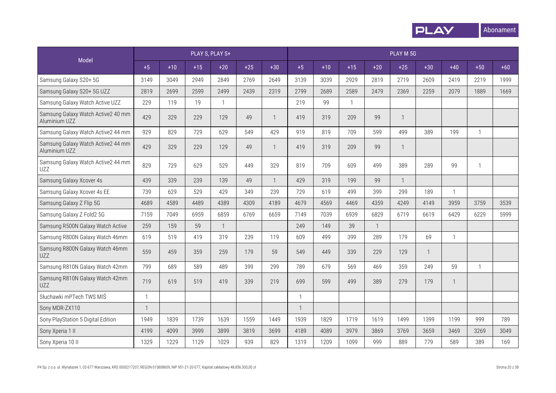

|                                                     |              |       |       | PLAY S, PLAY S+ |       |              |                |       |              |              | PLAY M 5G    |              |              |              |       |
|-----------------------------------------------------|--------------|-------|-------|-----------------|-------|--------------|----------------|-------|--------------|--------------|--------------|--------------|--------------|--------------|-------|
| Model                                               | $+5$         | $+10$ | $+15$ | $+20$           | $+25$ | $+30$        | $+5$           | $+10$ | $+15$        | $+20$        | $+25$        | $+30$        | $+40$        | $+50$        | $+60$ |
| Samsung Galaxy S20+ 5G                              | 3149         | 3049  | 2949  | 2849            | 2769  | 2649         | 3139           | 3039  | 2929         | 2819         | 2719         | 2609         | 2419         | 2219         | 1999  |
| Samsung Galaxy S20+ 5G UZZ                          | 2819         | 2699  | 2599  | 2499            | 2439  | 2319         | 2799           | 2689  | 2589         | 2479         | 2369         | 2259         | 2079         | 1889         | 1669  |
| Samsung Galaxy Watch Active UZZ                     | 229          | 119   | 19    | $\overline{1}$  |       |              | 219            | 99    | $\mathbf{1}$ |              |              |              |              |              |       |
| Samsung Galaxy Watch Active2 40 mm<br>Aluminium UZZ | 429          | 329   | 229   | 129             | 49    | $\mathbf{1}$ | 419            | 319   | 209          | 99           | $\mathbf{1}$ |              |              |              |       |
| Samsung Galaxy Watch Active2 44 mm                  | 929          | 829   | 729   | 629             | 549   | 429          | 919            | 819   | 709          | 599          | 499          | 389          | 199          | 1            |       |
| Samsung Galaxy Watch Active2 44 mm<br>Aluminium UZZ | 429          | 329   | 229   | 129             | 49    | $\mathbf{1}$ | 419            | 319   | 209          | 99           | $\mathbf{1}$ |              |              |              |       |
| Samsung Galaxy Watch Active2 44 mm<br>UZZ           | 829          | 729   | 629   | 529             | 449   | 329          | 819            | 709   | 609          | 499          | 389          | 289          | 99           | 1            |       |
| Samsung Galaxy Xcover 4s                            | 439          | 339   | 239   | 139             | 49    | $\mathbf{1}$ | 429            | 319   | 199          | 99           | $\mathbf{1}$ |              |              |              |       |
| Samsung Galaxy Xcover 4s EE                         | 739          | 629   | 529   | 429             | 349   | 239          | 729            | 619   | 499          | 399          | 299          | 189          | 1            |              |       |
| Samsung Galaxy Z Flip 5G                            | 4689         | 4589  | 4489  | 4389            | 4309  | 4189         | 4679           | 4569  | 4469         | 4359         | 4249         | 4149         | 3959         | 3759         | 3539  |
| Samsung Galaxy Z Fold2 5G                           | 7159         | 7049  | 6959  | 6859            | 6769  | 6659         | 7149           | 7039  | 6939         | 6829         | 6719         | 6619         | 6429         | 6229         | 5999  |
| Samsung R500N Galaxy Watch Active                   | 259          | 159   | 59    | $\overline{1}$  |       |              | 249            | 149   | 39           | $\mathbf{1}$ |              |              |              |              |       |
| Samsung R800N Galaxy Watch 46mm                     | 619          | 519   | 419   | 319             | 239   | 119          | 609            | 499   | 399          | 289          | 179          | 69           | $\mathbf{1}$ |              |       |
| Samsung R800N Galaxy Watch 46mm<br>UZZ              | 559          | 459   | 359   | 259             | 179   | 59           | 549            | 449   | 339          | 229          | 129          | $\mathbf{1}$ |              |              |       |
| Samsung R810N Galaxy Watch 42mm                     | 799          | 689   | 589   | 489             | 399   | 299          | 789            | 679   | 569          | 469          | 359          | 249          | 59           | $\mathbf{1}$ |       |
| Samsung R810N Galaxy Watch 42mm<br>UZZ              | 719          | 619   | 519   | 419             | 339   | 219          | 699            | 599   | 499          | 389          | 279          | 179          | $\mathbf{1}$ |              |       |
| Słuchawki mPTech TWS MIŚ                            | $\mathbf{1}$ |       |       |                 |       |              | $\overline{1}$ |       |              |              |              |              |              |              |       |
| Sony MDR-ZX110                                      | $\mathbf{1}$ |       |       |                 |       |              | $\mathbf{1}$   |       |              |              |              |              |              |              |       |
| Sony PlayStation 5 Digital Edition                  | 1949         | 1839  | 1739  | 1639            | 1559  | 1449         | 1939           | 1829  | 1719         | 1619         | 1499         | 1399         | 1199         | 999          | 789   |
| Sony Xperia 1 II                                    | 4199         | 4099  | 3999  | 3899            | 3819  | 3699         | 4189           | 4089  | 3979         | 3869         | 3769         | 3659         | 3469         | 3269         | 3049  |
| Sony Xperia 10 II                                   | 1329         | 1229  | 1129  | 1029            | 939   | 829          | 1319           | 1209  | 1099         | 999          | 889          | 779          | 589          | 389          | 169   |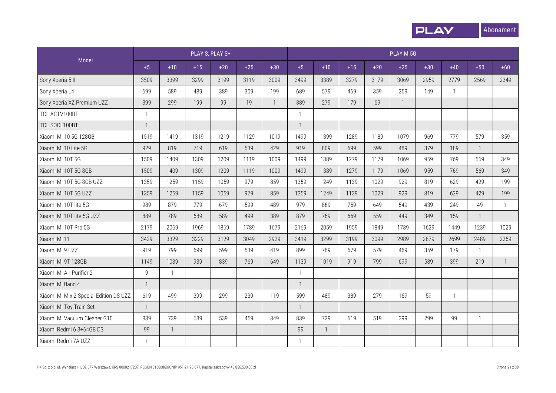

|                                        |              |                |       | PLAY S, PLAY S+ |       |                |              |              |       |       | PLAY M 5G      |       |                |              |              |
|----------------------------------------|--------------|----------------|-------|-----------------|-------|----------------|--------------|--------------|-------|-------|----------------|-------|----------------|--------------|--------------|
| Model                                  | $+5$         | $+10$          | $+15$ | $+20$           | $+25$ | $+30$          | $+5$         | $+10$        | $+15$ | $+20$ | $+25$          | $+30$ | $+40$          | $+50$        | $+60$        |
| Sony Xperia 5 II                       | 3509         | 3399           | 3299  | 3199            | 3119  | 3009           | 3499         | 3389         | 3279  | 3179  | 3069           | 2959  | 2779           | 2569         | 2349         |
| Sony Xperia L4                         | 699          | 589            | 489   | 389             | 309   | 199            | 689          | 579          | 469   | 359   | 259            | 149   | $\overline{1}$ |              |              |
| Sony Xperia XZ Premium UZZ             | 399          | 299            | 199   | 99              | 19    | $\overline{1}$ | 389          | 279          | 179   | 69    | $\overline{1}$ |       |                |              |              |
| TCL ACTV100BT                          | $\mathbf{1}$ |                |       |                 |       |                | $\mathbf{1}$ |              |       |       |                |       |                |              |              |
| TCL SOCL100BT                          | $\mathbf{1}$ |                |       |                 |       |                | $\mathbf{1}$ |              |       |       |                |       |                |              |              |
| Xiaomi Mi 10 5G 128GB                  | 1519         | 1419           | 1319  | 1219            | 1129  | 1019           | 1499         | 1399         | 1289  | 1189  | 1079           | 969   | 779            | 579          | 359          |
| Xiaomi Mi 10 Lite 5G                   | 929          | 819            | 719   | 619             | 539   | 429            | 919          | 809          | 699   | 599   | 489            | 379   | 189            |              |              |
| Xiaomi Mi 10T 5G                       | 1509         | 1409           | 1309  | 1209            | 1119  | 1009           | 1499         | 1389         | 1279  | 1179  | 1069           | 959   | 769            | 569          | 349          |
| Xiaomi Mi 10T 5G 8GB                   | 1509         | 1409           | 1309  | 1209            | 1119  | 1009           | 1499         | 1389         | 1279  | 1179  | 1069           | 959   | 769            | 569          | 349          |
| Xiaomi Mi 10T 5G 8GB UZZ               | 1359         | 1259           | 1159  | 1059            | 979   | 859            | 1359         | 1249         | 1139  | 1029  | 929            | 819   | 629            | 429          | 199          |
| Xiaomi Mi 10T 5G UZZ                   | 1359         | 1259           | 1159  | 1059            | 979   | 859            | 1359         | 1249         | 1139  | 1029  | 929            | 819   | 629            | 429          | 199          |
| Xiaomi Mi 10T lite 5G                  | 989          | 879            | 779   | 679             | 599   | 489            | 979          | 869          | 759   | 649   | 549            | 439   | 249            | 49           | $\mathbf{1}$ |
| Xiaomi Mi 10T lite 5G UZZ              | 889          | 789            | 689   | 589             | 499   | 389            | 879          | 769          | 669   | 559   | 449            | 349   | 159            | $\mathbf{1}$ |              |
| Xiaomi Mi 10T Pro 5G                   | 2179         | 2069           | 1969  | 1869            | 1789  | 1679           | 2169         | 2059         | 1959  | 1849  | 1739           | 1629  | 1449           | 1239         | 1029         |
| Xiaomi Mi 11                           | 3429         | 3329           | 3229  | 3129            | 3049  | 2929           | 3419         | 3299         | 3199  | 3099  | 2989           | 2879  | 2699           | 2489         | 2269         |
| Xiaomi Mi 9 UZZ                        | 919          | 799            | 699   | 599             | 539   | 419            | 899          | 789          | 679   | 579   | 469            | 359   | 179            | $\mathbf{1}$ |              |
| Xiaomi Mi 9T 128GB                     | 1149         | 1039           | 939   | 839             | 769   | 649            | 1139         | 1019         | 919   | 799   | 699            | 589   | 399            | 219          | $\mathbf{1}$ |
| Xiaomi Mi Air Purifier 2               | $\mathsf g$  | $\mathbf{1}$   |       |                 |       |                | $\mathbf{1}$ |              |       |       |                |       |                |              |              |
| Xiaomi Mi Band 4                       | $\mathbf{1}$ |                |       |                 |       |                | $\mathbf 1$  |              |       |       |                |       |                |              |              |
| Xiaomi Mi Mix 2 Special Edition DS UZZ | 619          | 499            | 399   | 299             | 239   | 119            | 599          | 489          | 389   | 279   | 169            | 59    | $\mathbf{1}$   |              |              |
| Xiaomi Mi Toy Train Set                | $\mathbf{1}$ |                |       |                 |       |                | $\mathbf{1}$ |              |       |       |                |       |                |              |              |
| Xiaomi Mi Vacuum Cleaner G10           | 839          | 739            | 639   | 539             | 459   | 349            | 839          | 729          | 619   | 519   | 399            | 299   | 99             | $\mathbf{1}$ |              |
| Xiaomi Redmi 6 3+64GB DS               | 99           | $\overline{1}$ |       |                 |       |                | 99           | $\mathbf{1}$ |       |       |                |       |                |              |              |
| Xiaomi Redmi 7A UZZ                    | 1            |                |       |                 |       |                |              |              |       |       |                |       |                |              |              |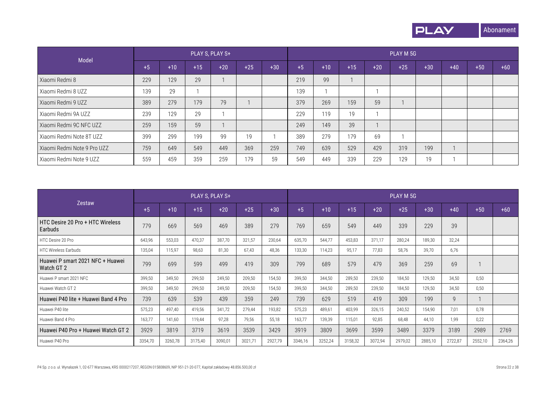

| Model                       |      |       |       | PLAY S, PLAY S+ |       |       |      |       |       |       | PLAY M 5G |       |       |       |       |
|-----------------------------|------|-------|-------|-----------------|-------|-------|------|-------|-------|-------|-----------|-------|-------|-------|-------|
|                             | $+5$ | $+10$ | $+15$ | $+20$           | $+25$ | $+30$ | $+5$ | $+10$ | $+15$ | $+20$ | $+25$     | $+30$ | $+40$ | $+50$ | $+60$ |
| Xiaomi Redmi 8              | 229  | 129   | 29    |                 |       |       | 219  | 99    |       |       |           |       |       |       |       |
| Xiaomi Redmi 8 UZZ          | 139  | 29    |       |                 |       |       | 139  |       |       |       |           |       |       |       |       |
| Xiaomi Redmi 9 UZZ          | 389  | 279   | 179   | 79              |       |       | 379  | 269   | 159   | 59    |           |       |       |       |       |
| Xiaomi Redmi 9A UZZ         | 239  | 129   | 29    |                 |       |       | 229  | 119   | 19    |       |           |       |       |       |       |
| Xiaomi Redmi 9C NFC UZZ     | 259  | 159   | 59    |                 |       |       | 249  | 149   | 39    |       |           |       |       |       |       |
| Xiaomi Redmi Note 8T UZZ    | 399  | 299   | 199   | 99              | 19    |       | 389  | 279   | 179   | 69    |           |       |       |       |       |
| Xiaomi Redmi Note 9 Pro UZZ | 759  | 649   | 549   | 449             | 369   | 259   | 749  | 639   | 529   | 429   | 319       | 199   |       |       |       |
| Xiaomi Redmi Note 9 UZZ     | 559  | 459   | 359   | 259             | 179   | 59    | 549  | 449   | 339   | 229   | 129       | 19    |       |       |       |

|                                                |         |         | PLAY S, PLAY S+ |         |         |         |         |         |         |         | PLAY M 5G |         |         |         |         |
|------------------------------------------------|---------|---------|-----------------|---------|---------|---------|---------|---------|---------|---------|-----------|---------|---------|---------|---------|
| Zestaw                                         | $+5$    | $+10$   | $+15$           | $+20$   | $+25$   | $+30$   | $+5$    | $+10$   | $+15$   | $+20$   | $+25$     | $+30$   | $+40$   | $+50$   | $+60$   |
| HTC Desire 20 Pro + HTC Wireless<br>Earbuds    | 779     | 669     | 569             | 469     | 389     | 279     | 769     | 659     | 549     | 449     | 339       | 229     | 39      |         |         |
| HTC Desire 20 Pro                              | 643,96  | 553,03  | 470,37          | 387,70  | 321,57  | 230,64  | 635,70  | 544,77  | 453,83  | 371,17  | 280,24    | 189,30  | 32,24   |         |         |
| <b>HTC Wireless Earbuds</b>                    | 135,04  | 115,97  | 98,63           | 81,30   | 67,43   | 48,36   | 133,30  | 114,23  | 95,17   | 77,83   | 58,76     | 39,70   | 6,76    |         |         |
| Huawei P smart 2021 NFC + Huawei<br>Watch GT 2 | 799     | 699     | 599             | 499     | 419     | 309     | 799     | 689     | 579     | 479     | 369       | 259     | 69      |         |         |
| Huawei P smart 2021 NFC                        | 399,50  | 349,50  | 299,50          | 249,50  | 209,50  | 154,50  | 399,50  | 344,50  | 289,50  | 239,50  | 184,50    | 129,50  | 34,50   | 0,50    |         |
| Huawei Watch GT 2                              | 399,50  | 349,50  | 299,50          | 249,50  | 209,50  | 154,50  | 399,50  | 344,50  | 289,50  | 239,50  | 184,50    | 129,50  | 34,50   | 0,50    |         |
| Huawei P40 lite + Huawei Band 4 Pro            | 739     | 639     | 539             | 439     | 359     | 249     | 739     | 629     | 519     | 419     | 309       | 199     | 9       |         |         |
| Huawei P40 lite                                | 575,23  | 497,40  | 419,56          | 341,72  | 279,44  | 193,82  | 575,23  | 489,61  | 403,99  | 326,15  | 240,52    | 154,90  | 7,01    | 0,78    |         |
| Huawei Band 4 Pro                              | 163,77  | 141,60  | 119,44          | 97,28   | 79,56   | 55,18   | 163,77  | 139,39  | 115,01  | 92,85   | 68,48     | 44,10   | 1,99    | 0,22    |         |
| Huawei P40 Pro + Huawei Watch GT 2             | 3929    | 3819    | 3719            | 3619    | 3539    | 3429    | 3919    | 3809    | 3699    | 3599    | 3489      | 3379    | 3189    | 2989    | 2769    |
| Huawei P40 Pro                                 | 3354,70 | 3260,78 | 3175,40         | 3090,01 | 3021,71 | 2927,79 | 3346,16 | 3252,24 | 3158,32 | 3072,94 | 2979,02   | 2885,10 | 2722,87 | 2552,10 | 2364,26 |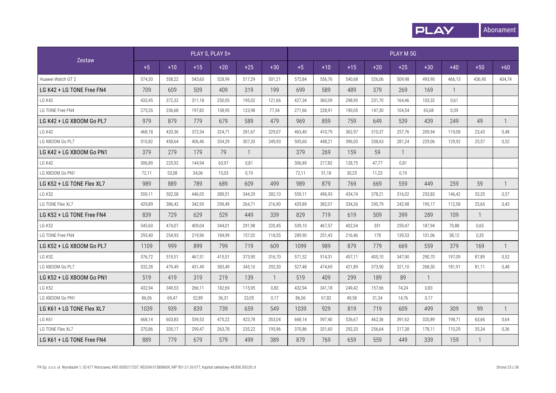

|                           |        |        |        | PLAY S, PLAY S+ |                |              |        |        |        |        | PLAY M 5G      |              |              |              |              |
|---------------------------|--------|--------|--------|-----------------|----------------|--------------|--------|--------|--------|--------|----------------|--------------|--------------|--------------|--------------|
| Zestaw                    | $+5$   | $+10$  | $+15$  | $+20$           | $+25$          | $+30$        | $+5$   | $+10$  | $+15$  | $+20$  | $+25$          | $+30$        | $+40$        | $+50$        | $+60$        |
| Huawei Watch GT 2         | 574,30 | 558,22 | 543,60 | 528.99          | 517.29         | 501,21       | 572,84 | 556.76 | 540,68 | 526,06 | 509.98         | 493.90       | 466,13       | 436,90       | 404,74       |
| LG K42 + LG TONE Free FN4 | 709    | 609    | 509    | 409             | 319            | 199          | 699    | 589    | 489    | 379    | 269            | 169          | $\mathbf{1}$ |              |              |
| LG K42                    | 433,45 | 372,32 | 311,18 | 250,05          | 195,02         | 121,66       | 427,34 | 360,09 | 298,95 | 231,70 | 164,46         | 103,32       | 0,61         |              |              |
| LG TONE Free FN4          | 275,55 | 236,68 | 197,82 | 158,95          | 123,98         | 77,34        | 271,66 | 228,91 | 190,05 | 147,30 | 104,54         | 65,68        | 0,39         |              |              |
| LG K42 + LG XBOOM Go PL7  | 979    | 879    | 779    | 679             | 589            | 479          | 969    | 859    | 759    | 649    | 539            | 439          | 249          | 49           | $\mathbf{1}$ |
| LG K42                    | 468,18 | 420,36 | 372.54 | 324.71          | 281,67         | 229.07       | 463,40 | 410.79 | 362.97 | 310.37 | 257.76         | 209.94       | 119,08       | 23,43        | 0,48         |
| LG XBOOM Go PL7           | 510,82 | 458,64 | 406.46 | 354.29          | 307.33         | 249.93       | 505.60 | 448.21 | 396.03 | 338.63 | 281.24         | 229.06       | 129.92       | 25.57        | 0.52         |
| LG K42 + LG XBOOM Go PN1  | 379    | 279    | 179    | 79              | $\overline{1}$ |              | 379    | 269    | 159    | 59     | $\overline{1}$ |              |              |              |              |
| <b>LG K42</b>             | 306,89 | 225,92 | 144.94 | 63,97           | 0,81           |              | 306,89 | 217,82 | 128,75 | 47,77  | 0,81           |              |              |              |              |
| LG XBOOM Go PN1           | 72,11  | 53,08  | 34,06  | 15,03           | 0,19           |              | 72,11  | 51,18  | 30,25  | 11,23  | 0,19           |              |              |              |              |
| LG K52 + LG TONE Flex XL7 | 989    | 889    | 789    | 689             | 609            | 499          | 989    | 879    | 769    | 669    | 559            | 449          | 259          | 59           | $\mathbf{1}$ |
| <b>LG K52</b>             | 559,11 | 502,58 | 446,05 | 389,51          | 344,29         | 282,10       | 559,11 | 496,93 | 434,74 | 378,21 | 316,02         | 253,83       | 146,42       | 33,35        | 0,57         |
| LG TONE Flex XL7          | 429,89 | 386,42 | 342,95 | 299,49          | 264,71         | 216,90       | 429,89 | 382,07 | 334,26 | 290,79 | 242,98         | 195,17       | 112,58       | 25,65        | 0,43         |
| LG K52 + LG TONE Free FN4 | 839    | 729    | 629    | 529             | 449            | 339          | 829    | 719    | 619    | 509    | 399            | 289          | 109          | $\mathbf{1}$ |              |
| <b>LG K52</b>             | 545,60 | 474,07 | 409,04 | 344.01          | 291.98         | 220,45       | 539,10 | 467,57 | 402,54 | 331    | 259,47         | 187,94       | 70,88        | 0,65         |              |
| LG TONE Free FN4          | 293,40 | 254,93 | 219,96 | 184.99          | 157,02         | 118,55       | 289,90 | 251,43 | 216.46 | 178    | 139.53         | 101,06       | 38,12        | 0,35         |              |
| LG K52 + LG XBOOM Go PL7  | 1109   | 999    | 899    | 799             | 719            | 609          | 1099   | 989    | 879    | 779    | 669            | 559          | 379          | 169          | $\mathbf{1}$ |
| <b>LG K52</b>             | 576,72 | 519,51 | 467,51 | 415,51          | 373,90         | 316,70       | 571,52 | 514,31 | 457,11 | 405,10 | 347,90         | 290,70       | 197,09       | 87,89        | 0,52         |
| LG XBOOM Go PL7           | 532,28 | 479,49 | 431,49 | 383,49          | 345,10         | 292,30       | 527,48 | 474,69 | 421,89 | 373,90 | 321,10         | 268,30       | 181,91       | 81,11        | 0,48         |
| LG K52 + LG XBOOM Go PN1  | 519    | 419    | 319    | 219             | 139            | $\mathbf{1}$ | 519    | 409    | 299    | 189    | 89             | $\mathbf{1}$ |              |              |              |
| <b>LG K52</b>             | 432,94 | 349,53 | 266.11 | 182.69          | 115.95         | 0,83         | 432,94 | 341,18 | 249.42 | 157.66 | 74,24          | 0,83         |              |              |              |
| LG XBOOM Go PN1           | 86,06  | 69,47  | 52,89  | 36,31           | 23,05          | 0,17         | 86,06  | 67,82  | 49,58  | 31,34  | 14,76          | 0,17         |              |              |              |
| LG K61 + LG TONE Flex XL7 | 1039   | 939    | 839    | 739             | 659            | 549          | 1039   | 929    | 819    | 719    | 609            | 499          | 309          | 99           | $\mathbf{1}$ |
| <b>LG K61</b>             | 668,14 | 603,83 | 539,53 | 475,22          | 423,78         | 353,04       | 668,14 | 597,40 | 526,67 | 462,36 | 391,62         | 320,89       | 198,71       | 63,66        | 0,64         |
| LG TONE Flex XL7          | 370,86 | 335,17 | 299,47 | 263,78          | 235,22         | 195,96       | 370,86 | 331,60 | 292,33 | 256,64 | 217.38         | 178.11       | 110,29       | 35,34        | 0,36         |
| LG K61 + LG TONE Free FN4 | 889    | 779    | 679    | 579             | 499            | 389          | 879    | 769    | 659    | 559    | 449            | 339          | 159          | $\mathbf{1}$ |              |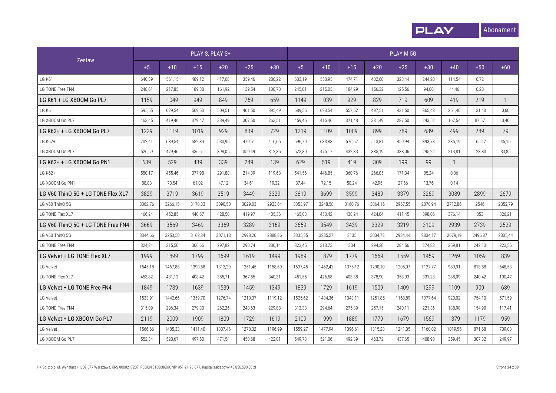

|                                    |         |         |         | PLAY S, PLAY S+ |         |         |         |         |         |         | PLAY M 5G |         |              |         |         |
|------------------------------------|---------|---------|---------|-----------------|---------|---------|---------|---------|---------|---------|-----------|---------|--------------|---------|---------|
| <b>Zestaw</b>                      | $+5$    | $+10$   | $+15$   | $+20$           | $+25$   | $+30$   | $+5$    | $+10$   | $+15$   | $+20$   | $+25$     | $+30$   | $+40$        | $+50$   | $+60$   |
| <b>LG K61</b>                      | 640,39  | 561,15  | 489,12  | 417,08          | 359,46  | 280,22  | 633,19  | 553,95  | 474,71  | 402.68  | 323,44    | 244,20  | 114,54       | 0,72    |         |
| LG TONE Free FN4                   | 248,61  | 217,85  | 189,88  | 161,92          | 139,54  | 108,78  | 245,81  | 215,05  | 184,29  | 156,32  | 125,56    | 94,80   | 44,46        | 0,28    |         |
| LG K61 + LG XBOOM Go PL7           | 1159    | 1049    | 949     | 849             | 769     | 659     | 1149    | 1039    | 929     | 829     | 719       | 609     | 419          | 219     | 1       |
| <b>LG K61</b>                      | 695,55  | 629,54  | 569,53  | 509.51          | 461,50  | 395,49  | 689,55  | 623,54  | 557,52  | 497,51  | 431,50    | 365,48  | 251,46       | 131,43  | 0,60    |
| LG XBOOM Go PL7                    | 463,45  | 419,46  | 379.47  | 339.49          | 307,50  | 263,51  | 459,45  | 415,46  | 371.48  | 331.49  | 287.50    | 243,52  | 167,54       | 87,57   | 0,40    |
| LG K62+ + LG XBOOM Go PL7          | 1229    | 1119    | 1019    | 929             | 839     | 729     | 1219    | 1109    | 1009    | 899     | 789       | 689     | 499          | 289     | 79      |
| LG K62+                            | 702,41  | 639,54  | 582.39  | 530.95          | 479,51  | 416.65  | 696,70  | 633,83  | 576.67  | 513.81  | 450.94    | 393,78  | 285,19       | 165,17  | 45,15   |
| LG XBOOM Go PL7                    | 526,59  | 479,46  | 436,61  | 398,05          | 359,49  | 312,35  | 522,30  | 475,17  | 432,33  | 385,19  | 338,06    | 295,22  | 213,81       | 123,83  | 33,85   |
| LG K62+ + LG XBOOM Go PN1          | 639     | 529     | 439     | 339             | 249     | 139     | 629     | 519     | 419     | 309     | 199       | 99      | $\mathbf{1}$ |         |         |
| LG K62+                            | 550,17  | 455,46  | 377.98  | 291.88          | 214.39  | 119.68  | 541.56  | 446.85  | 360.76  | 266.05  | 171.34    | 85,24   | 0.86         |         |         |
| LG XBOOM Go PN1                    | 88.83   | 73,54   | 61.02   | 47,12           | 34.61   | 19,32   | 87.44   | 72.15   | 58.24   | 42.95   | 27.66     | 13,76   | 0,14         |         |         |
| LG V60 ThinQ 5G + LG TONE Flex XL7 | 3829    | 3719    | 3619    | 3519            | 3449    | 3329    | 3819    | 3699    | 3599    | 3489    | 3379      | 3269    | 3089         | 2899    | 2679    |
| LG V60 ThinQ 5G                    | 3362,76 | 3266,15 | 3178,33 | 3090,50         | 3029,03 | 2923,64 | 3353,97 | 3248,58 | 3160,76 | 3064,16 | 2967,55   | 2870,94 | 2712,86      | 2546    | 2352,79 |
| LG TONE Flex XL7                   | 466,24  | 452,85  | 440,67  | 428,50          | 419,97  | 405,36  | 465,03  | 450,42  | 438,24  | 424,84  | 411,45    | 398,06  | 376,14       | 353     | 326,21  |
| LG V60 ThinQ 5G + LG TONE Free FN4 | 3669    | 3569    | 3469    | 3369            | 3289    | 3169    | 3659    | 3549    | 3439    | 3329    | 3219      | 3109    | 2939         | 2739    | 2529    |
| LG V60 ThinQ 5G                    | 3344,66 | 3253,50 | 3162,34 | 3071,18         | 2998,26 | 2888,86 | 3335,55 | 3235,27 | 3135    | 3034,72 | 2934.44   | 2834,17 | 2679,19      | 2496,87 | 2305,44 |
| LG TONE Free FN4                   | 324,34  | 315,50  | 306,66  | 297.82          | 290,74  | 280,14  | 323,45  | 313,73  | 304     | 294,28  | 284,56    | 274,83  | 259,81       | 242,13  | 223,56  |
| LG Velvet + LG TONE Flex XL7       | 1999    | 1899    | 1799    | 1699            | 1619    | 1499    | 1989    | 1879    | 1779    | 1669    | 1559      | 1459    | 1269         | 1059    | 839     |
| LG Velvet                          | 1545,18 | 1467,88 | 1390,58 | 1313,29         | 1251,45 | 1158,69 | 1537,45 | 1452,42 | 1375,12 | 1290,10 | 1205,07   | 1127,77 | 980,91       | 818,58  | 648,53  |
| LG TONE Flex XL7                   | 453,82  | 431,12  | 408,42  | 385,71          | 367,55  | 340,31  | 451,55  | 426,58  | 403,88  | 378,90  | 353,93    | 331,23  | 288,09       | 240,42  | 190,47  |
| LG Velvet + LG TONE Free FN4       | 1849    | 1739    | 1639    | 1539            | 1459    | 1349    | 1839    | 1729    | 1619    | 1509    | 1409      | 1299    | 1109         | 909     | 689     |
| LG Velvet                          | 1533,91 | 1442,66 | 1359,70 | 1276.74         | 1210.37 | 1119,12 | 1525,62 | 1434,36 | 1343.11 | 1251.85 | 1168.89   | 1077.64 | 920,02       | 754,10  | 571.59  |
| LG TONE Free FN4                   | 315,09  | 296,34  | 279,30  | 262,26          | 248.63  | 229,88  | 313,38  | 294,64  | 275.89  | 257.15  | 240,11    | 221,36  | 188,98       | 154,90  | 117.41  |
| LG Velvet + LG XBOOM Go PL7        | 2119    | 2009    | 1909    | 1809            | 1729    | 1619    | 2109    | 1999    | 1889    | 1779    | 1679      | 1569    | 1379         | 1179    | 959     |
| LG Velvet                          | 1566,66 | 1485,33 | 1411.40 | 1337,46         | 1278.32 | 1196.99 | 1559,27 | 1477.94 | 1396.61 | 1315.28 | 1241.35   | 1160,02 | 1019,55      | 871.68  | 709,03  |
| LG XBOOM Go PL7                    | 552,34  | 523,67  | 497,60  | 471,54          | 450,68  | 422,01  | 549,73  | 521,06  | 492.39  | 463.72  | 437.65    | 408.98  | 359,45       | 307,32  | 249,97  |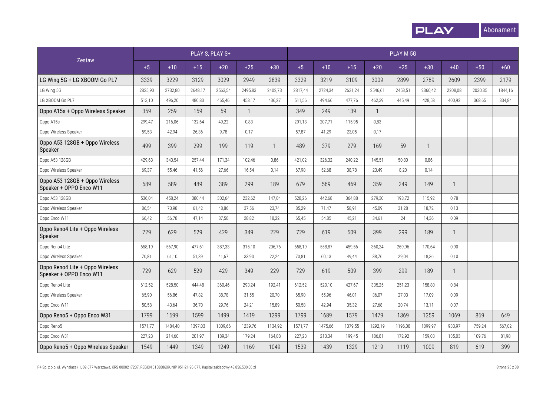

|                                                            |         |         |         | PLAY S, PLAY S+ |              |              |         |         |         |              | PLAY M 5G |         |              |         |         |
|------------------------------------------------------------|---------|---------|---------|-----------------|--------------|--------------|---------|---------|---------|--------------|-----------|---------|--------------|---------|---------|
| Zestaw                                                     | $+5$    | $+10$   | $+15$   | $+20$           | $+25$        | $+30$        | $+5$    | $+10$   | $+15$   | $+20$        | $+25$     | $+30$   | $+40$        | $+50$   | $+60$   |
| LG Wing 5G + LG XBOOM Go PL7                               | 3339    | 3229    | 3129    | 3029            | 2949         | 2839         | 3329    | 3219    | 3109    | 3009         | 2899      | 2789    | 2609         | 2399    | 2179    |
| LG Wing 5G                                                 | 2825,90 | 2732,80 | 2648,17 | 2563,54         | 2495,83      | 2402,73      | 2817,44 | 2724,34 | 2631,24 | 2546,61      | 2453,51   | 2360,42 | 2208,08      | 2030,35 | 1844,16 |
| LG XBOOM Go PL7                                            | 513,10  | 496,20  | 480,83  | 465,46          | 453,17       | 436,27       | 511,56  | 494,66  | 477,76  | 462,39       | 445,49    | 428,58  | 400,92       | 368,65  | 334,84  |
| Oppo A15s + Oppo Wireless Speaker                          | 359     | 259     | 159     | 59              | $\mathbf{1}$ |              | 349     | 249     | 139     | $\mathbf{1}$ |           |         |              |         |         |
| Oppo A15s                                                  | 299,47  | 216,06  | 132,64  | 49,22           | 0,83         |              | 291,13  | 207,71  | 115,95  | 0,83         |           |         |              |         |         |
| Oppo Wireless Speaker                                      | 59,53   | 42,94   | 26,36   | 9,78            | 0,17         |              | 57,87   | 41,29   | 23,05   | 0,17         |           |         |              |         |         |
| Oppo A53 128GB + Oppo Wireless<br>Speaker                  | 499     | 399     | 299     | 199             | 119          | $\mathbf{1}$ | 489     | 379     | 279     | 169          | 59        | 1       |              |         |         |
| Oppo A53 128GB                                             | 429,63  | 343,54  | 257,44  | 171.34          | 102,46       | 0,86         | 421,02  | 326,32  | 240,22  | 145,51       | 50,80     | 0,86    |              |         |         |
| Oppo Wireless Speaker                                      | 69,37   | 55,46   | 41,56   | 27,66           | 16,54        | 0,14         | 67,98   | 52,68   | 38,78   | 23,49        | 8,20      | 0,14    |              |         |         |
| Oppo A53 128GB + Oppo Wireless<br>Speaker + OPPO Enco W11  | 689     | 589     | 489     | 389             | 299          | 189          | 679     | 569     | 469     | 359          | 249       | 149     | $\mathbf{1}$ |         |         |
| Oppo A53 128GB                                             | 536,04  | 458,24  | 380,44  | 302,64          | 232,62       | 147,04       | 528,26  | 442,68  | 364,88  | 279,30       | 193,72    | 115,92  | 0,78         |         |         |
| Oppo Wireless Speaker                                      | 86,54   | 73,98   | 61,42   | 48,86           | 37,56        | 23,74        | 85,29   | 71,47   | 58,91   | 45,09        | 31,28     | 18,72   | 0,13         |         |         |
| Oppo Enco W11                                              | 66,42   | 56,78   | 47,14   | 37,50           | 28,82        | 18,22        | 65,45   | 54,85   | 45,21   | 34,61        | 24        | 14,36   | 0,09         |         |         |
| Oppo Reno4 Lite + Oppo Wireless<br>Speaker                 | 729     | 629     | 529     | 429             | 349          | 229          | 729     | 619     | 509     | 399          | 299       | 189     | $\mathbf{1}$ |         |         |
| Oppo Reno4 Lite                                            | 658,19  | 567,90  | 477,61  | 387,33          | 315,10       | 206,76       | 658,19  | 558,87  | 459,56  | 360,24       | 269,96    | 170,64  | 0,90         |         |         |
| Oppo Wireless Speaker                                      | 70,81   | 61,10   | 51,39   | 41,67           | 33,90        | 22,24        | 70,81   | 60,13   | 49,44   | 38,76        | 29,04     | 18,36   | 0,10         |         |         |
| Oppo Reno4 Lite + Oppo Wireless<br>Speaker + OPPO Enco W11 | 729     | 629     | 529     | 429             | 349          | 229          | 729     | 619     | 509     | 399          | 299       | 189     | $\mathbf{1}$ |         |         |
| Oppo Reno4 Lite                                            | 612,52  | 528,50  | 444,48  | 360,46          | 293,24       | 192,41       | 612,52  | 520,10  | 427,67  | 335,25       | 251,23    | 158,80  | 0,84         |         |         |
| Oppo Wireless Speaker                                      | 65,90   | 56,86   | 47,82   | 38,78           | 31,55        | 20,70        | 65,90   | 55,96   | 46,01   | 36,07        | 27,03     | 17,09   | 0,09         |         |         |
| Oppo Enco W11                                              | 50,58   | 43,64   | 36,70   | 29,76           | 24,21        | 15,89        | 50,58   | 42,94   | 35,32   | 27,68        | 20,74     | 13,11   | 0,07         |         |         |
| Oppo Reno5 + Oppo Enco W31                                 | 1799    | 1699    | 1599    | 1499            | 1419         | 1299         | 1799    | 1689    | 1579    | 1479         | 1369      | 1259    | 1069         | 869     | 649     |
| Oppo Reno5                                                 | 1571,77 | 1484,40 | 1397,03 | 1309,66         | 1239,76      | 1134,92      | 1571,77 | 1475,66 | 1379,55 | 1292,19      | 1196,08   | 1099,97 | 933,97       | 759,24  | 567,02  |
| Oppo Enco W31                                              | 227,23  | 214,60  | 201,97  | 189,34          | 179,24       | 164,08       | 227,23  | 213,34  | 199,45  | 186,81       | 172,92    | 159,03  | 135,03       | 109,76  | 81,98   |
| Oppo Reno5 + Oppo Wireless Speaker                         | 1549    | 1449    | 1349    | 1249            | 1169         | 1049         | 1539    | 1439    | 1329    | 1219         | 1119      | 1009    | 819          | 619     | 399     |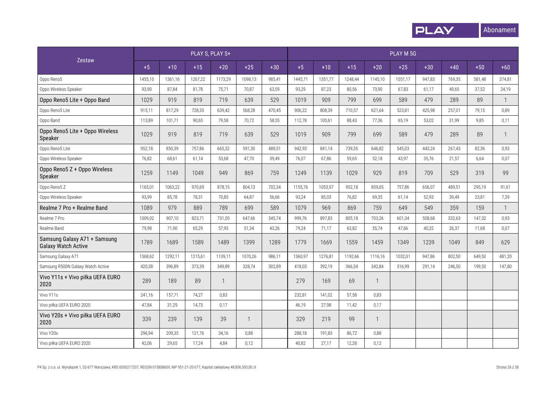

|                                                            |         |         | PLAY S, PLAY S+ |         |         |        |         |         |         |              | PLAY M 5G |        |        |        |              |
|------------------------------------------------------------|---------|---------|-----------------|---------|---------|--------|---------|---------|---------|--------------|-----------|--------|--------|--------|--------------|
| Zestaw                                                     | $+5$    | $+10$   | $+15$           | $+20$   | $+25$   | $+30$  | $+5$    | $+10$   | $+15$   | $+20$        | $+25$     | $+30$  | $+40$  | $+50$  | $+60$        |
| Oppo Reno5                                                 | 1455,10 | 1361,16 | 1267,22         | 1173,29 | 1098,13 | 985,41 | 1445,71 | 1351,77 | 1248,44 | 1145,10      | 1051,17   | 947,83 | 769,35 | 581,48 | 374,81       |
| Oppo Wireless Speaker                                      | 93,90   | 87,84   | 81,78           | 75,71   | 70,87   | 63,59  | 93,29   | 87,23   | 80,56   | 73,90        | 67,83     | 61,17  | 49,65  | 37,52  | 24,19        |
| Oppo Reno5 Lite + Oppo Band                                | 1029    | 919     | 819             | 719     | 639     | 529    | 1019    | 909     | 799     | 699          | 589       | 479    | 289    | 89     | $\mathbf{1}$ |
| Oppo Reno5 Lite                                            | 915,11  | 817,29  | 728,35          | 639,42  | 568,28  | 470,45 | 906,22  | 808,39  | 710,57  | 621,64       | 523,81    | 425,98 | 257,01 | 79,15  | 0,89         |
| Oppo Band                                                  | 113,89  | 101,71  | 90,65           | 79,58   | 70,72   | 58,55  | 112,78  | 100,61  | 88,43   | 77,36        | 65,19     | 53,02  | 31,99  | 9,85   | 0,11         |
| Oppo Reno5 Lite + Oppo Wireless<br>Speaker                 | 1029    | 919     | 819             | 719     | 639     | 529    | 1019    | 909     | 799     | 699          | 589       | 479    | 289    | 89     | $\mathbf{1}$ |
| Oppo Reno5 Lite                                            | 952,18  | 850,39  | 757,86          | 665,32  | 591,30  | 489,51 | 942,93  | 841,14  | 739,35  | 646,82       | 545,03    | 443,24 | 267,43 | 82,36  | 0,93         |
| Oppo Wireless Speaker                                      | 76,82   | 68,61   | 61,14           | 53,68   | 47,70   | 39,49  | 76,07   | 67,86   | 59,65   | 52,18        | 43,97     | 35,76  | 21,57  | 6,64   | 0,07         |
| Oppo Reno5 Z + Oppo Wireless<br>Speaker                    | 1259    | 1149    | 1049            | 949     | 869     | 759    | 1249    | 1139    | 1029    | 929          | 819       | 709    | 529    | 319    | 99           |
| Oppo Reno5 Z                                               | 1165,01 | 1063,22 | 970,69          | 878,15  | 804,13  | 702,34 | 1155,76 | 1053,97 | 952,18  | 859,65       | 757,86    | 656,07 | 489,51 | 295,19 | 91,61        |
| Oppo Wireless Speaker                                      | 93,99   | 85,78   | 78,31           | 70,85   | 64,87   | 56,66  | 93,24   | 85,03   | 76,82   | 69,35        | 61,14     | 52,93  | 39,49  | 23,81  | 7,39         |
| Realme 7 Pro + Realme Band                                 | 1089    | 979     | 889             | 789     | 699     | 589    | 1079    | 969     | 869     | 759          | 649       | 549    | 359    | 159    | $\mathbf{1}$ |
| Realme 7 Pro                                               | 1009,02 | 907,10  | 823,71          | 731,05  | 647,66  | 545,74 | 999,76  | 897,83  | 805,18  | 703,26       | 601,34    | 508,68 | 332,63 | 147,32 | 0,93         |
| Realme Band                                                | 79,98   | 71,90   | 65,29           | 57,95   | 51,34   | 43,26  | 79,24   | 71,17   | 63,82   | 55,74        | 47,66     | 40,32  | 26,37  | 11,68  | 0,07         |
| Samsung Galaxy A71 + Samsung<br><b>Galaxy Watch Active</b> | 1789    | 1689    | 1589            | 1489    | 1399    | 1289   | 1779    | 1669    | 1559    | 1459         | 1349      | 1239   | 1049   | 849    | 629          |
| Samsung Galaxy A71                                         | 1368,62 | 1292,11 | 1215,61         | 1139,11 | 1070,26 | 986,11 | 1360,97 | 1276,81 | 1192,66 | 1116,16      | 1032,01   | 947,86 | 802,50 | 649,50 | 481,20       |
| Samsung R500N Galaxy Watch Active                          | 420,38  | 396,89  | 373,39          | 349,89  | 328,74  | 302,89 | 418,03  | 392,19  | 366,34  | 342,84       | 316,99    | 291,14 | 246,50 | 199,50 | 147,80       |
| Vivo Y11s + Vivo piłka UEFA EURO<br>2020                   | 289     | 189     | 89              |         |         |        | 279     | 169     | 69      | $\mathbf{1}$ |           |        |        |        |              |
| Vivo Y11s                                                  | 241,16  | 157,71  | 74,27           | 0,83    |         |        | 232,81  | 141.02  | 57.58   | 0.83         |           |        |        |        |              |
| Vivo piłka UEFA EURO 2020                                  | 47,84   | 31,29   | 14,73           | 0,17    |         |        | 46,19   | 27,98   | 11,42   | 0,17         |           |        |        |        |              |
| Vivo Y20s + Vivo piłka UEFA EURO<br>2020                   | 339     | 239     | 139             | 39      | -1      |        | 329     | 219     | 99      | -1           |           |        |        |        |              |
| Vivo Y20s                                                  | 296,94  | 209,35  | 121,76          | 34,16   | 0,88    |        | 288,18  | 191,83  | 86,72   | 0,88         |           |        |        |        |              |
| Vivo piłka UEFA EURO 2020                                  | 42,06   | 29,65   | 17,24           | 4,84    | 0,12    |        | 40,82   | 27,17   | 12,28   | 0,12         |           |        |        |        |              |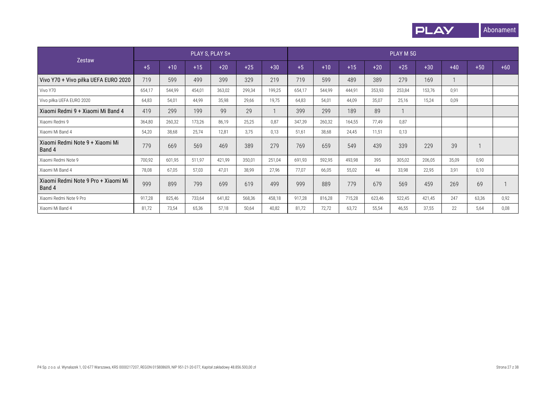

|                                               |        |        |        | PLAY S, PLAY S+ |        |        |        |        |        |        | PLAY M 5G |        |       |       |       |
|-----------------------------------------------|--------|--------|--------|-----------------|--------|--------|--------|--------|--------|--------|-----------|--------|-------|-------|-------|
| Zestaw                                        | $+5$   | $+10$  | $+15$  | $+20$           | $+25$  | $+30$  | $+5$   | $+10$  | $+15$  | $+20$  | $+25$     | $+30$  | $+40$ | $+50$ | $+60$ |
| Vivo Y70 + Vivo piłka UEFA EURO 2020          | 719    | 599    | 499    | 399             | 329    | 219    | 719    | 599    | 489    | 389    | 279       | 169    |       |       |       |
| Vivo Y70                                      | 654,17 | 544,99 | 454,01 | 363,02          | 299,34 | 199,25 | 654,17 | 544,99 | 444.91 | 353,93 | 253,84    | 153,76 | 0,91  |       |       |
| Vivo piłka UEFA EURO 2020                     | 64,83  | 54,01  | 44,99  | 35,98           | 29,66  | 19,75  | 64,83  | 54,01  | 44,09  | 35,07  | 25,16     | 15,24  | 0,09  |       |       |
| Xiaomi Redmi 9 + Xiaomi Mi Band 4             | 419    | 299    | 199    | 99              | 29     |        | 399    | 299    | 189    | 89     |           |        |       |       |       |
| Xiaomi Redmi 9                                | 364,80 | 260,32 | 173,26 | 86,19           | 25,25  | 0.87   | 347,39 | 260,32 | 164,55 | 77,49  | 0,87      |        |       |       |       |
| Xiaomi Mi Band 4                              | 54,20  | 38,68  | 25,74  | 12,81           | 3.75   | 0.13   | 51,61  | 38,68  | 24,45  | 11,51  | 0,13      |        |       |       |       |
| Xiaomi Redmi Note 9 + Xiaomi Mi<br>Band 4     | 779    | 669    | 569    | 469             | 389    | 279    | 769    | 659    | 549    | 439    | 339       | 229    | 39    |       |       |
| Xiaomi Redmi Note 9                           | 700,92 | 601,95 | 511,97 | 421,99          | 350,01 | 251,04 | 691,93 | 592,95 | 493,98 | 395    | 305,02    | 206,05 | 35,09 | 0,90  |       |
| Xiaomi Mi Band 4                              | 78,08  | 67,05  | 57,03  | 47,01           | 38,99  | 27,96  | 77,07  | 66,05  | 55,02  | 44     | 33,98     | 22,95  | 3,91  | 0,10  |       |
| Xiaomi Redmi Note 9 Pro + Xiaomi Mi<br>Band 4 | 999    | 899    | 799    | 699             | 619    | 499    | 999    | 889    | 779    | 679    | 569       | 459    | 269   | 69    |       |
| Xiaomi Redmi Note 9 Pro                       | 917,28 | 825,46 | 733,64 | 641,82          | 568,36 | 458,18 | 917,28 | 816,28 | 715,28 | 623,46 | 522,45    | 421,45 | 247   | 63,36 | 0,92  |
| Xiaomi Mi Band 4                              | 81,72  | 73,54  | 65,36  | 57,18           | 50,64  | 40,82  | 81,72  | 72,72  | 63.72  | 55,54  | 46,55     | 37,55  | 22    | 5,64  | 0,08  |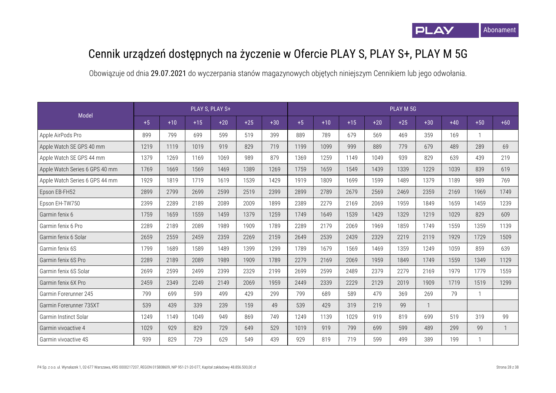## Cennik urządzeń dostępnych na życzenie w Ofercie PLAY S, PLAY S+, PLAY M 5G

|                                |      |       |       | PLAY S, PLAY S+ |       |       |      |       |       |       | PLAY M 5G |                |       |       |              |
|--------------------------------|------|-------|-------|-----------------|-------|-------|------|-------|-------|-------|-----------|----------------|-------|-------|--------------|
| Model                          | $+5$ | $+10$ | $+15$ | $+20$           | $+25$ | $+30$ | $+5$ | $+10$ | $+15$ | $+20$ | $+25$     | $+30$          | $+40$ | $+50$ | $+60$        |
| Apple AirPods Pro              | 899  | 799   | 699   | 599             | 519   | 399   | 889  | 789   | 679   | 569   | 469       | 359            | 169   |       |              |
| Apple Watch SE GPS 40 mm       | 1219 | 1119  | 1019  | 919             | 829   | 719   | 1199 | 1099  | 999   | 889   | 779       | 679            | 489   | 289   | 69           |
| Apple Watch SE GPS 44 mm       | 1379 | 1269  | 1169  | 1069            | 989   | 879   | 1369 | 1259  | 1149  | 1049  | 939       | 829            | 639   | 439   | 219          |
| Apple Watch Series 6 GPS 40 mm | 1769 | 1669  | 1569  | 1469            | 1389  | 1269  | 1759 | 1659  | 1549  | 1439  | 1339      | 1229           | 1039  | 839   | 619          |
| Apple Watch Series 6 GPS 44 mm | 1929 | 1819  | 1719  | 1619            | 1539  | 1429  | 1919 | 1809  | 1699  | 1599  | 1489      | 1379           | 1189  | 989   | 769          |
| Epson EB-FH52                  | 2899 | 2799  | 2699  | 2599            | 2519  | 2399  | 2899 | 2789  | 2679  | 2569  | 2469      | 2359           | 2169  | 1969  | 1749         |
| Epson EH-TW750                 | 2399 | 2289  | 2189  | 2089            | 2009  | 1899  | 2389 | 2279  | 2169  | 2069  | 1959      | 1849           | 1659  | 1459  | 1239         |
| Garmin fenix 6                 | 1759 | 1659  | 1559  | 1459            | 1379  | 1259  | 1749 | 1649  | 1539  | 1429  | 1329      | 1219           | 1029  | 829   | 609          |
| Garmin fenix 6 Pro             | 2289 | 2189  | 2089  | 1989            | 1909  | 1789  | 2289 | 2179  | 2069  | 1969  | 1859      | 1749           | 1559  | 1359  | 1139         |
| Garmin fenix 6 Solar           | 2659 | 2559  | 2459  | 2359            | 2269  | 2159  | 2649 | 2539  | 2439  | 2329  | 2219      | 2119           | 1929  | 1729  | 1509         |
| Garmin fenix 6S                | 1799 | 1689  | 1589  | 1489            | 1399  | 1299  | 1789 | 1679  | 1569  | 1469  | 1359      | 1249           | 1059  | 859   | 639          |
| Garmin fenix 6S Pro            | 2289 | 2189  | 2089  | 1989            | 1909  | 1789  | 2279 | 2169  | 2069  | 1959  | 1849      | 1749           | 1559  | 1349  | 1129         |
| Garmin fenix 6S Solar          | 2699 | 2599  | 2499  | 2399            | 2329  | 2199  | 2699 | 2599  | 2489  | 2379  | 2279      | 2169           | 1979  | 1779  | 1559         |
| Garmin fenix 6X Pro            | 2459 | 2349  | 2249  | 2149            | 2069  | 1959  | 2449 | 2339  | 2229  | 2129  | 2019      | 1909           | 1719  | 1519  | 1299         |
| Garmin Forerunner 245          | 799  | 699   | 599   | 499             | 429   | 299   | 799  | 689   | 589   | 479   | 369       | 269            | 79    |       |              |
| Garmin Forerunner 735XT        | 539  | 439   | 339   | 239             | 159   | 49    | 539  | 429   | 319   | 219   | 99        | $\overline{1}$ |       |       |              |
| Garmin Instinct Solar          | 1249 | 1149  | 1049  | 949             | 869   | 749   | 1249 | 1139  | 1029  | 919   | 819       | 699            | 519   | 319   | 99           |
| Garmin vivoactive 4            | 1029 | 929   | 829   | 729             | 649   | 529   | 1019 | 919   | 799   | 699   | 599       | 489            | 299   | 99    | $\mathbf{1}$ |
| Garmin vivoactive 4S           | 939  | 829   | 729   | 629             | 549   | 439   | 929  | 819   | 719   | 599   | 499       | 389            | 199   |       |              |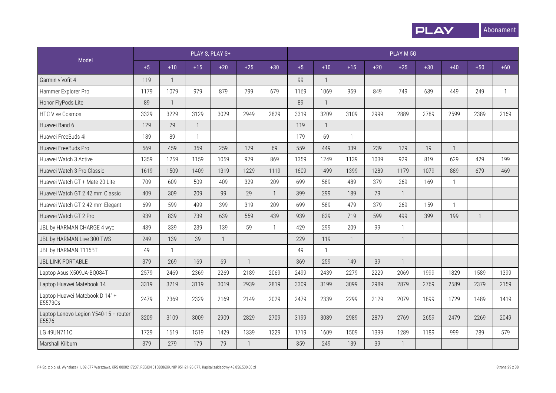

|                                                |      |              |       | PLAY S, PLAY S+ |              |                |      |              |       |       | PLAY M 5G    |       |              |              |              |
|------------------------------------------------|------|--------------|-------|-----------------|--------------|----------------|------|--------------|-------|-------|--------------|-------|--------------|--------------|--------------|
| Model                                          | $+5$ | $+10$        | $+15$ | $+20$           | $+25$        | $+30$          | $+5$ | $+10$        | $+15$ | $+20$ | $+25$        | $+30$ | $+40$        | $+50$        | $+60$        |
| Garmin vívofit 4                               | 119  | $\mathbf{1}$ |       |                 |              |                | 99   | $\mathbf{1}$ |       |       |              |       |              |              |              |
| Hammer Explorer Pro                            | 1179 | 1079         | 979   | 879             | 799          | 679            | 1169 | 1069         | 959   | 849   | 749          | 639   | 449          | 249          | $\mathbf{1}$ |
| Honor FlyPods Lite                             | 89   | $\mathbf{1}$ |       |                 |              |                | 89   | $\mathbf{1}$ |       |       |              |       |              |              |              |
| <b>HTC Vive Cosmos</b>                         | 3329 | 3229         | 3129  | 3029            | 2949         | 2829           | 3319 | 3209         | 3109  | 2999  | 2889         | 2789  | 2599         | 2389         | 2169         |
| Huawei Band 6                                  | 129  | 29           |       |                 |              |                | 119  | $\mathbf{1}$ |       |       |              |       |              |              |              |
| Huawei FreeBuds 4i                             | 189  | 89           |       |                 |              |                | 179  | 69           |       |       |              |       |              |              |              |
| Huawei FreeBuds Pro                            | 569  | 459          | 359   | 259             | 179          | 69             | 559  | 449          | 339   | 239   | 129          | 19    | $\mathbf{1}$ |              |              |
| Huawei Watch 3 Active                          | 1359 | 1259         | 1159  | 1059            | 979          | 869            | 1359 | 1249         | 1139  | 1039  | 929          | 819   | 629          | 429          | 199          |
| Huawei Watch 3 Pro Classic                     | 1619 | 1509         | 1409  | 1319            | 1229         | 1119           | 1609 | 1499         | 1399  | 1289  | 1179         | 1079  | 889          | 679          | 469          |
| Huawei Watch GT + Mate 20 Lite                 | 709  | 609          | 509   | 409             | 329          | 209            | 699  | 589          | 489   | 379   | 269          | 169   | $\mathbf{1}$ |              |              |
| Huawei Watch GT 2 42 mm Classic                | 409  | 309          | 209   | 99              | 29           | $\overline{1}$ | 399  | 299          | 189   | 79    | $\mathbf{1}$ |       |              |              |              |
| Huawei Watch GT 2 42 mm Elegant                | 699  | 599          | 499   | 399             | 319          | 209            | 699  | 589          | 479   | 379   | 269          | 159   | $\mathbf{1}$ |              |              |
| Huawei Watch GT 2 Pro                          | 939  | 839          | 739   | 639             | 559          | 439            | 939  | 829          | 719   | 599   | 499          | 399   | 199          | $\mathbf{1}$ |              |
| JBL by HARMAN CHARGE 4 wyc                     | 439  | 339          | 239   | 139             | 59           | $\mathbf{1}$   | 429  | 299          | 209   | 99    | $\mathbf{1}$ |       |              |              |              |
| JBL by HARMAN Live 300 TWS                     | 249  | 139          | 39    | $\mathbf{1}$    |              |                | 229  | 119          | 1     |       | $\mathbf{1}$ |       |              |              |              |
| JBL by HARMAN T115BT                           | 49   | $\mathbf{1}$ |       |                 |              |                | 49   | $\mathbf{1}$ |       |       |              |       |              |              |              |
| <b>JBL LINK PORTABLE</b>                       | 379  | 269          | 169   | 69              | $\mathbf{1}$ |                | 369  | 259          | 149   | 39    | $\mathbf{1}$ |       |              |              |              |
| Laptop Asus X509JA-BQ084T                      | 2579 | 2469         | 2369  | 2269            | 2189         | 2069           | 2499 | 2439         | 2279  | 2229  | 2069         | 1999  | 1829         | 1589         | 1399         |
| Laptop Huawei Matebook 14                      | 3319 | 3219         | 3119  | 3019            | 2939         | 2819           | 3309 | 3199         | 3099  | 2989  | 2879         | 2769  | 2589         | 2379         | 2159         |
| Laptop Huawei Matebook D 14" +<br>E5573Cs      | 2479 | 2369         | 2329  | 2169            | 2149         | 2029           | 2479 | 2339         | 2299  | 2129  | 2079         | 1899  | 1729         | 1489         | 1419         |
| Laptop Lenovo Legion Y540-15 + router<br>E5576 | 3209 | 3109         | 3009  | 2909            | 2829         | 2709           | 3199 | 3089         | 2989  | 2879  | 2769         | 2659  | 2479         | 2269         | 2049         |
| LG 49UN711C                                    | 1729 | 1619         | 1519  | 1429            | 1339         | 1229           | 1719 | 1609         | 1509  | 1399  | 1289         | 1189  | 999          | 789          | 579          |
| Marshall Kilburn                               | 379  | 279          | 179   | 79              | $\mathbf{1}$ |                | 359  | 249          | 139   | 39    | $\mathbf{1}$ |       |              |              |              |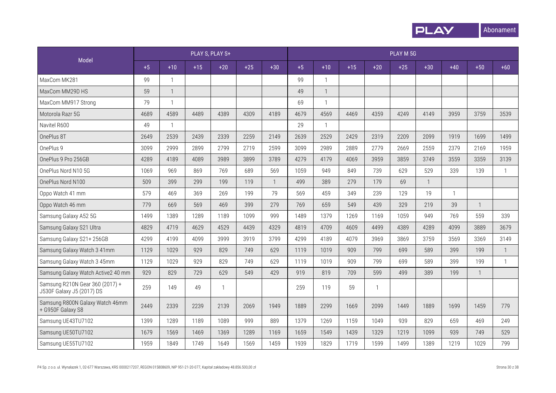

|                                                              |      |                |       | PLAY S, PLAY S+ |       |                |      |              |       |              | PLAY M 5G |                |              |              |              |
|--------------------------------------------------------------|------|----------------|-------|-----------------|-------|----------------|------|--------------|-------|--------------|-----------|----------------|--------------|--------------|--------------|
| Model                                                        | $+5$ | $+10$          | $+15$ | $+20$           | $+25$ | $+30$          | $+5$ | $+10$        | $+15$ | $+20$        | $+25$     | $+30$          | $+40$        | $+50$        | $+60$        |
| MaxCom MK281                                                 | 99   | $\mathbf{1}$   |       |                 |       |                | 99   | $\mathbf{1}$ |       |              |           |                |              |              |              |
| MaxCom MM29D HS                                              | 59   | $\overline{1}$ |       |                 |       |                | 49   | $\mathbf{1}$ |       |              |           |                |              |              |              |
| MaxCom MM917 Strong                                          | 79   | $\mathbf{1}$   |       |                 |       |                | 69   | $\mathbf{1}$ |       |              |           |                |              |              |              |
| Motorola Razr 5G                                             | 4689 | 4589           | 4489  | 4389            | 4309  | 4189           | 4679 | 4569         | 4469  | 4359         | 4249      | 4149           | 3959         | 3759         | 3539         |
| Navitel R600                                                 | 49   | $\mathbf{1}$   |       |                 |       |                | 29   | $\mathbf{1}$ |       |              |           |                |              |              |              |
| OnePlus 8T                                                   | 2649 | 2539           | 2439  | 2339            | 2259  | 2149           | 2639 | 2529         | 2429  | 2319         | 2209      | 2099           | 1919         | 1699         | 1499         |
| OnePlus 9                                                    | 3099 | 2999           | 2899  | 2799            | 2719  | 2599           | 3099 | 2989         | 2889  | 2779         | 2669      | 2559           | 2379         | 2169         | 1959         |
| OnePlus 9 Pro 256GB                                          | 4289 | 4189           | 4089  | 3989            | 3899  | 3789           | 4279 | 4179         | 4069  | 3959         | 3859      | 3749           | 3559         | 3359         | 3139         |
| OnePlus Nord N10 5G                                          | 1069 | 969            | 869   | 769             | 689   | 569            | 1059 | 949          | 849   | 739          | 629       | 529            | 339          | 139          | $\mathbf{1}$ |
| OnePlus Nord N100                                            | 509  | 399            | 299   | 199             | 119   | $\overline{1}$ | 499  | 389          | 279   | 179          | 69        | $\overline{1}$ |              |              |              |
| Oppo Watch 41 mm                                             | 579  | 469            | 369   | 269             | 199   | 79             | 569  | 459          | 349   | 239          | 129       | 19             | $\mathbf{1}$ |              |              |
| Oppo Watch 46 mm                                             | 779  | 669            | 569   | 469             | 399   | 279            | 769  | 659          | 549   | 439          | 329       | 219            | 39           |              |              |
| Samsung Galaxy A52 5G                                        | 1499 | 1389           | 1289  | 1189            | 1099  | 999            | 1489 | 1379         | 1269  | 1169         | 1059      | 949            | 769          | 559          | 339          |
| Samsung Galaxy S21 Ultra                                     | 4829 | 4719           | 4629  | 4529            | 4439  | 4329           | 4819 | 4709         | 4609  | 4499         | 4389      | 4289           | 4099         | 3889         | 3679         |
| Samsung Galaxy S21+256GB                                     | 4299 | 4199           | 4099  | 3999            | 3919  | 3799           | 4299 | 4189         | 4079  | 3969         | 3869      | 3759           | 3569         | 3369         | 3149         |
| Samsung Galaxy Watch 3 41mm                                  | 1129 | 1029           | 929   | 829             | 749   | 629            | 1119 | 1019         | 909   | 799          | 699       | 589            | 399          | 199          | 1            |
| Samsung Galaxy Watch 3 45mm                                  | 1129 | 1029           | 929   | 829             | 749   | 629            | 1119 | 1019         | 909   | 799          | 699       | 589            | 399          | 199          | $\mathbf{1}$ |
| Samsung Galaxy Watch Active2 40 mm                           | 929  | 829            | 729   | 629             | 549   | 429            | 919  | 819          | 709   | 599          | 499       | 389            | 199          | $\mathbf{1}$ |              |
| Samsung R210N Gear 360 (2017) +<br>J530F Galaxy J5 (2017) DS | 259  | 149            | 49    | $\mathbf{1}$    |       |                | 259  | 119          | 59    | $\mathbf{1}$ |           |                |              |              |              |
| Samsung R800N Galaxy Watch 46mm<br>+ G950F Galaxy S8         | 2449 | 2339           | 2239  | 2139            | 2069  | 1949           | 1889 | 2299         | 1669  | 2099         | 1449      | 1889           | 1699         | 1459         | 779          |
| Samsung UE43TU7102                                           | 1399 | 1289           | 1189  | 1089            | 999   | 889            | 1379 | 1269         | 1159  | 1049         | 939       | 829            | 659          | 469          | 249          |
| Samsung UE50TU7102                                           | 1679 | 1569           | 1469  | 1369            | 1289  | 1169           | 1659 | 1549         | 1439  | 1329         | 1219      | 1099           | 939          | 749          | 529          |
| Samsung UE55TU7102                                           | 1959 | 1849           | 1749  | 1649            | 1569  | 1459           | 1939 | 1829         | 1719  | 1599         | 1499      | 1389           | 1219         | 1029         | 799          |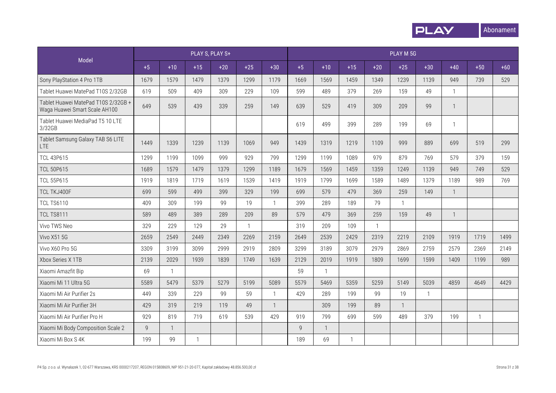

|                                                                      |                |              |              | PLAY S, PLAY S+ |              |              |                |              |              |                | PLAY M 5G    |              |              |              |       |
|----------------------------------------------------------------------|----------------|--------------|--------------|-----------------|--------------|--------------|----------------|--------------|--------------|----------------|--------------|--------------|--------------|--------------|-------|
| Model                                                                | $+5$           | $+10$        | $+15$        | $+20$           | $+25$        | $+30$        | $+5$           | $+10$        | $+15$        | $+20$          | $+25$        | $+30$        | $+40$        | $+50$        | $+60$ |
| Sony PlayStation 4 Pro 1TB                                           | 1679           | 1579         | 1479         | 1379            | 1299         | 1179         | 1669           | 1569         | 1459         | 1349           | 1239         | 1139         | 949          | 739          | 529   |
| Tablet Huawei MatePad T10S 2/32GB                                    | 619            | 509          | 409          | 309             | 229          | 109          | 599            | 489          | 379          | 269            | 159          | 49           | $\mathbf{1}$ |              |       |
| Tablet Huawei MatePad T10S 2/32GB +<br>Waga Huawei Smart Scale AH100 | 649            | 539          | 439          | 339             | 259          | 149          | 639            | 529          | 419          | 309            | 209          | 99           | $\mathbf{1}$ |              |       |
| Tablet Huawei MediaPad T5 10 LTE<br>3/32GB                           |                |              |              |                 |              |              | 619            | 499          | 399          | 289            | 199          | 69           | 1            |              |       |
| Tablet Samsung Galaxy TAB S6 LITE<br>LTE.                            | 1449           | 1339         | 1239         | 1139            | 1069         | 949          | 1439           | 1319         | 1219         | 1109           | 999          | 889          | 699          | 519          | 299   |
| <b>TCL 43P615</b>                                                    | 1299           | 1199         | 1099         | 999             | 929          | 799          | 1299           | 1199         | 1089         | 979            | 879          | 769          | 579          | 379          | 159   |
| <b>TCL 50P615</b>                                                    | 1689           | 1579         | 1479         | 1379            | 1299         | 1189         | 1679           | 1569         | 1459         | 1359           | 1249         | 1139         | 949          | 749          | 529   |
| <b>TCL 55P615</b>                                                    | 1919           | 1819         | 1719         | 1619            | 1539         | 1419         | 1919           | 1799         | 1699         | 1589           | 1489         | 1379         | 1189         | 989          | 769   |
| TCL TKJ400F                                                          | 699            | 599          | 499          | 399             | 329          | 199          | 699            | 579          | 479          | 369            | 259          | 149          | $\mathbf{1}$ |              |       |
| <b>TCL TS6110</b>                                                    | 409            | 309          | 199          | 99              | 19           | $\mathbf{1}$ | 399            | 289          | 189          | 79             | $\mathbf{1}$ |              |              |              |       |
| <b>TCL TS8111</b>                                                    | 589            | 489          | 389          | 289             | 209          | 89           | 579            | 479          | 369          | 259            | 159          | 49           | $\mathbf{1}$ |              |       |
| Vivo TWS Neo                                                         | 329            | 229          | 129          | 29              | $\mathbf{1}$ |              | 319            | 209          | 109          | $\overline{1}$ |              |              |              |              |       |
| Vivo X51 5G                                                          | 2659           | 2549         | 2449         | 2349            | 2269         | 2159         | 2649           | 2539         | 2429         | 2319           | 2219         | 2109         | 1919         | 1719         | 1499  |
| Vivo X60 Pro 5G                                                      | 3309           | 3199         | 3099         | 2999            | 2919         | 2809         | 3299           | 3189         | 3079         | 2979           | 2869         | 2759         | 2579         | 2369         | 2149  |
| Xbox Series X 1TB                                                    | 2139           | 2029         | 1939         | 1839            | 1749         | 1639         | 2129           | 2019         | 1919         | 1809           | 1699         | 1599         | 1409         | 1199         | 989   |
| Xiaomi Amazfit Bip                                                   | 69             | $\mathbf{1}$ |              |                 |              |              | 59             | $\mathbf{1}$ |              |                |              |              |              |              |       |
| Xiaomi Mi 11 Ultra 5G                                                | 5589           | 5479         | 5379         | 5279            | 5199         | 5089         | 5579           | 5469         | 5359         | 5259           | 5149         | 5039         | 4859         | 4649         | 4429  |
| Xiaomi Mi Air Purifier 2s                                            | 449            | 339          | 229          | 99              | 59           | $\mathbf{1}$ | 429            | 289          | 199          | 99             | 19           | $\mathbf{1}$ |              |              |       |
| Xiaomi Mi Air Purifier 3H                                            | 429            | 319          | 219          | 119             | 49           | $\mathbf{1}$ |                | 309          | 199          | 89             | $\mathbf{1}$ |              |              |              |       |
| Xiaomi Mi Air Purifier Pro H                                         | 929            | 819          | 719          | 619             | 539          | 429          | 919            | 799          | 699          | 599            | 489          | 379          | 199          | $\mathbf{1}$ |       |
| Xiaomi Mi Body Composition Scale 2                                   | $\overline{9}$ | $\mathbf{1}$ |              |                 |              |              | $\overline{9}$ | $\mathbf{1}$ |              |                |              |              |              |              |       |
| Xiaomi Mi Box S 4K                                                   | 199            | 99           | $\mathbf{1}$ |                 |              |              | 189            | 69           | $\mathbf{1}$ |                |              |              |              |              |       |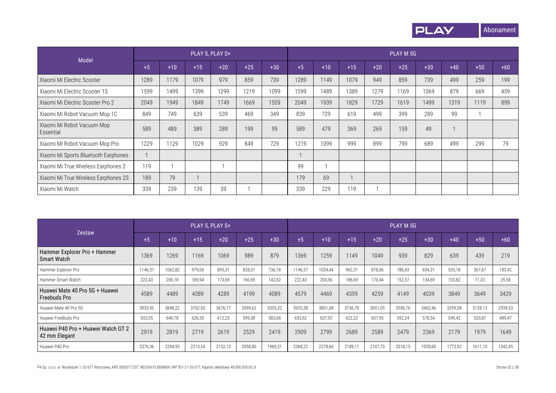

| Model                                   |      |       |       | PLAY S, PLAY S+ |       |       |      |       |       |       | PLAY M 5G |       |       |       |       |
|-----------------------------------------|------|-------|-------|-----------------|-------|-------|------|-------|-------|-------|-----------|-------|-------|-------|-------|
|                                         | $+5$ | $+10$ | $+15$ | $+20$           | $+25$ | $+30$ | $+5$ | $+10$ | $+15$ | $+20$ | $+25$     | $+30$ | $+40$ | $+50$ | $+60$ |
| Xiaomi Mi Electric Scooter              | 1289 | 1179  | 1079  | 979             | 859   | 739   | 1289 | 1149  | 1079  | 949   | 859       | 739   | 499   | 259   | 199   |
| Xiaomi Mi Electric Scooter 1S           | 1599 | 1499  | 1399  | 1299            | 1219  | 1099  | 1599 | 1489  | 1389  | 1279  | 1169      | 1069  | 879   | 669   | 459   |
| Xiaomi Mi Electric Scooter Pro 2        | 2049 | 1949  | 1849  | 1749            | 1669  | 1559  | 2049 | 1939  | 1829  | 1729  | 1619      | 1499  | 1319  | 1119  | 899   |
| Xiaomi Mi Robot Vacuum Mop 1C           | 849  | 749   | 639   | 539             | 469   | 349   | 839  | 729   | 619   | 499   | 399       | 289   | 99    |       |       |
| Xiaomi Mi Robot Vacuum Mop<br>Essential | 589  | 489   | 389   | 289             | 199   | 99    | 589  | 479   | 369   | 269   | 159       | 49    |       |       |       |
| Xiaomi Mi Robot Vacuum Mop Pro          | 1229 | 1129  | 1029  | 929             | 849   | 729   | 1219 | 1099  | 999   | 899   | 799       | 689   | 499   | 299   | 79    |
| Xiaomi Mi Sports Bluetooth Earphones    |      |       |       |                 |       |       |      |       |       |       |           |       |       |       |       |
| Xiaomi Mi True Wireless Earphones 2     | 119  |       |       |                 |       |       | 99   |       |       |       |           |       |       |       |       |
| Xiaomi Mi True Wireless Earphones 2S    | 189  | 79    |       |                 |       |       | 179  | 69    |       |       |           |       |       |       |       |
| Xiaomi Mi Watch                         | 339  | 239   | 139   | 39              |       |       | 339  | 229   | 119   |       |           |       |       |       |       |

|                                                       |         |         | PLAY S. PLAY S+ |         |         |         |         |         |         |         | PLAY M 5G |         |         |         |         |
|-------------------------------------------------------|---------|---------|-----------------|---------|---------|---------|---------|---------|---------|---------|-----------|---------|---------|---------|---------|
| Zestaw                                                | $+5$    | $+10$   | $+15$           | $+20$   | $+25$   | $+30$   | $+5$    | $+10$   | $+15$   | $+20$   | $+25$     | $+30$   | $+40$   | $+50$   | $+60$   |
| Hammer Explorer Pro + Hammer<br><b>Smart Watch</b>    | 1369    | 1269    | 1169            | 1069    | 989     | 879     | 1369    | 1259    | 1149    | 1049    | 939       | 829     | 639     | 439     | 219     |
| Hammer Explorer Pro                                   | 1146,57 | 1062,82 | 979,06          | 895,31  | 828,31  | 736,18  | 1146,57 | 1054,44 | 962,31  | 878,56  | 786,43    | 694,31  | 535,18  | 367,67  | 183,42  |
| Hammer Smart Watch                                    | 222,43  | 206,18  | 189,94          | 173,69  | 160,69  | 142,82  | 222,43  | 204,56  | 186,69  | 170.44  | 152,57    | 134,69  | 103,82  | 71,33   | 35,58   |
| Huawei Mate 40 Pro 5G + Huawei<br><b>Freebuds Pro</b> | 4589    | 4489    | 4389            | 4289    | 4199    | 4089    | 4579    | 4469    | 4359    | 4259    | 4149      | 4039    | 3849    | 3649    | 3429    |
| Huawei Mate 40 Pro 5G                                 | 3933,95 | 3848,22 | 3762,50         | 3676,77 | 3599,62 | 3505,32 | 3925,38 | 3831,08 | 3736,78 | 3651,05 | 3556,76   | 3462,46 | 3299,58 | 3128,13 | 2939,53 |
| Huawei FreeBuds Pro                                   | 655,05  | 640,78  | 626,50          | 612,23  | 599,38  | 583,68  | 653,62  | 637,92  | 622,22  | 607,95  | 592,24    | 576,54  | 549,42  | 520,87  | 489,47  |
| Huawei P40 Pro + Huawei Watch GT 2<br>42 mm Elegant   | 2919    | 2819    | 2719            | 2619    | 2529    | 2419    | 2909    | 2799    | 2689    | 2589    | 2479      | 2369    | 2179    | 1979    | 1649    |
| Huawei P40 Pro                                        | 2376,36 | 2294,95 | 2213,54         | 2132,13 | 2058,86 | 1969,31 | 2368,22 | 2278,66 | 2189,11 | 2107,70 | 2018,15   | 1928,60 | 1773,92 | 1611,10 | 1342,45 |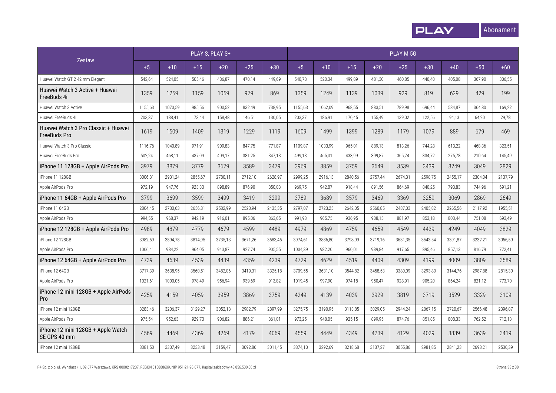

|                                                            |         |         |         | PLAY S, PLAY S+ |         |         |         |         |         |         | PLAY M 5G |         |         |         |         |
|------------------------------------------------------------|---------|---------|---------|-----------------|---------|---------|---------|---------|---------|---------|-----------|---------|---------|---------|---------|
| <b>Zestaw</b>                                              | $+5$    | $+10$   | $+15$   | $+20$           | $+25$   | $+30$   | $+5$    | $+10$   | $+15$   | $+20$   | $+25$     | $+30$   | $+40$   | $+50$   | $+60$   |
| Huawei Watch GT 2 42 mm Elegant                            | 542,64  | 524,05  | 505,46  | 486,87          | 470,14  | 449,69  | 540,78  | 520,34  | 499.89  | 481,30  | 460,85    | 440,40  | 405,08  | 367,90  | 306,55  |
| Huawei Watch 3 Active + Huawei<br>FreeBuds 4i              | 1359    | 1259    | 1159    | 1059            | 979     | 869     | 1359    | 1249    | 1139    | 1039    | 929       | 819     | 629     | 429     | 199     |
| Huawei Watch 3 Active                                      | 1155,63 | 1070,59 | 985,56  | 900,52          | 832,49  | 738,95  | 1155,63 | 1062,09 | 968,55  | 883,51  | 789,98    | 696,44  | 534,87  | 364,80  | 169,22  |
| Huawei FreeBuds 4i                                         | 203,37  | 188,41  | 173,44  | 158,48          | 146,51  | 130,05  | 203,37  | 186,91  | 170,45  | 155,49  | 139,02    | 122,56  | 94,13   | 64,20   | 29,78   |
| Huawei Watch 3 Pro Classic + Huawei<br><b>FreeBuds Pro</b> | 1619    | 1509    | 1409    | 1319            | 1229    | 1119    | 1609    | 1499    | 1399    | 1289    | 1179      | 1079    | 889     | 679     | 469     |
| Huawei Watch 3 Pro Classic                                 | 1116,76 | 1040,89 | 971,91  | 909,83          | 847,75  | 771,87  | 1109,87 | 1033,99 | 965,01  | 889,13  | 813,26    | 744,28  | 613,22  | 468,36  | 323,51  |
| Huawei FreeBuds Pro                                        | 502,24  | 468,11  | 437,09  | 409,17          | 381,25  | 347,13  | 499,13  | 465,01  | 433,99  | 399,87  | 365,74    | 334,72  | 275,78  | 210,64  | 145,49  |
| iPhone 11 128GB + Apple AirPods Pro                        | 3979    | 3879    | 3779    | 3679            | 3589    | 3479    | 3969    | 3859    | 3759    | 3649    | 3539      | 3439    | 3249    | 3049    | 2829    |
| iPhone 11 128GB                                            | 3006,81 | 2931,24 | 2855,67 | 2780,11         | 2712,10 | 2628,97 | 2999,25 | 2916,13 | 2840,56 | 2757,44 | 2674,31   | 2598,75 | 2455,17 | 2304,04 | 2137,79 |
| Apple AirPods Pro                                          | 972,19  | 947,76  | 923,33  | 898,89          | 876,90  | 850,03  | 969,75  | 942,87  | 918,44  | 891,56  | 864,69    | 840,25  | 793,83  | 744,96  | 691,21  |
| iPhone 11 64GB + Apple AirPods Pro                         | 3799    | 3699    | 3599    | 3499            | 3419    | 3299    | 3789    | 3689    | 3579    | 3469    | 3369      | 3259    | 3069    | 2869    | 2649    |
| iPhone 11 64GB                                             | 2804,45 | 2730,63 | 2656,81 | 2582,99         | 2523,94 | 2435,35 | 2797,07 | 2723,25 | 2642,05 | 2560,85 | 2487,03   | 2405,82 | 2265,56 | 2117,92 | 1955,51 |
| Apple AirPods Pro                                          | 994,55  | 968,37  | 942,19  | 916,01          | 895,06  | 863,65  | 991,93  | 965,75  | 936,95  | 908,15  | 881,97    | 853,18  | 803,44  | 751,08  | 693,49  |
| iPhone 12 128GB + Apple AirPods Pro                        | 4989    | 4879    | 4779    | 4679            | 4599    | 4489    | 4979    | 4869    | 4759    | 4659    | 4549      | 4439    | 4249    | 4049    | 3829    |
| iPhone 12 128GB                                            | 3982,59 | 3894,78 | 3814,95 | 3735,13         | 3671,26 | 3583,45 | 3974,61 | 3886,80 | 3798,99 | 3719,16 | 3631,35   | 3543,54 | 3391,87 | 3232,21 | 3056,59 |
| Apple AirPods Pro                                          | 1006,41 | 984,22  | 964,05  | 943,87          | 927,74  | 905,55  | 1004,39 | 982,20  | 960,01  | 939,84  | 917,65    | 895,46  | 857,13  | 816,79  | 772,41  |
| iPhone 12 64GB + Apple AirPods Pro                         | 4739    | 4639    | 4539    | 4439            | 4359    | 4239    | 4729    | 4629    | 4519    | 4409    | 4309      | 4199    | 4009    | 3809    | 3589    |
| iPhone 12 64GB                                             | 3717,39 | 3638,95 | 3560,51 | 3482,06         | 3419,31 | 3325,18 | 3709,55 | 3631,10 | 3544,82 | 3458,53 | 3380,09   | 3293,80 | 3144,76 | 2987,88 | 2815,30 |
| Apple AirPods Pro                                          | 1021,61 | 1000,05 | 978,49  | 956,94          | 939,69  | 913,82  | 1019,45 | 997,90  | 974,18  | 950,47  | 928,91    | 905,20  | 864,24  | 821,12  | 773,70  |
| iPhone 12 mini 128GB + Apple AirPods<br>Pro                | 4259    | 4159    | 4059    | 3959            | 3869    | 3759    | 4249    | 4139    | 4039    | 3929    | 3819      | 3719    | 3529    | 3329    | 3109    |
| iPhone 12 mini 128GB                                       | 3283,46 | 3206,37 | 3129,27 | 3052,18         | 2982,79 | 2897,99 | 3275,75 | 3190,95 | 3113,85 | 3029,05 | 2944,24   | 2867,15 | 2720,67 | 2566,48 | 2396,87 |
| Apple AirPods Pro                                          | 975,54  | 952,63  | 929,73  | 906,82          | 886,21  | 861,01  | 973,25  | 948,05  | 925,15  | 899,95  | 874,76    | 851,85  | 808,33  | 762,52  | 712,13  |
| iPhone 12 mini 128GB + Apple Watch<br>SE GPS 40 mm         | 4569    | 4469    | 4369    | 4269            | 4179    | 4069    | 4559    | 4449    | 4349    | 4239    | 4129      | 4029    | 3839    | 3639    | 3419    |
| iPhone 12 mini 128GB                                       | 3381,50 | 3307.49 | 3233,48 | 3159,47         | 3092,86 | 3011,45 | 3374,10 | 3292,69 | 3218,68 | 3137,27 | 3055,86   | 2981,85 | 2841,23 | 2693,21 | 2530,39 |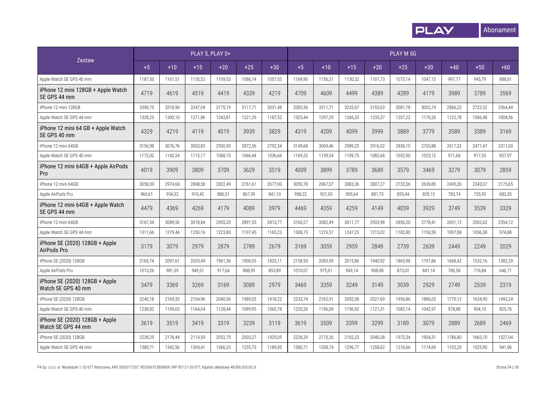

|                                                      |         |         |         | PLAY S, PLAY S+ |         |         |         |         |         |         | PLAY M 5G |         |         |         |         |
|------------------------------------------------------|---------|---------|---------|-----------------|---------|---------|---------|---------|---------|---------|-----------|---------|---------|---------|---------|
| Zestaw                                               | $+5$    | $+10$   | $+15$   | $+20$           | $+25$   | $+30$   | $+5$    | $+10$   | $+15$   | $+20$   | $+25$     | $+30$   | $+40$   | $+50$   | $+60$   |
| Apple Watch SE GPS 40 mm                             | 1187,50 | 1161,51 | 1135,52 | 1109,53         | 1086,14 | 1057,55 | 1184,90 | 1156,31 | 1130,32 | 1101,73 | 1073,14   | 1047,15 | 997,77  | 945,79  | 888,61  |
| iPhone 12 mini 128GB + Apple Watch<br>SE GPS 44 mm   | 4719    | 4619    | 4519    | 4419            | 4339    | 4219    | 4709    | 4609    | 4499    | 4389    | 4289      | 4179    | 3989    | 3789    | 3569    |
| iPhone 12 mini 128GB                                 | 3390,75 | 3318,90 | 3247,04 | 3175,19         | 3117,71 | 3031,48 | 3383,56 | 3311,71 | 3232,67 | 3153,63 | 3081,78   | 3002,74 | 2866,22 | 2722,52 | 2564,44 |
| Apple Watch SE GPS 44 mm                             | 1328,25 | 1300,10 | 1271,96 | 1243,81         | 1221,29 | 1187,52 | 1325,44 | 1297,29 | 1266,33 | 1235,37 | 1207,22   | 1176,26 | 1122,78 | 1066,48 | 1004,56 |
| iPhone 12 mini 64 GB + Apple Watch<br>SE GPS 40 mm   | 4329    | 4219    | 4119    | 4019            | 3939    | 3829    | 4319    | 4209    | 4099    | 3999    | 3889      | 3779    | 3589    | 3389    | 3169    |
| iPhone 12 mini 64GB                                  | 3156,98 | 3076,76 | 3003,83 | 2930.90         | 2872.56 | 2792,34 | 3149,68 | 3069,46 | 2989.25 | 2916.32 | 2836.10   | 2755,88 | 2617,32 | 2471,47 | 2311,03 |
| Apple Watch SE GPS 40 mm                             | 1172,02 | 1142,24 | 1115,17 | 1088,10         | 1066.44 | 1036,66 | 1169,32 | 1139,54 | 1109,75 | 1082,68 | 1052,90   | 1023,12 | 971,68  | 917,53  | 857,97  |
| iPhone 12 mini 64GB + Apple AirPods<br>Pro           | 4019    | 3909    | 3809    | 3709            | 3629    | 3519    | 4009    | 3899    | 3789    | 3689    | 3579      | 3469    | 3279    | 3079    | 2859    |
| iPhone 12 mini 64GB                                  | 3058,39 | 2974,68 | 2898.58 | 2822.49         | 2761,61 | 2677,90 | 3050,78 | 2967,07 | 2883,36 | 2807,27 | 2723,56   | 2639,85 | 2495,26 | 2343,07 | 2175,65 |
| Apple AirPods Pro                                    | 960,61  | 934,32  | 910,42  | 886,51          | 867,39  | 841,10  | 958,22  | 931,93  | 905,64  | 881,73  | 855,44    | 829,15  | 783,74  | 735,93  | 683,35  |
| iPhone 12 mini 64GB + Apple Watch<br>SE GPS 44 mm    | 4479    | 4369    | 4269    | 4179            | 4089    | 3979    | 4469    | 4359    | 4259    | 4149    | 4039      | 3929    | 3749    | 3539    | 3329    |
| iPhone 12 mini 64GB                                  | 3167,34 | 3089,56 | 3018,84 | 2955,20         | 2891,55 | 2813,77 | 3160,27 | 3082,49 | 3011,77 | 2933,98 | 2856,20   | 2778,41 | 2651,12 | 2502,62 | 2354,12 |
| Apple Watch SE GPS 44 mm                             | 1311,66 | 1279,44 | 1250,16 | 1223,80         | 1197,45 | 1165,23 | 1308,73 | 1276,51 | 1247,23 | 1215,02 | 1182,80   | 1150,59 | 1097,88 | 1036,38 | 974,88  |
| iPhone SE (2020) 128GB + Apple<br>AirPods Pro        | 3179    | 3079    | 2979    | 2879            | 2789    | 2679    | 3169    | 3059    | 2959    | 2849    | 2739      | 2639    | 2449    | 2249    | 2029    |
| iPhone SE (2020) 128GB                               | 2165,74 | 2097,61 | 2029,49 | 1961,36         | 1900,05 | 1825,11 | 2158,93 | 2083,99 | 2015,86 | 1940,92 | 1865,98   | 1797,86 | 1668,42 | 1532,16 | 1382,29 |
| Apple AirPods Pro                                    | 1013,26 | 981,39  | 949,51  | 917,64          | 888,95  | 853,89  | 1010,07 | 975,01  | 943,14  | 908,08  | 873,02    | 841,14  | 780,58  | 716,84  | 646,71  |
| iPhone SE (2020) 128GB + Apple<br>Watch SE GPS 40 mm | 3479    | 3369    | 3269    | 3169            | 3089    | 2979    | 3469    | 3359    | 3249    | 3149    | 3039      | 2929    | 2749    | 2539    | 2319    |
| iPhone SE (2020) 128GB                               | 2240,18 | 2169,35 | 2104,96 | 2040,56         | 1989,05 | 1918,22 | 2233,74 | 2162,91 | 2092,08 | 2027,69 | 1956,86   | 1886,03 | 1770,12 | 1634,90 | 1493,24 |
| Apple Watch SE GPS 40 mm                             | 1238,82 | 1199,65 | 1164,04 | 1128,44         | 1099,95 | 1060,78 | 1235,26 | 1196,09 | 1156,92 | 1121.31 | 1082,14   | 1042,97 | 978,88  | 904,10  | 825,76  |
| iPhone SE (2020) 128GB + Apple<br>Watch SE GPS 44 mm | 3619    | 3519    | 3419    | 3319            | 3239    | 3119    | 3619    | 3509    | 3399    | 3299    | 3189      | 3079    | 2889    | 2689    | 2469    |
| iPhone SE (2020) 128GB                               | 2238,29 | 2176,44 | 2114,59 | 2052,75         | 2003,27 | 1929,05 | 2238,29 | 2170,26 | 2102,23 | 2040.38 | 1972.34   | 1904,31 | 1786,80 | 1663,10 | 1527,04 |
| Apple Watch SE GPS 44 mm                             | 1380,71 | 1342,56 | 1304,41 | 1266,25         | 1235,73 | 1189,95 | 1380,71 | 1338,74 | 1296,77 | 1258,62 | 1216,66   | 1174,69 | 1102,20 | 1025,90 | 941,96  |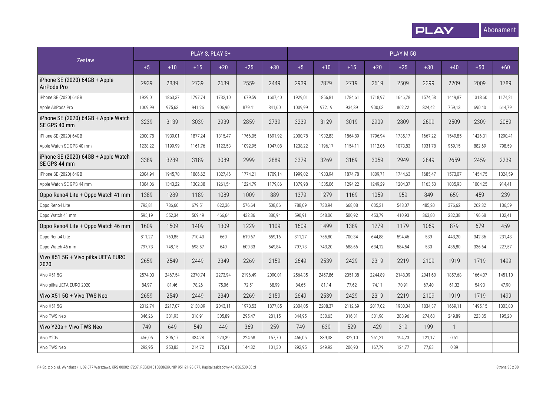

|                                                     | PLAY S, PLAY S+ |         |         |         |         |         |         | PLAY M 5G |         |         |         |         |              |         |         |
|-----------------------------------------------------|-----------------|---------|---------|---------|---------|---------|---------|-----------|---------|---------|---------|---------|--------------|---------|---------|
| <b>Zestaw</b>                                       | $+5$            | $+10$   | $+15$   | $+20$   | $+25$   | $+30$   | $+5$    | $+10$     | $+15$   | $+20$   | $+25$   | $+30$   | $+40$        | $+50$   | $+60$   |
| iPhone SE (2020) 64GB + Apple<br>AirPods Pro        | 2939            | 2839    | 2739    | 2639    | 2559    | 2449    | 2939    | 2829      | 2719    | 2619    | 2509    | 2399    | 2209         | 2009    | 1789    |
| iPhone SE (2020) 64GB                               | 1929,01         | 1863,37 | 1797,74 | 1732,10 | 1679,59 | 1607,40 | 1929,01 | 1856,81   | 1784,61 | 1718,97 | 1646,78 | 1574,58 | 1449,87      | 1318,60 | 1174,21 |
| Apple AirPods Pro                                   | 1009,99         | 975,63  | 941,26  | 906,90  | 879,41  | 841,60  | 1009,99 | 972,19    | 934,39  | 900,03  | 862,22  | 824,42  | 759,13       | 690,40  | 614,79  |
| iPhone SE (2020) 64GB + Apple Watch<br>SE GPS 40 mm | 3239            | 3139    | 3039    | 2939    | 2859    | 2739    | 3239    | 3129      | 3019    | 2909    | 2809    | 2699    | 2509         | 2309    | 2089    |
| iPhone SE (2020) 64GB                               | 2000,78         | 1939.01 | 1877,24 | 1815,47 | 1766,05 | 1691,92 | 2000,78 | 1932,83   | 1864.89 | 1796.94 | 1735,17 | 1667,22 | 1549,85      | 1426,31 | 1290.41 |
| Apple Watch SE GPS 40 mm                            | 1238,22         | 1199,99 | 1161,76 | 1123,53 | 1092,95 | 1047,08 | 1238,22 | 1196,17   | 1154,11 | 1112,06 | 1073,83 | 1031,78 | 959,15       | 882,69  | 798,59  |
| iPhone SE (2020) 64GB + Apple Watch<br>SE GPS 44 mm | 3389            | 3289    | 3189    | 3089    | 2999    | 2889    | 3379    | 3269      | 3169    | 3059    | 2949    | 2849    | 2659         | 2459    | 2239    |
| iPhone SE (2020) 64GB                               | 2004,94         | 1945,78 | 1886,62 | 1827,46 | 1774,21 | 1709,14 | 1999,02 | 1933,94   | 1874,78 | 1809,71 | 1744,63 | 1685,47 | 1573,07      | 1454,75 | 1324,59 |
| Apple Watch SE GPS 44 mm                            | 1384,06         | 1343,22 | 1302,38 | 1261,54 | 1224,79 | 1179,86 | 1379,98 | 1335,06   | 1294,22 | 1249,29 | 1204,37 | 1163,53 | 1085,93      | 1004,25 | 914,41  |
| Oppo Reno4 Lite + Oppo Watch 41 mm                  | 1389            | 1289    | 1189    | 1089    | 1009    | 889     | 1379    | 1279      | 1169    | 1059    | 959     | 849     | 659          | 459     | 239     |
| Oppo Reno4 Lite                                     | 793,81          | 736,66  | 679,51  | 622,36  | 576,64  | 508,06  | 788,09  | 730,94    | 668,08  | 605,21  | 548,07  | 485,20  | 376,62       | 262,32  | 136,59  |
| Oppo Watch 41 mm                                    | 595,19          | 552,34  | 509,49  | 466,64  | 432,36  | 380,94  | 590,91  | 548,06    | 500,92  | 453,79  | 410,93  | 363,80  | 282,38       | 196,68  | 102,41  |
| Oppo Reno4 Lite + Oppo Watch 46 mm                  | 1609            | 1509    | 1409    | 1309    | 1229    | 1109    | 1609    | 1499      | 1389    | 1279    | 1179    | 1069    | 879          | 679     | 459     |
| Oppo Reno4 Lite                                     | 811,27          | 760,85  | 710,43  | 660     | 619,67  | 559,16  | 811,27  | 755,80    | 700,34  | 644,88  | 594,46  | 539     | 443,20       | 342,36  | 231,43  |
| Oppo Watch 46 mm                                    | 797,73          | 748,15  | 698,57  | 649     | 609,33  | 549,84  | 797,73  | 743,20    | 688,66  | 634,12  | 584,54  | 530     | 435,80       | 336,64  | 227,57  |
| Vivo X51 5G + Vivo piłka UEFA EURO<br>2020          | 2659            | 2549    | 2449    | 2349    | 2269    | 2159    | 2649    | 2539      | 2429    | 2319    | 2219    | 2109    | 1919         | 1719    | 1499    |
| Vivo X51 5G                                         | 2574,03         | 2467,54 | 2370,74 | 2273,94 | 2196,49 | 2090,01 | 2564,35 | 2457,86   | 2351,38 | 2244,89 | 2148,09 | 2041,60 | 1857,68      | 1664,07 | 1451,10 |
| Vivo piłka UEFA EURO 2020                           | 84,97           | 81,46   | 78,26   | 75,06   | 72,51   | 68,99   | 84,65   | 81,14     | 77,62   | 74,11   | 70,91   | 67,40   | 61,32        | 54,93   | 47,90   |
| Vivo X51 5G + Vivo TWS Neo                          | 2659            | 2549    | 2449    | 2349    | 2269    | 2159    | 2649    | 2539      | 2429    | 2319    | 2219    | 2109    | 1919         | 1719    | 1499    |
| Vivo X51 5G                                         | 2312,74         | 2217,07 | 2130,09 | 2043,11 | 1973,53 | 1877,85 | 2304,05 | 2208,37   | 2112,69 | 2017,02 | 1930,04 | 1834,37 | 1669,11      | 1495,15 | 1303,80 |
| Vivo TWS Neo                                        | 346,26          | 331,93  | 318,91  | 305,89  | 295,47  | 281,15  | 344,95  | 330,63    | 316,31  | 301,98  | 288,96  | 274,63  | 249,89       | 223,85  | 195,20  |
| Vivo Y20s + Vivo TWS Neo                            | 749             | 649     | 549     | 449     | 369     | 259     | 749     | 639       | 529     | 429     | 319     | 199     | $\mathbf{1}$ |         |         |
| Vivo Y20s                                           | 456,05          | 395,17  | 334,28  | 273,39  | 224,68  | 157,70  | 456,05  | 389,08    | 322,10  | 261,21  | 194,23  | 121,17  | 0,61         |         |         |
| Vivo TWS Neo                                        | 292,95          | 253,83  | 214,72  | 175,61  | 144,32  | 101,30  | 292,95  | 249,92    | 206,90  | 167,79  | 124,77  | 77,83   | 0,39         |         |         |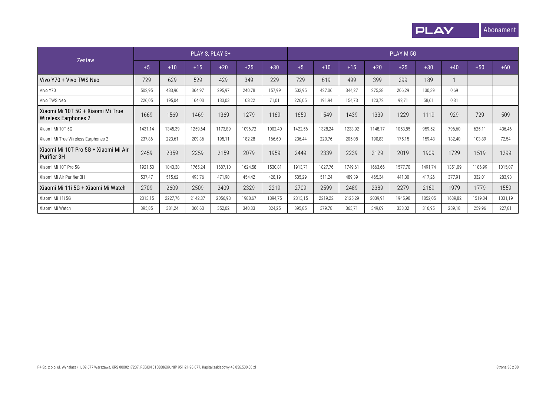

| Zestaw                                                           | PLAY S, PLAY S+ |         |         |         |         |         |         | PLAY M 5G |         |         |         |         |         |         |         |
|------------------------------------------------------------------|-----------------|---------|---------|---------|---------|---------|---------|-----------|---------|---------|---------|---------|---------|---------|---------|
|                                                                  | $+5$            | $+10$   | $+15$   | $+20$   | $+25$   | $+30$   | $+5$    | $+10$     | $+15$   | $+20$   | $+25$   | $+30$   | $+40$   | $+50$   | $+60$   |
| Vivo Y70 + Vivo TWS Neo                                          | 729             | 629     | 529     | 429     | 349     | 229     | 729     | 619       | 499     | 399     | 299     | 189     |         |         |         |
| Vivo Y70                                                         | 502,95          | 433,96  | 364,97  | 295,97  | 240,78  | 157,99  | 502,95  | 427,06    | 344.27  | 275,28  | 206,29  | 130,39  | 0.69    |         |         |
| Vivo TWS Neo                                                     | 226,05          | 195,04  | 164,03  | 133,03  | 108,22  | 71,01   | 226,05  | 191,94    | 154,73  | 123,72  | 92,71   | 58,61   | 0,31    |         |         |
| Xiaomi Mi 10T 5G + Xiaomi Mi True<br><b>Wireless Earphones 2</b> | 1669            | 1569    | 1469    | 1369    | 1279    | 1169    | 1659    | 1549      | 1439    | 1339    | 1229    | 1119    | 929     | 729     | 509     |
| Xiaomi Mi 10T 5G                                                 | 1431.14         | 1345,39 | 1259,64 | 1173,89 | 1096,72 | 1002,40 | 1422,56 | 1328,24   | 1233,92 | 1148.17 | 1053,85 | 959,52  | 796,60  | 625,11  | 436,46  |
| Xiaomi Mi True Wireless Earphones 2                              | 237,86          | 223,61  | 209,36  | 195,11  | 182,28  | 166,60  | 236,44  | 220,76    | 205,08  | 190,83  | 175,15  | 159,48  | 132,40  | 103,89  | 72,54   |
| Xiaomi Mi 10T Pro 5G + Xiaomi Mi Air<br>Purifier 3H              | 2459            | 2359    | 2259    | 2159    | 2079    | 1959    | 2449    | 2339      | 2239    | 2129    | 2019    | 1909    | 1729    | 1519    | 1299    |
| Xiaomi Mi 10T Pro 5G                                             | 1921,53         | 1843,38 | 1765,24 | 1687,10 | 1624,58 | 1530,81 | 1913,71 | 1827,76   | 1749,61 | 1663,66 | 1577,70 | 1491,74 | 1351,09 | 1186,99 | 1015,07 |
| Xiaomi Mi Air Purifier 3H                                        | 537,47          | 515,62  | 493,76  | 471,90  | 454,42  | 428,19  | 535,29  | 511,24    | 489,39  | 465,34  | 441,30  | 417,26  | 377,91  | 332,01  | 283,93  |
| Xiaomi Mi 11i 5G + Xiaomi Mi Watch                               | 2709            | 2609    | 2509    | 2409    | 2329    | 2219    | 2709    | 2599      | 2489    | 2389    | 2279    | 2169    | 1979    | 1779    | 1559    |
| Xiaomi Mi 11i 5G                                                 | 2313,15         | 2227,76 | 2142,37 | 2056,98 | 1988,67 | 1894,75 | 2313,15 | 2219,22   | 2125,29 | 2039,91 | 1945,98 | 1852,05 | 1689,82 | 1519,04 | 1331,19 |
| Xiaomi Mi Watch                                                  | 395,85          | 381,24  | 366,63  | 352,02  | 340,33  | 324,25  | 395,85  | 379,78    | 363,71  | 349,09  | 333,02  | 316,95  | 289,18  | 259,96  | 227,81  |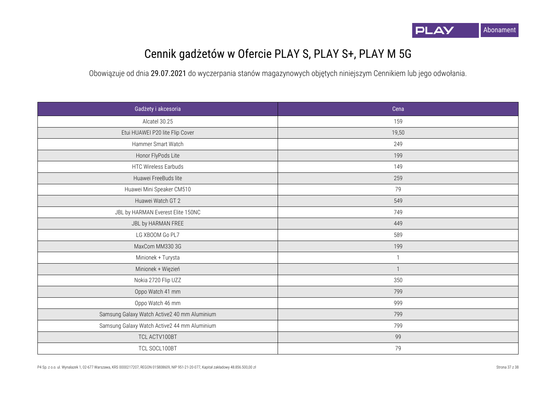

## Cennik gadżetów w Ofercie PLAY S, PLAY S+, PLAY M 5G

| Gadżety i akcesoria                          | Cena         |
|----------------------------------------------|--------------|
| Alcatel 30.25                                | 159          |
| Etui HUAWEI P20 lite Flip Cover              | 19,50        |
| Hammer Smart Watch                           | 249          |
| Honor FlyPods Lite                           | 199          |
| HTC Wireless Earbuds                         | 149          |
| Huawei FreeBuds lite                         | 259          |
| Huawei Mini Speaker CM510                    | 79           |
| Huawei Watch GT 2                            | 549          |
| JBL by HARMAN Everest Elite 150NC            | 749          |
| JBL by HARMAN FREE                           | 449          |
| LG XBOOM Go PL7                              | 589          |
| MaxCom MM330 3G                              | 199          |
| Minionek + Turysta                           | $\mathbf{1}$ |
| Minionek + Więzień                           | $\mathbf{1}$ |
| Nokia 2720 Flip UZZ                          | 350          |
| Oppo Watch 41 mm                             | 799          |
| Oppo Watch 46 mm                             | 999          |
| Samsung Galaxy Watch Active2 40 mm Aluminium | 799          |
| Samsung Galaxy Watch Active2 44 mm Aluminium | 799          |
| TCL ACTV100BT                                | 99           |
| TCL SOCL100BT                                | 79           |